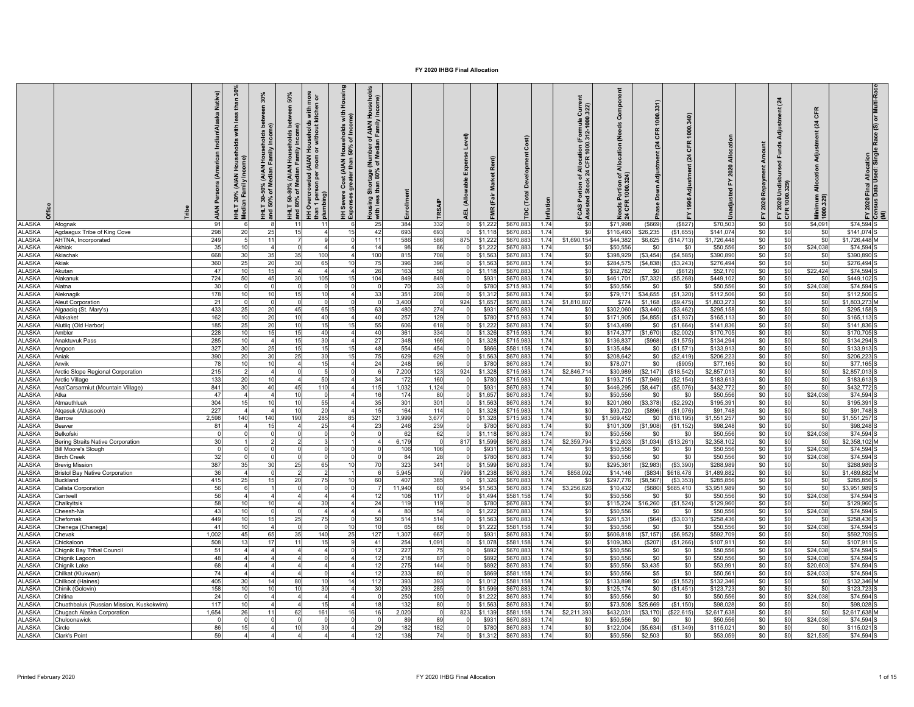|                                | <b>Peri</b>                                                     | $\frac{6}{3}$<br>Native)<br>£<br>with<br>AIA)<br>Я<br><b>AN</b> | 30%<br>)% (AIAN Househ<br>Median Family I<br>នី ទី<br>IHLT 30-4<br>Ind 50% o | 50%<br>₹<br>House<br>T 50-80°,<br>80% of l | more<br>1 or<br>with<br><b>puseholds</b><br>without kit<br>운<br>ā<br><b>AIAN</b><br>Overcrowded<br>$\overline{5}$<br>ers<br>ing)<br>I | Housing<br>with<br>ne)<br>seholds<br>of Incon<br>House<br>Cost (AIAN H<br>Severe<br>perses d<br>Ξă | $\frac{8}{5}$<br>ehel<br>Income)<br>f AIAN H<br>Family<br>후.<br>Media<br>론통<br>tage (<br>80%<br>Short<br>than<br>Housing :<br>with less | Enrollment   | <b>TRSA</b>       | Level)<br>Expense<br>(Allowable<br>ᇜ | å<br>(Fair        | ٽ<br>Devel<br>$\overline{a}$<br>è<br>ě | nflation     | Current<br>1.322)<br>(Formula<br>.312-1000.<br>1000<br>CFR<br>rtion of Al<br>Stock 24 (<br>FCAS Por<br>Assisted: | Compo<br>(Needs<br>Allocation<br>ঁ ই<br>ទី ၉<br>요 | 331)<br>1000.<br><b>CFR</b><br>(24)<br>Adjustment<br>Down. | CFR<br>$\mathbf{z}$    | ₹<br>2020               | Amount<br>Repayment<br>2020<br>ř | <b>nent</b> (24<br>Funds<br>FY 2020 Undis<br>CFR 1000.329) | CFR<br>$\overline{a}$<br>Adjustm<br>Allocation<br>Minimum<br>1000.329) | 2020 Final Allocation<br>1sus Data Used: Single Race (S) or Multi-Race<br>≊ 위 ⊀ |
|--------------------------------|-----------------------------------------------------------------|-----------------------------------------------------------------|------------------------------------------------------------------------------|--------------------------------------------|---------------------------------------------------------------------------------------------------------------------------------------|----------------------------------------------------------------------------------------------------|-----------------------------------------------------------------------------------------------------------------------------------------|--------------|-------------------|--------------------------------------|-------------------|----------------------------------------|--------------|------------------------------------------------------------------------------------------------------------------|---------------------------------------------------|------------------------------------------------------------|------------------------|-------------------------|----------------------------------|------------------------------------------------------------|------------------------------------------------------------------------|---------------------------------------------------------------------------------|
| <b>ALASKA</b>                  | Afognak                                                         | 91                                                              |                                                                              | 11                                         | 11                                                                                                                                    |                                                                                                    | 25                                                                                                                                      | 384          | 332               |                                      | \$1,222           | \$670,88                               | 1.74         | \$0                                                                                                              | \$71,998                                          | (\$669                                                     | (\$827)                | \$70,503                | \$0                              | \$0                                                        | \$4,091                                                                | \$74.594 <sub>S</sub>                                                           |
| <b>ALASKA</b><br><b>ALASKA</b> | Agdaagux Tribe of King Cove                                     | 298<br>20<br>249                                                | 2 <sup>i</sup>                                                               | 15                                         | $\overline{4}$                                                                                                                        | 15                                                                                                 | 42                                                                                                                                      | 693<br>586   | 693               |                                      | \$1,118           | \$670,88                               | 1.74<br>1.74 | \$0                                                                                                              | \$116,493<br>\$44,382                             | \$26,235                                                   | (S1, 655)              | \$141,074               | \$0                              | \$0                                                        | \$0                                                                    | \$141,074                                                                       |
| <b>ALASKA</b>                  | AHTNA, Incorporated<br>Akhiok                                   | 35<br>10                                                        |                                                                              |                                            |                                                                                                                                       |                                                                                                    | 11<br>14                                                                                                                                | 98           | 586<br>86         | 875                                  | \$1,222<br>\$1,22 | \$670,88<br>\$670,88                   | 1.74         | \$1,690,154<br>\$0                                                                                               | \$50,556                                          | \$6,625<br>\$0                                             | (\$14,713)<br>\$0      | \$1,726,448<br>\$50,556 | \$0<br>\$0                       | \$0<br>\$0                                                 | \$0<br>\$24,038                                                        | \$1,726,448 M<br>\$74,594                                                       |
| <b>ALASKA</b>                  | Akiachak                                                        | 668<br>30                                                       | 35                                                                           | 35                                         | 100                                                                                                                                   |                                                                                                    | 100                                                                                                                                     | 815          | 708               |                                      | \$1,563           | \$670,88                               | 1.74         | \$0                                                                                                              | \$398,92                                          | (\$3,454)                                                  | (\$4,585)              | \$390,890               | \$0                              | \$0                                                        | \$0                                                                    | \$390,890                                                                       |
| <b>ALASKA</b>                  | Akiak                                                           | 360<br>25                                                       | $\overline{2}$                                                               | 30                                         | 65                                                                                                                                    |                                                                                                    | 75                                                                                                                                      | 396          | 396               |                                      | \$1,56            | \$670,88                               | 1.74         | \$0                                                                                                              | \$284,57                                          | (\$4,838)                                                  | (S3, 243)              | \$276,494               | \$0                              | \$0                                                        | \$0                                                                    | \$276,494                                                                       |
| LASKA                          | <b>Akutan</b>                                                   | 47<br>10                                                        |                                                                              |                                            |                                                                                                                                       |                                                                                                    | 26                                                                                                                                      | 163          | 58                |                                      | \$1,11            | \$670,88                               | 1.74         | \$0                                                                                                              | \$52,78                                           | \$0                                                        | (S612)                 | \$52,170                | \$0                              | \$0                                                        | \$22,424                                                               | \$74.594                                                                        |
| ALASKA                         | Nakanuk                                                         | 724<br>50                                                       | $\Lambda^{\sharp}$                                                           | 30                                         | 105                                                                                                                                   |                                                                                                    | 104                                                                                                                                     | 849          | 849               |                                      | \$93              | \$670,88                               | 1.74         | \$0                                                                                                              | \$461,70                                          | (\$7,332                                                   | (\$5,268               | \$449,10                | \$0                              | \$0                                                        | \$0                                                                    | \$449,102                                                                       |
| <b>ALASKA</b>                  | Natna                                                           | 30                                                              |                                                                              |                                            | $\Omega$                                                                                                                              |                                                                                                    | $\mathbf 0$                                                                                                                             | 70           | 33                |                                      | \$780             | \$715,98                               | 1.74         | \$0                                                                                                              | \$50,556                                          | \$0                                                        | \$0                    | \$50,556                | \$0                              | \$0                                                        | \$24,038                                                               | \$74,594                                                                        |
| <b>ALASKA</b>                  | Aleknagik                                                       | 178<br>10                                                       |                                                                              | 15                                         | 10                                                                                                                                    |                                                                                                    | 33                                                                                                                                      | 351          | 208               |                                      | \$1,31            | \$670,88                               | 1.74         | \$0                                                                                                              | \$79,171                                          | \$34,655                                                   | (S1, 320)              | \$112,506               | \$0                              | \$0                                                        | \$0                                                                    | \$112,506                                                                       |
| <b>ALASKA</b><br><b>ALASKA</b> | <b>Neut Corporation</b>                                         | 21<br>433<br>25                                                 |                                                                              | 45                                         | 65                                                                                                                                    |                                                                                                    | 63                                                                                                                                      | 3,400<br>480 | $\Omega$<br>274   | 924                                  | \$1,65<br>\$931   | \$670,88                               | 1.74<br>1.74 | \$1,810,807                                                                                                      | \$774<br>\$302,060                                | \$1,168                                                    | (\$9,475)<br>\$3,462   | \$1,803,273<br>\$295,15 | \$0<br>\$0                       | \$0<br>\$0                                                 | \$0<br>\$0                                                             | \$1,803,273<br>\$295,158                                                        |
| <b>ALASKA</b>                  | Jgaaciq (St. Mary's)<br><b>Nlakaket</b>                         | 162<br>10                                                       | 21                                                                           | 10                                         | 40                                                                                                                                    |                                                                                                    | 40                                                                                                                                      | 257          | 129               |                                      | \$780             | \$670,88<br>\$715.98                   | 1.74         | \$0<br>\$0                                                                                                       | \$171.905                                         | (\$3,440<br>(\$4,855                                       | (S1, 937)              | \$165.11                | \$0                              | \$0                                                        | \$0                                                                    | \$165.113                                                                       |
| <b>ALASKA</b>                  | <b>Nutiiq (Old Harbor)</b>                                      | 185<br>25                                                       | $\overline{2}$                                                               | 10                                         | 15                                                                                                                                    |                                                                                                    | 55                                                                                                                                      | 606          | 618               |                                      | \$1,222           | \$670.88                               | 1.74         | \$0                                                                                                              | \$143,499                                         | \$0                                                        | (S1, 664)              | \$141.836               | \$0                              | \$0                                                        | \$0                                                                    | \$141.836                                                                       |
| ALASKA                         | Ambler                                                          | 228<br>10                                                       | 11                                                                           | 15                                         | 40                                                                                                                                    |                                                                                                    | 40                                                                                                                                      | 361          | 334               |                                      | \$1,326           | \$715,98                               | 1 74         | \$0                                                                                                              | \$174,377                                         | (\$1,670                                                   | (S2,002)               | \$170,70                | \$0                              | \$0                                                        | \$0                                                                    | \$170,705                                                                       |
| <b>ALASKA</b>                  | Anaktuvuk Pass                                                  | 285<br>10                                                       |                                                                              | 15                                         | 30                                                                                                                                    |                                                                                                    | 27                                                                                                                                      | 348          | 166               |                                      | \$1,328           | \$715,98                               | 1.74         | \$0                                                                                                              | \$136,837                                         | (\$968)                                                    | (S1, 575)              | \$134,294               | \$0                              | \$0                                                        | \$0                                                                    | \$134,294                                                                       |
| <b>ALASKA</b>                  | Angoon                                                          | 327<br>30                                                       | 2!                                                                           | 15                                         | 15                                                                                                                                    | 15                                                                                                 | 48                                                                                                                                      | 554          | 454               |                                      | \$866             | \$581,158                              | 1.74         | \$0                                                                                                              | \$135,484                                         | \$0                                                        | (S1, 571)              | \$133,913               | \$0                              | \$0                                                        | \$0                                                                    | \$133,913                                                                       |
| <b>ALASKA</b>                  | Aniak                                                           | 390<br>20                                                       | 30                                                                           | 25                                         | 30                                                                                                                                    | 15                                                                                                 | 75                                                                                                                                      | 629          | 629               |                                      | \$1,56            | \$670,88                               | 1.74         | \$0                                                                                                              | \$208,642                                         | \$0                                                        | (S2, 419)              | \$206,22                | \$0                              | \$0                                                        | <sub>\$0</sub>                                                         | \$206,223                                                                       |
| <b>ALASKA</b>                  | Anvik                                                           | 78<br>10                                                        |                                                                              |                                            | 15                                                                                                                                    |                                                                                                    | 24                                                                                                                                      | 248          | 96                |                                      | \$780             | \$670,88                               | 1.74         | \$0                                                                                                              | \$78,07                                           | \$0                                                        | (\$905)                | \$77,16                 | \$0                              | \$0                                                        | \$0                                                                    | \$77,165                                                                        |
| <b>ALASKA</b><br><b>ALASKA</b> | Arctic Slope Regional Corporation<br><b>Arctic Village</b>      | 215<br>133<br>20                                                |                                                                              |                                            | 5 <sub>5</sub><br>50                                                                                                                  |                                                                                                    | 34                                                                                                                                      | 7,200<br>172 | 123<br>160        | 924                                  | \$1,32<br>\$780   | \$715,98<br>\$715,98                   | 1.74<br>1.74 | \$2,846,714<br>\$0                                                                                               | \$30,989<br>\$193,715                             | (\$2,147)<br>(\$7,949)                                     | (\$18,542<br>(S2, 154) | \$2,857,01<br>\$183,61  | \$0<br>\$0                       | \$0<br>\$0                                                 | \$0<br>\$0                                                             | \$2,857,01<br>\$183,613                                                         |
| <b>ALASKA</b>                  | Asa'Carsarmiut (Mountain Village)                               | 841<br>30                                                       | $\Delta$                                                                     | 45                                         | 110                                                                                                                                   |                                                                                                    | 115                                                                                                                                     | 1,032        | 1,124             |                                      | \$93              | \$670,88                               | 1.74         | \$0                                                                                                              | \$446,295                                         | (\$8,447)                                                  | (S5,076)               | \$432,772               | \$0                              | \$0                                                        | \$0                                                                    | \$432,772                                                                       |
| <b>ALASKA</b>                  | Atka                                                            | 47<br>$\overline{4}$                                            |                                                                              | 10                                         |                                                                                                                                       |                                                                                                    | 16                                                                                                                                      | 174          | 80                |                                      | \$1,65            | \$670,88                               | 1.74         | \$0                                                                                                              | \$50,55                                           | \$0                                                        | \$0                    | \$50,556                | \$0                              | \$0                                                        | \$24,038                                                               | \$74,594                                                                        |
| <b>ALASKA</b>                  | Atmauthluak                                                     | 304<br>15                                                       |                                                                              | 10                                         | 55                                                                                                                                    |                                                                                                    | 35                                                                                                                                      | 301          | 301               |                                      | \$1,56            | \$670,88                               | 1.74         | \$0                                                                                                              | \$201,060                                         | (\$3,378)                                                  | (S2, 292)              | \$195,39                | \$0                              | \$0                                                        | \$0                                                                    | \$195,391                                                                       |
| LASKA                          | Atqasuk (Atkasook)                                              | 227                                                             |                                                                              | 10                                         |                                                                                                                                       |                                                                                                    | 15                                                                                                                                      | 164          | 114               |                                      | \$1,32            | \$715,98                               | 1.74         | \$0                                                                                                              | \$93,72                                           | (\$896                                                     | (S1,076)               | \$91,748                | \$0                              | \$0                                                        | \$0                                                                    | \$91,748                                                                        |
| LASKA                          | <b>Barrow</b>                                                   | 2.598<br>140                                                    | 14(                                                                          | 190                                        | 285                                                                                                                                   | 85                                                                                                 | 321                                                                                                                                     | 3.999        | 3,677             |                                      | \$1,328           | \$715.98                               | 1.74         | \$0                                                                                                              | \$1,569.45                                        | \$0                                                        | (S18.195)              | \$1,551,257             | \$0                              | \$0                                                        | \$0                                                                    | \$1.551.257                                                                     |
| <b>ALASKA</b>                  | leaver                                                          | 81<br>$\overline{4}$                                            |                                                                              |                                            | 25                                                                                                                                    |                                                                                                    | 23                                                                                                                                      | 246          | 239               |                                      | \$780             | \$670,88                               | 1.74         | \$0                                                                                                              | \$101,309                                         | (\$1,908                                                   | (S1, 152)              | \$98,248                | \$0                              | \$0                                                        | \$0                                                                    | \$98,248                                                                        |
| <b>ALASKA</b>                  | Belkofski                                                       | $\Omega$<br>$\Omega$                                            |                                                                              |                                            | $\Omega$                                                                                                                              |                                                                                                    | $\Omega$                                                                                                                                | 62           | 62                |                                      | \$1,118           | \$670,88                               | 1.74         | \$0                                                                                                              | \$50,556                                          | \$0                                                        | \$0                    | \$50,556                | \$0                              | \$0                                                        | \$24,038                                                               | \$74,594                                                                        |
| <b>ALASKA</b><br><b>ALASKA</b> | Bering Straits Native Corporation<br><b>Bill Moore's Slough</b> | 30<br>$^{\circ}$                                                |                                                                              |                                            |                                                                                                                                       |                                                                                                    |                                                                                                                                         | 6,179<br>106 | $^{\circ}$<br>106 | 817                                  | \$1,599<br>\$931  | \$670,88<br>\$670,88                   | 1.74<br>1.74 | \$2,359,794<br>\$0                                                                                               | \$12,603<br>\$50,556                              | (\$1,034)<br>\$0                                           | (\$13,261]<br>\$0      | \$2,358,102<br>\$50,556 | \$0<br>\$0                       | \$0<br>\$0                                                 | \$0<br>\$24,038                                                        | \$2,358,102<br>\$74,594                                                         |
| <b>ALASKA</b>                  | <b>Birch Creek</b>                                              | 32                                                              |                                                                              |                                            |                                                                                                                                       |                                                                                                    |                                                                                                                                         | 84           | 28                |                                      | \$780             | \$670,88                               | 1.74         | \$0                                                                                                              | \$50,55                                           | \$0                                                        | \$0                    | \$50,556                | \$0                              | \$0                                                        | \$24,038                                                               | \$74,594                                                                        |
| LASKA                          | <b>Brevig Mission</b>                                           | 387<br>35                                                       |                                                                              | 25                                         | 65                                                                                                                                    |                                                                                                    | 70                                                                                                                                      | 323          | 341               |                                      | \$1,59            | \$670,88                               | 1.74         | \$0                                                                                                              | \$295,36                                          | \$2,983                                                    | (S3, 390)              | \$288,98                | \$0                              | \$0                                                        | \$0                                                                    | \$288,989                                                                       |
| <b>ALASKA</b>                  | <b>Iristol Bay Native Corporation</b>                           | 36                                                              |                                                                              |                                            |                                                                                                                                       |                                                                                                    |                                                                                                                                         | 5,945        | $\Omega$          | <b>799</b>                           | \$1,23            | \$670,88                               | 1.74         | \$858,092                                                                                                        | \$14,146                                          | (\$834                                                     | \$618,478              | \$1,489,882             | \$0                              | \$0                                                        | \$0                                                                    | \$1,489,882                                                                     |
| <b>ALASKA</b>                  | <b>Buckland</b>                                                 | 415<br>25                                                       |                                                                              | 20                                         | 75                                                                                                                                    |                                                                                                    | 60                                                                                                                                      | 407          | 385               |                                      | \$1,326           | \$670,88                               | 1.74         | \$0                                                                                                              | \$297,776                                         | (\$8,567                                                   | (\$3,353               | \$285,856               | \$0                              | \$0                                                        | \$0                                                                    | \$285,856                                                                       |
| <b>ALASKA</b>                  | alista Corporation                                              | 56                                                              |                                                                              |                                            |                                                                                                                                       |                                                                                                    |                                                                                                                                         | 11,940       | 60                | 954                                  | \$1,563           | \$670,88                               | 1.74         | \$3,256,826                                                                                                      | \$10,432                                          | (\$680)                                                    | \$685,410              | \$3,951,989             | \$0                              | \$0                                                        | \$0                                                                    | \$3,951,989                                                                     |
| <b>ALASKA</b>                  | antwell;                                                        | 56<br>10                                                        |                                                                              |                                            |                                                                                                                                       |                                                                                                    | 12                                                                                                                                      | 108          | 117               |                                      | \$1,49            | \$581,15                               | 1.74<br>1.74 | \$0                                                                                                              | \$50,55                                           | \$0                                                        | \$0                    | \$50,55                 | \$0                              | \$0                                                        | \$24,038                                                               | \$74,594                                                                        |
| <b>ALASKA</b><br><b>ALASKA</b> | halkyitsik<br>heesh-Na                                          | 58<br>43<br>10                                                  |                                                                              |                                            |                                                                                                                                       |                                                                                                    | 24                                                                                                                                      | 119<br>80    | 119<br>54         |                                      | \$780<br>\$1,222  | \$670,88<br>\$670.88                   | 1.74         | \$0<br>\$0                                                                                                       | \$115,224<br>\$50,556                             | \$16,260<br>\$0                                            | (S1, 524)<br>\$0       | \$129,960<br>\$50,556   | \$0<br>\$0                       | \$0<br>\$0                                                 | \$0<br>\$24,038                                                        | \$129,960<br>\$74,594                                                           |
| <b>ALASKA</b>                  | hefornak                                                        | 449<br>10                                                       |                                                                              | 25                                         | 75                                                                                                                                    |                                                                                                    | 50                                                                                                                                      | 514          | 514               |                                      | \$1,563           | \$670,88                               | 1.74         | \$0                                                                                                              | \$261,53                                          | (\$64)                                                     | (\$3,031]              | \$258,436               | \$0                              | \$0                                                        | -90                                                                    | \$258,436                                                                       |
| <b>ALASKA</b>                  | henega (Chanega)                                                | 41<br>10                                                        |                                                                              |                                            | $\Omega$                                                                                                                              | -10                                                                                                | 10                                                                                                                                      | 65           | 66                |                                      | \$1,222           | \$581,158                              | 1.74         | \$0                                                                                                              | \$50,556                                          | \$0                                                        | \$0                    | \$50,556                | \$0                              | \$0                                                        | \$24,038                                                               | \$74,594                                                                        |
| <b>ALASKA</b>                  | Chevak                                                          | 1,002<br>45                                                     | 65                                                                           | 35                                         | 140                                                                                                                                   | 25                                                                                                 | 127                                                                                                                                     | 1,307        | 667               |                                      | \$931             | \$670,88                               | 1.74         | \$0                                                                                                              | \$606,818                                         | (\$7, 157)                                                 | (S6, 952)              | \$592,709               | \$0                              | \$0                                                        | \$0                                                                    | \$592,709                                                                       |
| <b>ALASKA</b>                  | Chickaloon                                                      | 508<br>13                                                       | -17                                                                          | 11                                         | 15                                                                                                                                    |                                                                                                    | 41                                                                                                                                      | 254          | 1,091             |                                      | \$1,078           | \$581,158                              | 1.74         | \$0                                                                                                              | \$109,383                                         | (\$207                                                     | (S1, 266)              | \$107,911               | \$0                              | \$0                                                        | \$0                                                                    | \$107,911                                                                       |
| <b>ALASKA</b>                  | Chignik Bay Tribal Council                                      | 51<br>$\overline{4}$                                            |                                                                              |                                            |                                                                                                                                       |                                                                                                    | 12                                                                                                                                      | 227          | 75                |                                      | \$892             | \$670,88                               | 1.74         | \$0                                                                                                              | \$50,55                                           | \$0                                                        | \$0                    | \$50,556                | \$0                              | \$0                                                        | \$24,038                                                               | \$74,594                                                                        |
| <b>ALASKA</b>                  | Chignik Lagoon                                                  | 48                                                              |                                                                              |                                            |                                                                                                                                       |                                                                                                    | 12                                                                                                                                      | 218          | 87                |                                      | \$892             | \$670,88                               | 1.74         | \$0                                                                                                              | \$50,556                                          | \$0                                                        | \$0                    | \$50,556                | \$0                              | \$0                                                        | \$24,038                                                               | \$74,594                                                                        |
| LASKA                          | Chignik Lake                                                    | 68                                                              |                                                                              |                                            |                                                                                                                                       |                                                                                                    | 12                                                                                                                                      | 275          | 144               |                                      | \$89              | \$670,88                               | 1.74         | \$0                                                                                                              | \$50,556                                          | \$3.435                                                    | \$0                    | \$53,99                 | \$0                              | \$0                                                        | \$20,603                                                               | \$74,594                                                                        |
| <b>ALASKA</b><br><b>ALASKA</b> | hilkat (Klukwan)<br>hilkoot (Haines)                            | 74<br>405<br>30                                                 |                                                                              | 80                                         | 10                                                                                                                                    |                                                                                                    | 12<br>112                                                                                                                               | 233<br>393   | 80<br>393         |                                      | \$86<br>\$1,01    | \$581,15<br>\$581,158                  | 1.74<br>1.74 | \$0<br>\$0                                                                                                       | \$50,55<br>\$133,898                              | \$5<br>\$0                                                 | \$0<br>(S1, 552)       | \$50,56'<br>\$132,346   | \$0<br>\$0                       | \$0<br>\$0                                                 | \$24,033<br>\$0                                                        | \$74,594<br>\$132,346                                                           |
| <b>ALASKA</b>                  | Chinik (Golovin)                                                | 158<br>10                                                       |                                                                              | 10                                         | 30                                                                                                                                    |                                                                                                    | 30                                                                                                                                      | 293          | 285               |                                      | \$1,59            | \$670,88                               | 1.74         | \$0                                                                                                              | \$125,17                                          | \$0                                                        | (S1, 451)              | \$123,723               | \$0                              | \$0                                                        | \$0                                                                    | \$123,723                                                                       |
| <b>ALASKA</b>                  | :hitina                                                         | 24                                                              |                                                                              |                                            |                                                                                                                                       |                                                                                                    |                                                                                                                                         | 250          | 100               |                                      | \$1,22            | \$670,88                               | 1.74         | \$0                                                                                                              | \$50.55                                           | \$0                                                        | \$0                    | \$50,55                 | \$0                              | \$0                                                        | \$24,038                                                               | \$74,594                                                                        |
| LASKA                          | huathbaluk (Russian Mission, Kuskokwim)                         | 117<br>10                                                       |                                                                              |                                            |                                                                                                                                       |                                                                                                    | 18                                                                                                                                      | 132          | 80                |                                      | \$1,56            | \$670,88                               | 1.74         | \$0                                                                                                              | \$73,50                                           | \$25,669                                                   | (S1, 150)              | \$98,028                | \$0                              | \$0                                                        | \$C                                                                    | \$98,028                                                                        |
| <b>ALASKA</b>                  | hugach Alaska Corporation                                       | 1,654<br>26                                                     |                                                                              | 62                                         | 161                                                                                                                                   |                                                                                                    | 16                                                                                                                                      | 2,020        | $\Omega$          | 823                                  | \$1,13            | \$581,15                               | 1.74         | \$2,211,393                                                                                                      | \$432,03                                          | (\$3,170                                                   | (\$22,615              | \$2,617,638             | \$0                              | \$0                                                        | \$0                                                                    | \$2.617.638                                                                     |
| <b>ALASKA</b>                  | huloonawick                                                     | $\Omega$                                                        |                                                                              |                                            |                                                                                                                                       |                                                                                                    |                                                                                                                                         | 89           | 89                |                                      | \$93              | \$670.88                               | 1.74         | \$0                                                                                                              | \$50.55                                           | \$0                                                        | \$0                    | \$50.556                | \$0                              | \$0                                                        | \$24,038                                                               | \$74.594                                                                        |
| <b>ALASKA</b>                  | ircle                                                           | 86<br>15                                                        |                                                                              | 10                                         | 30 <sub>1</sub>                                                                                                                       |                                                                                                    | 29                                                                                                                                      | 182          | 182               |                                      | \$780             | \$670,88                               | 1.74         | \$0                                                                                                              | \$122,004                                         | (\$5,634)                                                  | (\$1,349)              | \$115,02                | \$0                              | \$0                                                        | \$0                                                                    | \$115,021                                                                       |
| <b>ALASKA</b>                  | Clark's Point                                                   | 59                                                              |                                                                              |                                            |                                                                                                                                       |                                                                                                    | 12                                                                                                                                      | 138          | 74                |                                      | \$1,312           | \$670,88                               | 1.74         | \$0                                                                                                              | \$50,556                                          | \$2,503                                                    | \$0                    | \$53,059                | \$0                              | \$0                                                        | \$21,535                                                               | \$74,594                                                                        |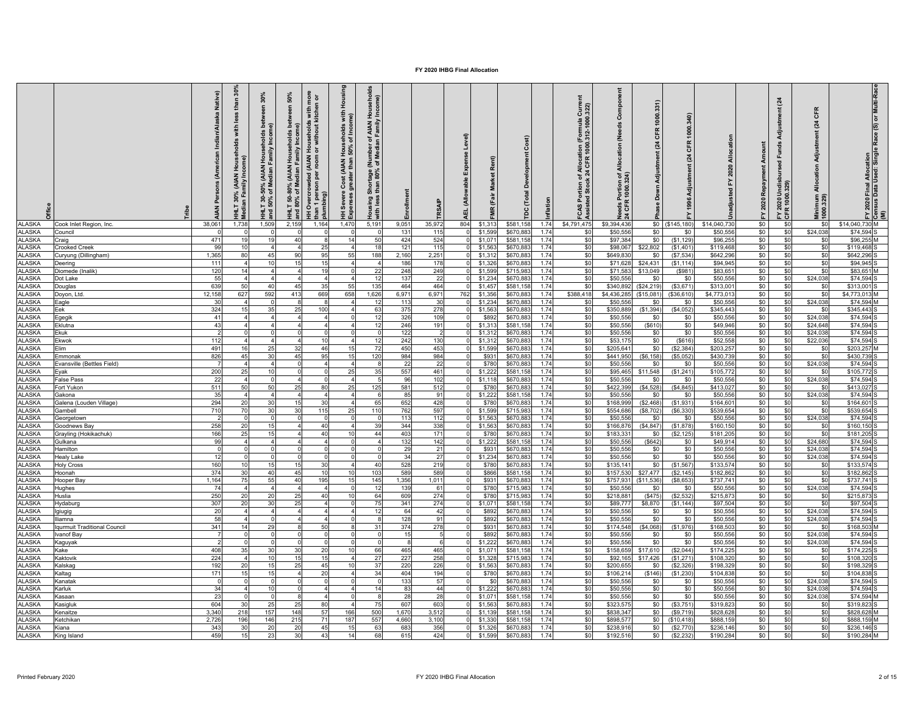|                                | ribe                               | Native)<br>$\tilde{A}$ | និ<br>than<br>with<br>holds<br>ρî<br>Hous<br>nily Inco<br>(AIAN<br>dian Fi<br>నె | 30%<br>ween<br>ា<br>ស្រុក<br>ស្រុក<br>-50% (AIAN Households<br>of Median Family Incom<br>HILT 30-<br>and 50% | 50%<br>between<br>-80% (AIAN Households<br>of Median Family Incom<br>HHLT 50-4<br>and 80% ( | more<br>n or<br>with<br>tcher<br>l Households w<br>hor without kite<br>Overcrowded (AIAN<br><b>a</b><br>$\mathbf{\overline{5}}$<br>han 1 perso<br><sup>Murmbing)</sup> | Housing<br>with<br>me)<br>o Cost (AIAN Households)<br>greater than 50% of Inco<br>HH Severe<br>Expenses g | eholds<br>Hous<br><b>FAIAN H</b><br>Family<br>৳<br>롱<br>Shortage (<br>ithan 80%<br>Housing:<br>with less | <b>Enrollment</b> |              | Expense Level)<br>(Allowable<br>a≣. | Rent)<br>(Fair<br>$\alpha$ | ŏ<br>Total<br>ă       |              | $Current$<br>$.322$<br>(Formula C)<br>0.312-1000.<br>tion (l<br>1000.∶<br><b>-CAS Portion of Alloca</b><br>Assisted Stock 24 CFR | Compo<br>(Needs<br>Allocation<br>৳ ৽<br>ზ | 331)<br>1000<br><b>GFR</b><br>$\overline{a}$<br>Adjustment<br>Down | 1000<br>CFR<br>Adiustment (24<br>996 |                        | Repayment Amount<br>2020<br>ŕ. | tment (24<br>ą<br>_ਖੁੰ<br>長<br>ondi<br>0.32<br>2020<br>R 100<br>CFR | CFR<br>(24)<br>Adjustment<br>Allocation<br>Minimum<br>1000.329) | le Race (S) or Multi-Ra<br>2020 Final Allocation<br>1sus Data Used: Singl<br>Ξ |
|--------------------------------|------------------------------------|------------------------|----------------------------------------------------------------------------------|--------------------------------------------------------------------------------------------------------------|---------------------------------------------------------------------------------------------|------------------------------------------------------------------------------------------------------------------------------------------------------------------------|-----------------------------------------------------------------------------------------------------------|----------------------------------------------------------------------------------------------------------|-------------------|--------------|-------------------------------------|----------------------------|-----------------------|--------------|----------------------------------------------------------------------------------------------------------------------------------|-------------------------------------------|--------------------------------------------------------------------|--------------------------------------|------------------------|--------------------------------|---------------------------------------------------------------------|-----------------------------------------------------------------|--------------------------------------------------------------------------------|
| <b>ALASKA</b>                  | Cook Inlet Region, Inc.            | 38,061                 | 1,738                                                                            | 1,509                                                                                                        | 2,159                                                                                       | 1,164                                                                                                                                                                  | 1,470                                                                                                     | 5,191                                                                                                    | 9,051             | 35,97        | 804                                 | \$1,313                    | \$581,15              | 1.74         | \$4,791,475                                                                                                                      | \$9,394,436                               | \$0                                                                | (\$145, 180)                         | \$14,040,73            | \$0                            | \$0                                                                 | \$ <sub>1</sub>                                                 | \$14,040,730 M                                                                 |
| <b>ALASKA</b><br><b>ALASKA</b> | Council                            | 471                    | 19                                                                               |                                                                                                              | 40                                                                                          |                                                                                                                                                                        | 14                                                                                                        | 50                                                                                                       | 131<br>424        | 115<br>524   |                                     | \$1,599<br>\$1,07          | \$670,88<br>\$581,15  | 1.74<br>1.74 | \$0<br>\$0                                                                                                                       | \$50,556<br>\$97,384                      | \$0<br>\$0                                                         | \$0<br>(\$1,129)                     | \$50,55<br>\$96,25     | \$0<br>\$0                     | \$0<br>\$0                                                          | \$24,038<br>\$0                                                 | \$74,594<br>\$96,255                                                           |
| LASKA                          | Craig<br>Crooked Creek             | 99                     | 10                                                                               |                                                                                                              | 4                                                                                           | 25                                                                                                                                                                     |                                                                                                           | 18                                                                                                       | 121               | 115          |                                     | \$1,56                     | \$670,88              | 1.74         | \$0                                                                                                                              | \$98,067                                  | \$22,802                                                           | (S1, 401)                            | \$119,468              | \$0                            | \$0                                                                 | \$0                                                             | \$119,468                                                                      |
| LASKA                          | Curyung (Dillingham)               | 1,365                  | 80                                                                               | 45                                                                                                           | 90                                                                                          | 95                                                                                                                                                                     | 55                                                                                                        | 188                                                                                                      | 2,160             | 2,25         |                                     | \$1,312                    | \$670,88              | 1.74         | \$0                                                                                                                              | \$649,830                                 | \$0                                                                | (\$7,534                             | \$642,296              | \$0                            | \$0                                                                 | \$0                                                             | \$642,296                                                                      |
| <b>ALASKA</b>                  | Deerina                            | 111                    |                                                                                  | 10                                                                                                           | 15                                                                                          | 15                                                                                                                                                                     |                                                                                                           | $\overline{4}$                                                                                           | 186               | 178          |                                     | \$1,326                    | \$670,88              | 1.74         | \$0                                                                                                                              | \$71,628                                  | \$24,431                                                           | (S1, 114)                            | \$94,945               | \$0                            | \$0                                                                 | \$0                                                             | \$94,945                                                                       |
| ALASKA                         | Diomede (Inalik)                   | 120                    | 14                                                                               |                                                                                                              |                                                                                             | 19                                                                                                                                                                     |                                                                                                           | 22                                                                                                       | 248               | 249          |                                     | \$1,59                     | \$715,98              | 1.74         | \$0                                                                                                                              | \$71.58                                   | \$13,049                                                           | (\$981                               | \$83,65                | \$0                            | \$0                                                                 | \$0                                                             | \$83.651                                                                       |
| LASKA                          | Dot Lake                           | 55                     |                                                                                  |                                                                                                              |                                                                                             |                                                                                                                                                                        |                                                                                                           | 12                                                                                                       | 137               | 22           |                                     | \$1,23                     | \$670,88              | 1.74         | \$0                                                                                                                              | \$50,556                                  | \$0                                                                | \$0                                  | \$50,55                | \$0                            | \$0                                                                 | \$24,038                                                        | \$74,594                                                                       |
| LASKA<br>LASKA                 | Douglas                            | 639<br>12,158          | 50<br>62                                                                         | 40<br>592                                                                                                    | 45<br>413                                                                                   | 35<br>669                                                                                                                                                              | 55<br>658                                                                                                 | 135<br>1,626                                                                                             | 464<br>6,971      | 464<br>6,971 |                                     | \$1,45<br>\$1,356          | \$581,15<br>\$670,88  | 1.74<br>1.74 | \$0<br>\$388,418                                                                                                                 | \$340,892<br>\$4,436,285                  | (\$24,219<br>(\$15,081                                             | (\$3,671<br>(\$36,610                | \$313,00<br>\$4,773,01 | \$0<br>\$0                     | \$0                                                                 | \$0<br>\$C                                                      | \$313,001<br>\$4,773,013                                                       |
| <b>ALASKA</b>                  | Doyon, Ltd.<br>Eagle               | 30                     |                                                                                  |                                                                                                              | $\mathbf{R}$                                                                                |                                                                                                                                                                        |                                                                                                           | 12                                                                                                       | 113               | 30           | 762                                 | \$1,23                     | \$670,88              | 1.74         | \$0                                                                                                                              | \$50,556                                  | \$0                                                                | \$0                                  | \$50,556               | \$0                            | \$0<br>\$0                                                          | \$24,038                                                        | \$74,594                                                                       |
| <b>ALASKA</b>                  | Eek                                | 324                    | 15                                                                               |                                                                                                              | 25                                                                                          | 100                                                                                                                                                                    |                                                                                                           | 63                                                                                                       | 375               | 278          |                                     | \$1,56                     | \$670,88              | 1.74         | \$0                                                                                                                              | \$350,88                                  | (\$1,394)                                                          | (\$4,052                             | \$345,443              | \$0                            | \$0                                                                 | $$^{<}$                                                         | \$345,443                                                                      |
| <b>ALASKA</b>                  | Egegik                             | 41                     |                                                                                  |                                                                                                              |                                                                                             |                                                                                                                                                                        |                                                                                                           | 12                                                                                                       | 326               | 109          |                                     | \$89                       | \$670,88              | 1.74         | \$0                                                                                                                              | \$50,55                                   | \$0                                                                | \$0                                  | \$50,55                | \$0                            | \$0                                                                 | \$24,038                                                        | \$74,594                                                                       |
| <b>ALASKA</b>                  | Eklutna                            | 43                     |                                                                                  |                                                                                                              |                                                                                             |                                                                                                                                                                        |                                                                                                           | 12                                                                                                       | 246               | 191          |                                     | \$1,31                     | \$581,15              | 1.74         | \$0                                                                                                                              | \$50,556                                  | ( \$610)                                                           | \$0                                  | \$49,94                | \$0                            | \$0                                                                 | \$24,648                                                        | \$74,594                                                                       |
| <b>ALASKA</b>                  | Ekuk                               |                        |                                                                                  |                                                                                                              |                                                                                             |                                                                                                                                                                        |                                                                                                           | $\mathbf 0$                                                                                              | 122               |              |                                     | \$1,312                    | \$670,88              | 1.74         | \$0                                                                                                                              | \$50,556                                  | \$0                                                                | \$0                                  | \$50,55                | \$0                            | \$0                                                                 | \$24,038                                                        | \$74,594                                                                       |
| <b>ALASKA</b>                  | Ekwok                              | 112                    |                                                                                  |                                                                                                              |                                                                                             | 10                                                                                                                                                                     |                                                                                                           | 12                                                                                                       | 242               | 130          |                                     | \$1,312                    | \$670,88              | 1.74         | \$0                                                                                                                              | \$53,175                                  | \$0                                                                | (S616)                               | \$52,558               | \$0                            | \$0                                                                 | \$22,036                                                        | \$74,594                                                                       |
| <b>ALASKA</b>                  | Elim                               | 491                    | 16                                                                               | 25                                                                                                           | 32                                                                                          | 46                                                                                                                                                                     | 15                                                                                                        | 72                                                                                                       | 450               | 453          |                                     | \$1,599                    | \$670,88              | 1.74         | \$0                                                                                                                              | \$205,641                                 | \$0                                                                | (S2, 384)                            | \$203,25               | \$0                            | \$0                                                                 | \$0                                                             | \$203,257                                                                      |
| <b>ALASKA</b>                  | Emmonak                            | 826                    | 45                                                                               | 30                                                                                                           | 45                                                                                          | 95                                                                                                                                                                     | 15                                                                                                        | 120                                                                                                      | 984               | 984          |                                     | \$931                      | \$670,88              | 1.74         | \$0                                                                                                                              | \$441,950                                 | (\$6,158)                                                          | (S5,052)                             | \$430,73               | \$0                            | \$0                                                                 | \$0                                                             | \$430,739                                                                      |
| <b>ALASKA</b><br><b>ALASKA</b> | Evansville (Bettles Field)<br>Eyak | 200                    | 25                                                                               | 10                                                                                                           |                                                                                             |                                                                                                                                                                        | 25                                                                                                        | 35                                                                                                       | 22<br>557         | 22<br>461    |                                     | \$780<br>\$1,222           | \$670,88<br>\$581,15  | 1.74<br>1.74 | \$0<br>\$0                                                                                                                       | \$50,556<br>\$95,465                      | \$0<br>\$11,548                                                    | \$0<br>(S1, 241)                     | \$50,55<br>\$105,772   | \$0<br>\$0                     | \$0<br>\$0                                                          | \$24,038<br>-SC                                                 | \$74,594<br>\$105,772                                                          |
| LASKA                          | False Pass                         | 22                     |                                                                                  |                                                                                                              |                                                                                             |                                                                                                                                                                        |                                                                                                           |                                                                                                          | 96                | 102          |                                     | \$1,118                    | \$670,88              | 1.74         | \$0                                                                                                                              | \$50,556                                  | \$0                                                                | \$0                                  | \$50,55                | \$0                            | \$0                                                                 | \$24,038                                                        | \$74.594                                                                       |
| LASKA                          | Fort Yukon                         | 511                    | 50                                                                               | 50                                                                                                           | 25                                                                                          | 80                                                                                                                                                                     | 25                                                                                                        | 125                                                                                                      | 581               | 512          |                                     | \$780                      | \$670,88              | 1.74         | \$0                                                                                                                              | \$422,399                                 | (\$4,528)                                                          | (\$4,845                             | \$413,02               | \$0                            | \$0                                                                 | \$C                                                             | \$413,027                                                                      |
| <b>ALASKA</b>                  | Gakona                             | 35                     |                                                                                  |                                                                                                              |                                                                                             |                                                                                                                                                                        |                                                                                                           | 6                                                                                                        | 85                | 91           |                                     | \$1,222                    | \$581,15              | 1.74         | \$0                                                                                                                              | \$50,556                                  | \$0                                                                | \$0                                  | \$50,55                | \$0                            | \$0                                                                 | \$24,038                                                        | \$74,594                                                                       |
| <b>ALASKA</b>                  | Galena (Louden Village)            | 294                    | 20                                                                               | 30                                                                                                           | 15                                                                                          | 30                                                                                                                                                                     |                                                                                                           | 65                                                                                                       | 652               | 428          |                                     | \$780                      | \$670,88              | 1.74         | \$0                                                                                                                              | \$168,999                                 | (\$2,468)                                                          | (S1, 931)                            | \$164,60               | \$0                            | \$0                                                                 | <b>SC</b>                                                       | \$164,601                                                                      |
| <b>ALASKA</b>                  | <b>Sambell</b>                     | 710                    | 70                                                                               |                                                                                                              | 30                                                                                          | 115                                                                                                                                                                    | 25                                                                                                        | 110                                                                                                      | 762               | 597          |                                     | \$1,59                     | \$715.98              | 1.74         | \$0                                                                                                                              | \$554,68                                  | (\$8,702                                                           | (\$6,330                             | \$539,65               | \$0                            | \$0                                                                 | \$0                                                             | \$539,654                                                                      |
| <b>ALASKA</b>                  | Georaetown                         |                        |                                                                                  |                                                                                                              |                                                                                             |                                                                                                                                                                        |                                                                                                           |                                                                                                          | 113               | 112          |                                     | \$1,56                     | \$670,88              | 1.74         | \$0                                                                                                                              | \$50,55                                   | \$0                                                                | \$0                                  | \$50,55                | \$0                            | \$0                                                                 | \$24,038                                                        | \$74,594                                                                       |
| <b>ALASKA</b>                  | Soodnews Bay                       | 258                    | 20                                                                               |                                                                                                              |                                                                                             | 40                                                                                                                                                                     |                                                                                                           | 39                                                                                                       | 344               | 338          |                                     | \$1,56                     | \$670,88              | 1.74         | \$0                                                                                                                              | \$166,87                                  | (\$4,847                                                           | (S1, 878)                            | \$160,15               | \$0                            | \$0                                                                 | \$C                                                             | \$160,150                                                                      |
| <b>ALASKA</b><br><b>ALASKA</b> | Grayling (Hokikachuk)              | 166<br>99              | 25                                                                               |                                                                                                              |                                                                                             | 40                                                                                                                                                                     | 10                                                                                                        | 44<br>$\overline{4}$                                                                                     | 403<br>132        | 171          |                                     | \$78                       | \$670.88              | 1.74<br>1.74 | \$O                                                                                                                              | \$183.33<br>\$50,556                      | \$0                                                                | (\$2, 125                            | \$181.20               | \$0                            | \$0                                                                 | \$0                                                             | \$181.205<br>\$74,594                                                          |
| LASKA                          | <b>Gulkana</b><br>Hamilton         | $\Omega$               |                                                                                  |                                                                                                              |                                                                                             |                                                                                                                                                                        |                                                                                                           | $\mathbf 0$                                                                                              | 29                | 142<br>21    |                                     | \$1,22<br>\$93             | \$581,15<br>\$670,88  | 1.74         | \$0<br>\$0                                                                                                                       | \$50,556                                  | (\$642]<br>\$0                                                     | \$0<br>\$0                           | \$49,914<br>\$50,556   | \$0<br>\$0                     | \$0<br>\$0                                                          | \$24,680<br>\$24,038                                            | \$74,594                                                                       |
| <b>ALASKA</b>                  | <b>Healy Lake</b>                  | 12                     |                                                                                  |                                                                                                              |                                                                                             |                                                                                                                                                                        |                                                                                                           | $\mathbf 0$                                                                                              | 34                | 27           |                                     | \$1,234                    | \$670,88              | 1.74         | \$0                                                                                                                              | \$50,556                                  | \$0                                                                | \$0                                  | \$50,556               | \$0                            | \$0                                                                 | \$24,038                                                        | \$74,594                                                                       |
| ALASKA                         | <b>Holy Cross</b>                  | 160                    | 10                                                                               | 15                                                                                                           | 15                                                                                          | 30                                                                                                                                                                     |                                                                                                           | 40                                                                                                       | 528               | 219          |                                     | \$780                      | \$670,88              | 1.74         | \$0                                                                                                                              | \$135,141                                 | \$0                                                                | (\$1,567                             | \$133,57               | \$0                            | \$0                                                                 | \$0                                                             | \$133,574                                                                      |
| <b>LASKA</b>                   | Hoonah                             | 374                    | 3 <sub>C</sub>                                                                   | 40                                                                                                           | 45                                                                                          | 10                                                                                                                                                                     | 10                                                                                                        | 103                                                                                                      | 589               | 589          |                                     | \$866                      | \$581,15              | 1.74         | \$0                                                                                                                              | \$157,530                                 | \$27,477                                                           | (S2, 145)                            | \$182,86               | \$0                            | \$0                                                                 | \$0                                                             | \$182,862                                                                      |
| LASKA                          | looper Bay                         | 1,164                  | 75                                                                               | 55                                                                                                           | 40                                                                                          | 195                                                                                                                                                                    | 15                                                                                                        | 145                                                                                                      | 1,356             | 1,011        |                                     | \$93                       | \$670,88              | 1.74         | \$0                                                                                                                              | \$757,93                                  | (\$11,536                                                          | (\$8,653                             | \$737,74               | \$0                            | \$0                                                                 | \$0                                                             | \$737,741                                                                      |
| LASKA                          | <b>Hughes</b>                      | 74                     |                                                                                  |                                                                                                              |                                                                                             |                                                                                                                                                                        |                                                                                                           | 12                                                                                                       | <b>139</b>        | 61           |                                     | \$780                      | \$715,98              | 1.74         | \$0                                                                                                                              | \$50,556                                  | \$0                                                                | \$0                                  | \$50,55                | \$0                            | \$0                                                                 | \$24,038                                                        | \$74,594                                                                       |
| <b>ALASKA</b>                  | Huslia                             | 250                    | 20                                                                               | 20                                                                                                           | 25                                                                                          | 40                                                                                                                                                                     | 10                                                                                                        | 64                                                                                                       | 609               | 274          |                                     | \$780                      | \$715,98              | 1.74         | \$0                                                                                                                              | \$218,881                                 | $($ \$475)                                                         | (S2, 532)                            | \$215,87               | \$0                            | \$0                                                                 | \$0                                                             | \$215,873                                                                      |
| <b>ALASKA</b><br><b>ALASKA</b> | Hydaburg<br>pipuipl                | 307<br>20              | 20                                                                               | 30                                                                                                           | 25                                                                                          |                                                                                                                                                                        |                                                                                                           | 75<br>12                                                                                                 | 341<br>64         | 274<br>42    |                                     | \$1,071<br>\$89            | \$581,158<br>\$670,88 | 1.74<br>1.74 | \$0<br>\$0                                                                                                                       | \$89,777<br>\$50,55                       | \$8,870<br>\$0                                                     | (S1, 144)<br>\$0                     | \$97,504<br>\$50,55    | \$0<br>\$0                     | \$0<br>\$0                                                          | \$C<br>\$24,038                                                 | \$97,504<br>\$74,594                                                           |
| <b>ALASKA</b>                  | lliamna                            | 58                     |                                                                                  |                                                                                                              |                                                                                             |                                                                                                                                                                        |                                                                                                           | 8                                                                                                        | 128               | 91           |                                     | \$892                      | \$670,88              | 1.74         | \$0                                                                                                                              | \$50.55                                   | \$0                                                                | \$0                                  | \$50,55                | \$0                            | \$0                                                                 | \$24,038                                                        | \$74,594                                                                       |
| <b>ALASKA</b>                  | qurmuit Traditional Council        | 341                    | 14                                                                               | 29                                                                                                           |                                                                                             | 50                                                                                                                                                                     |                                                                                                           | 31                                                                                                       | 374               | 278          |                                     | \$93                       | \$670,88              | 1.74         | \$0                                                                                                                              | \$174,548                                 | (\$4,068)                                                          | (S1, 976)                            | \$168,50               | \$0                            | \$0                                                                 | -SC                                                             | \$168,503                                                                      |
| <b>ALASKA</b>                  | Ivanof Bay                         |                        |                                                                                  |                                                                                                              |                                                                                             |                                                                                                                                                                        |                                                                                                           | $\circ$                                                                                                  | 15                | -5           |                                     | \$892                      | \$670.88              | 1.74         | \$0                                                                                                                              | \$50,556                                  | \$0                                                                | \$0                                  | \$50,556               | \$0                            | \$0                                                                 | \$24.038                                                        | \$74.594                                                                       |
| <b>ALASKA</b>                  | Kaguyak                            |                        |                                                                                  |                                                                                                              | n                                                                                           |                                                                                                                                                                        |                                                                                                           | $\Omega$                                                                                                 |                   | -6           |                                     | \$1,222                    | \$670,88              | 1.74         | \$0                                                                                                                              | \$50,556                                  | \$0                                                                | \$0                                  | \$50,55                | \$0                            | \$0                                                                 | \$24,038                                                        | \$74,594                                                                       |
| <b>ALASKA</b>                  | Kake                               | 408                    | 35                                                                               | 30                                                                                                           | 30                                                                                          | 20                                                                                                                                                                     | 10                                                                                                        | 66                                                                                                       | 465               | 465          |                                     | \$1,071                    | \$581,158             | 1.74         | \$0                                                                                                                              | \$158,659                                 | \$17,610                                                           | (\$2,044)                            | \$174,22               | \$0                            | \$0                                                                 | \$0                                                             | \$174,225                                                                      |
| <b>ALASKA</b>                  | Kaktovik                           | 224                    |                                                                                  | 10                                                                                                           | 15                                                                                          | 15                                                                                                                                                                     |                                                                                                           | 27                                                                                                       | 227               | 258          |                                     | \$1,328                    | \$715,98              | 1.74         | \$0                                                                                                                              | \$92,165                                  | \$17,426                                                           | (\$1,271                             | \$108,32               | \$0                            | \$0                                                                 | \$0                                                             | \$108,320                                                                      |
| <b>ALASKA</b>                  | Kalskag                            | 192                    | 20                                                                               | 15                                                                                                           | 25                                                                                          | 45                                                                                                                                                                     | 10                                                                                                        | 37                                                                                                       | 220               | 226          |                                     | \$1,563                    | \$670,88              | 1.74         | \$0                                                                                                                              | \$200,65                                  | \$0                                                                | (S2, 326)                            | \$198,32               | \$0                            | \$0                                                                 | \$0                                                             | \$198,329                                                                      |
| LASKA                          | Kaltag                             | 171<br>$\Omega$        | 15                                                                               | 15                                                                                                           |                                                                                             | 20                                                                                                                                                                     |                                                                                                           | 34<br>$\Omega$                                                                                           | 404               | 194          |                                     | \$780<br>- SC              | \$670.88              | 1.74<br>1.74 | \$0                                                                                                                              | \$106.214                                 | (S146)                                                             | (S1.230)                             | \$104,83               | \$0                            | \$0                                                                 | \$0                                                             | \$104.838                                                                      |
| LASKA<br>LASKA                 | Kanatak<br>Karluk                  | 34                     |                                                                                  |                                                                                                              |                                                                                             |                                                                                                                                                                        |                                                                                                           | 14                                                                                                       | 133<br>83         | 57<br>44     |                                     | \$1,222                    | \$670,88<br>\$670,88  | 1.74         | \$0<br>\$0                                                                                                                       | \$50,556<br>\$50,556                      | \$0<br>\$0                                                         | \$0<br>\$0                           | \$50,55<br>\$50,556    | \$0<br>\$0                     | \$0<br>\$0                                                          | \$24,038<br>\$24,03                                             | \$74,594<br>\$74,594                                                           |
| <b>ALASKA</b>                  | Kasaan                             | 23                     |                                                                                  |                                                                                                              |                                                                                             |                                                                                                                                                                        |                                                                                                           | 8                                                                                                        | 28                | 28           |                                     | \$1,07                     | \$581,15              | 1.74         | \$0                                                                                                                              | \$50,556                                  | \$0                                                                | \$0                                  | \$50,556               | \$0                            | \$0                                                                 | \$24,038                                                        | \$74,594                                                                       |
| <b>ALASKA</b>                  | Kasigluk                           | 604                    | 3 <sub>0</sub>                                                                   | 25                                                                                                           | 25                                                                                          | 80                                                                                                                                                                     |                                                                                                           | 75                                                                                                       | 607               | 603          |                                     | \$1,56                     | \$670,88              | 1.74         | \$0                                                                                                                              | \$323,575                                 | \$0                                                                | (\$3,751                             | \$319,82               | \$0                            | \$0                                                                 | <b>S</b>                                                        | \$319,823                                                                      |
| <b>ALASKA</b>                  | Kenaitze                           | 3,340                  | 218                                                                              | 157                                                                                                          | 148                                                                                         | 57                                                                                                                                                                     | 166                                                                                                       | 500                                                                                                      | 1,670             | 3,512        |                                     | \$1,13                     | \$581,15              | 1.74         | \$0                                                                                                                              | \$838,347                                 | \$0                                                                | (\$9,719                             | \$828,62               | \$0                            | \$0                                                                 | \$0                                                             | \$828,628                                                                      |
| <b>ALASKA</b>                  | <b>Ketchikan</b>                   | 2,726                  | 196                                                                              | 146                                                                                                          | 215                                                                                         | 71                                                                                                                                                                     | 187                                                                                                       | 557                                                                                                      | 4,660             | 3,100        |                                     | \$1,33                     | \$581,15              | 1.74         | \$0                                                                                                                              | \$898.57                                  | \$0                                                                | (\$10,418                            | \$888,15               | \$0                            | \$0                                                                 | \$0                                                             | \$888.159                                                                      |
| <b>ALASKA</b>                  | Kiana                              | 343                    | 30                                                                               | $\overline{2}$                                                                                               | 20                                                                                          | 45                                                                                                                                                                     | 15                                                                                                        | 63                                                                                                       | 683               | 356          |                                     | \$1.32                     | \$670.88              | 1.74         | \$0                                                                                                                              | \$238,916                                 | \$0                                                                | (\$2,770                             | \$236.14               | \$0                            | \$0                                                                 | \$0                                                             | \$236.146                                                                      |
| <b>ALASKA</b>                  | King Island                        | 459                    | 15                                                                               | 23                                                                                                           | 30                                                                                          | 43                                                                                                                                                                     | 14                                                                                                        | 68                                                                                                       | 615               | 424          |                                     | \$1,599                    | \$670,88              | 1.74         | \$0                                                                                                                              | \$192,516                                 | \$0                                                                | (\$2,232                             | \$190,284              | \$0                            | \$0                                                                 | \$0                                                             | \$190,284 M                                                                    |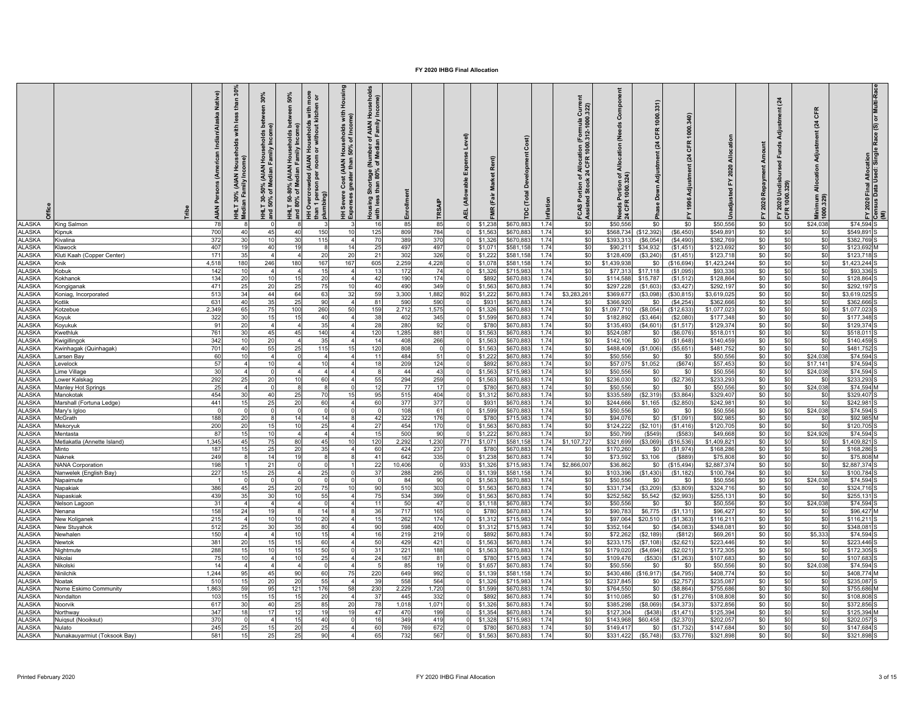|                                |                              | Native)<br>٥ĭ<br><b>ANIA</b> | $\tilde{s}$<br>£<br>with<br>ê<br>$\frac{3}{2}$<br>Median Far | 30%<br>ڇ ءَ<br>)% (AIAN Househ<br>Median Family I<br>HHLT 30-50%<br>and 50% of M | 50%<br><u>ទី</u><br>Househ<br>₹<br><b>AIAN</b><br>HHLT 50-80%<br>and 80% of M<br>ᇃ | Housing<br>more<br>n or<br>with<br>with<br>me)<br>l Households v<br>hor without kit<br>e Cost (AIAN Households -<br>greater than 50% of Inco<br><b>HH Overcrowded (AIAN</b><br>$\mathbf s$<br>pers<br>ing)<br>HH Severe<br>Expenses ç<br>han 1<br>Ilumbi | $\frac{8}{5}$<br>ehol<br>me)<br>f AIAN I<br>Family<br>(Number of<br>of Median F<br>tage (<br>80%<br>Shortag<br>than<br>Housing<br>with less | Enrollment |            | Expense Level)<br>(Allowable<br>팢 | <b>c</b> e<br>(Fair | Developn<br>Total    | Inflation    | Current<br>1.322)<br>ation (Formula 0<br>FCAS Portion of Alloca<br>Assisted Stock 24 CFR | Compo<br>(Needs<br>Allocation<br>চ র<br>흉 | 331)<br>1000.<br>CFR<br>(24)<br>Adjustment<br>Down | CFR<br>24             | ৱ<br>2020<br>꿈        | Amount<br>Repayment<br>2020<br>ř | tment (24<br>Funds<br>FY 2020 Undisi<br>CFR 1000.329) | CFR<br>$\overline{a}$<br>Adjustm<br>Allocation<br>Minimum<br>1000.329) | 2020 Final Allocation<br>1sus Data Used: Single Race (S) or Multi-Race<br>≧ ڦ ≾ |
|--------------------------------|------------------------------|------------------------------|--------------------------------------------------------------|----------------------------------------------------------------------------------|------------------------------------------------------------------------------------|----------------------------------------------------------------------------------------------------------------------------------------------------------------------------------------------------------------------------------------------------------|---------------------------------------------------------------------------------------------------------------------------------------------|------------|------------|-----------------------------------|---------------------|----------------------|--------------|------------------------------------------------------------------------------------------|-------------------------------------------|----------------------------------------------------|-----------------------|-----------------------|----------------------------------|-------------------------------------------------------|------------------------------------------------------------------------|---------------------------------------------------------------------------------|
| <b>ALASKA</b>                  | King Salmon                  | 78                           |                                                              |                                                                                  |                                                                                    |                                                                                                                                                                                                                                                          | 16                                                                                                                                          | 85         | 85         |                                   | \$1,238             | \$670,88             | 1.74         | \$0                                                                                      | \$50,556                                  | \$0                                                | \$0                   | \$50.556              | \$0                              | \$0                                                   | \$24,038                                                               | \$74.594 S                                                                      |
| <b>ALASKA</b>                  | Kipnuk                       | 700                          | 40                                                           | 45                                                                               | 40                                                                                 | 150<br>10                                                                                                                                                                                                                                                | 125                                                                                                                                         | 809        | 784        |                                   | \$1,563             | \$670.88             | 1.74         | S <sub>0</sub>                                                                           | \$568,734                                 | (\$12.392                                          | (S6.450)              | \$549.89              | \$0                              | \$0                                                   | \$0                                                                    | \$549.891                                                                       |
| LASKA                          | Kivalina                     | 372                          | 3 <sub>C</sub>                                               |                                                                                  | 30                                                                                 | 115                                                                                                                                                                                                                                                      | 70                                                                                                                                          | 389        | 370        |                                   | \$1,326             | \$670,88             | 1.74         | \$0                                                                                      | \$393,313                                 | (\$6,054                                           | (S4, 490)             | \$382,769             | \$0                              | \$0                                                   | \$0                                                                    | \$382,769                                                                       |
| LASKA                          | Klawock                      | 407                          | 19                                                           | 4(                                                                               | 19                                                                                 | 14                                                                                                                                                                                                                                                       | 25                                                                                                                                          | 497        | 497        |                                   | \$1,07              | \$581,158            | 1.74         | \$0                                                                                      | \$90,211                                  | \$34,932                                           | (\$1,451              | \$123,692             | \$0                              | \$0                                                   | \$0                                                                    | \$123,692 M                                                                     |
| <b>ALASKA</b>                  | Kluti Kaah (Copper Center)   | 171                          | 35                                                           |                                                                                  |                                                                                    | 20<br>20                                                                                                                                                                                                                                                 | 21                                                                                                                                          | 302        | 326        |                                   | \$1,22              | \$581,158            | 1.74         | \$0                                                                                      | \$128,409                                 | (\$3,240                                           | (S1, 451)             | \$123,718             | \$0                              | \$0                                                   | \$0                                                                    | \$123,718                                                                       |
| <b>ALASKA</b>                  | Knik                         | 4.518                        | 180<br>10                                                    | 246                                                                              | 180                                                                                | 167<br>167<br>15                                                                                                                                                                                                                                         | 605                                                                                                                                         | 2,259      | 4,228      |                                   | \$1,07              | \$581,158            | 1.74         | \$0                                                                                      | \$1,439,93                                | \$0                                                | (\$16,694)            | \$1,423,244           | \$0                              | \$0                                                   | \$0                                                                    | \$1,423,244                                                                     |
| LASKA<br>LASKA                 | Kobuk<br>Kokhanok            | 142<br>134                   | 20                                                           |                                                                                  | 15                                                                                 | 20                                                                                                                                                                                                                                                       | 13<br>42                                                                                                                                    | 172<br>190 | 74<br>174  |                                   | \$1,32<br>\$892     | \$715,98<br>\$670,88 | 1.74<br>1.74 | \$0<br>\$0                                                                               | \$77,313<br>\$114,588                     | \$17,118<br>\$15,787                               | (S1,095)<br>(\$1,512  | \$93,336<br>\$128,864 | \$0<br>\$0                       | \$0<br>\$0                                            | \$0<br>\$0                                                             | \$93,336<br>\$128,864                                                           |
| LASKA                          | Kongiganak                   | 471                          | 25                                                           | $\overline{2}$                                                                   | 25                                                                                 | 75<br>$\overline{10}$                                                                                                                                                                                                                                    | 40                                                                                                                                          | 490        | 349        |                                   | \$1,56              | \$670,88             | 1.74         | \$0                                                                                      | \$297,22                                  | (\$1,603                                           | (S3, 427)             | \$292,197             | \$0                              | \$0                                                   | \$0                                                                    | \$292,197                                                                       |
| <b>ALASKA</b>                  | Koniag, Incorporated         | 513                          | 34                                                           | 44                                                                               | 64                                                                                 | 63<br>32                                                                                                                                                                                                                                                 | 59                                                                                                                                          | 3,300      | 1,882      | 802                               | \$1,222             | \$670,88             | 1.74         | \$3,283,261                                                                              | \$369,677                                 | (\$3,098                                           | (\$30, 815)           | \$3,619,025           | \$0                              | \$0                                                   | \$0                                                                    | \$3,619,025                                                                     |
| <b>ALASKA</b>                  | Kotlik                       | 631                          | 40                                                           |                                                                                  | 25                                                                                 | 90                                                                                                                                                                                                                                                       | 81                                                                                                                                          | 590        | 590        |                                   | \$93                | \$670,88             | 1.74         | \$0                                                                                      | \$366,92                                  | \$0                                                | (S4, 254)             | \$362,666             | \$0                              | \$0                                                   | \$0                                                                    | \$362,666                                                                       |
| <b>ALASKA</b>                  | Kotzebue                     | 2,349                        | 65                                                           |                                                                                  | 100                                                                                | 260<br>50                                                                                                                                                                                                                                                | 159                                                                                                                                         | 2,712      | 1,575      |                                   | \$1,32              | \$670,88             | 1.74         | \$0                                                                                      | \$1,097,710                               | (\$8,054)                                          | (\$12,633             | \$1,077,02            | \$0                              | \$0                                                   | \$0                                                                    | \$1,077,02                                                                      |
| <b>ALASKA</b>                  | Koyuk                        | 322                          | 30                                                           |                                                                                  | 15                                                                                 | 40                                                                                                                                                                                                                                                       | 38                                                                                                                                          | 402        | 345        |                                   | \$1,599             | \$670.88             | 1.74         | \$0                                                                                      | \$182,892                                 | (S3.464)                                           | (S2.080)              | \$177,348             | \$0                              | \$0                                                   | \$0                                                                    | \$177,348                                                                       |
| <b>ALASKA</b>                  | <b>Koyukuk</b>               | 91                           | 20                                                           |                                                                                  |                                                                                    | 35                                                                                                                                                                                                                                                       | 28                                                                                                                                          | 280        | 92         |                                   | \$780               | \$670,88             | 1.74         | \$0                                                                                      | \$135,493                                 | (\$4,601                                           | (\$1,517              | \$129,374             | \$0                              | \$0                                                   | \$0                                                                    | \$129,374                                                                       |
| <b>ALASKA</b>                  | Kwethluk                     | 761                          | 30                                                           | 4!                                                                               | 45                                                                                 | 140                                                                                                                                                                                                                                                      | 120                                                                                                                                         | 1,285      | 881        |                                   | \$1,563             | \$670,88             | 1.74         | \$0                                                                                      | \$524,087                                 | \$0                                                | (S6,076)              | \$518,01              | \$0                              | \$0                                                   | \$0                                                                    | \$518,011                                                                       |
| <b>ALASKA</b>                  | Kwigillingok                 | 342                          | 10                                                           | 2(                                                                               |                                                                                    | 35                                                                                                                                                                                                                                                       | 14                                                                                                                                          | 408        | 266        |                                   | \$1,563             | \$670,883            | 1.74         | \$0                                                                                      | \$142,106                                 | \$0                                                | (S1, 648)             | \$140,459             | \$0                              | \$0                                                   | \$0                                                                    | \$140,459                                                                       |
| LASKA                          | Kwinhagak (Quinhagak)        | 701                          | 40                                                           | 55                                                                               | 25                                                                                 | 115<br>15                                                                                                                                                                                                                                                | 120                                                                                                                                         | 808        | $^{\circ}$ |                                   | \$1,563             | \$670,88             | 1.74         | \$0                                                                                      | \$488,409                                 | (\$1,006)                                          | (\$5,651]             | \$481,752             | \$0                              | \$0                                                   | \$0                                                                    | \$481,752                                                                       |
| <b>ALASKA</b>                  | Larsen Bav                   | 60                           | 10                                                           |                                                                                  | $\Omega$                                                                           | $\overline{4}$                                                                                                                                                                                                                                           | 11                                                                                                                                          | 484        | 51         |                                   | \$1,22              | \$670,883            | 1.74         | \$0                                                                                      | \$50,556                                  | \$0                                                | \$0                   | \$50,556              | \$0                              | \$0                                                   | \$24,038                                                               | \$74,594                                                                        |
| LASKA                          | evelock                      | 57                           |                                                              |                                                                                  |                                                                                    | 10                                                                                                                                                                                                                                                       | 18                                                                                                                                          | 209        | 124        |                                   | \$892               | \$670,88             | 1.74         | \$0                                                                                      | \$57,07                                   | \$1,052                                            | (S674)                | \$57,453              | \$0                              | \$0                                                   | \$17,141                                                               | \$74,594                                                                        |
| LASKA                          | ime Village                  | 30                           |                                                              |                                                                                  |                                                                                    |                                                                                                                                                                                                                                                          |                                                                                                                                             | 44         | 43         |                                   | \$1,56              | \$715,98             | 1.74         | \$0                                                                                      | \$50,55                                   | \$0                                                | \$0                   | \$50,556              | \$0                              | \$0                                                   | \$24,038                                                               | \$74,594                                                                        |
| LASKA                          | ower Kalskag                 | 292                          | 25                                                           | $\overline{2}$                                                                   | 10                                                                                 | 60                                                                                                                                                                                                                                                       | 55                                                                                                                                          | 294        | 259        |                                   | \$1,56              | \$670,88             | 1.74         | \$0                                                                                      | \$236,03                                  | \$0                                                | (\$2,736)             | \$233,293             | \$0                              | \$0                                                   | \$0                                                                    | \$233,293                                                                       |
| LASKA                          | <b>Manley Hot Springs</b>    | 25                           |                                                              |                                                                                  |                                                                                    |                                                                                                                                                                                                                                                          | 12                                                                                                                                          | 77         | 17         |                                   | \$780               | \$670,883            | 1.74         | \$0                                                                                      | \$50,556                                  | \$0                                                | \$0                   | \$50,556              | \$0                              | \$0                                                   | \$24,038                                                               | \$74,594                                                                        |
| LASKA                          | Manokotak                    | 454                          | 30                                                           | $\overline{4}$                                                                   | 25                                                                                 | 70<br>15                                                                                                                                                                                                                                                 | 95                                                                                                                                          | 515        | 404        |                                   | \$1,31              | \$670,88             | 1.74         | \$0                                                                                      | \$335,589                                 | (\$2,319                                           | (\$3,864)             | \$329,407             | \$0                              | \$0                                                   | \$0                                                                    | \$329,407                                                                       |
| ALASKA                         | Marshall (Fortuna Ledge)     | 441                          | 15                                                           |                                                                                  | 20                                                                                 | 60                                                                                                                                                                                                                                                       | 60                                                                                                                                          | 377        | 377        |                                   | \$93                | \$670,88             | 1.74         | \$0                                                                                      | \$244,66                                  | \$1,165                                            | (\$2,850]             | \$242,98              | \$0                              | \$0                                                   | \$0                                                                    | \$242,981                                                                       |
| LASKA<br>LASKA                 | Mary's Igloo                 | 188                          | 20                                                           |                                                                                  |                                                                                    | 14                                                                                                                                                                                                                                                       | 42                                                                                                                                          | 108<br>322 | 61<br>176  |                                   | \$1,59<br>\$780     | \$670,88             | 1.74<br>1.74 | \$0<br>\$0                                                                               | \$50,55<br>\$94.07                        | \$0<br>\$0                                         | \$0<br>(S1.091)       | \$50,55<br>\$92.985   | \$0<br>\$0                       | \$0<br>\$0                                            | \$24,038                                                               | \$74,594<br>\$92.985                                                            |
| LASKA                          | McGrath<br>Mekoryuk          | 200                          | 20                                                           |                                                                                  | 14<br>10                                                                           | 25                                                                                                                                                                                                                                                       | 27                                                                                                                                          | 454        | 170        |                                   | \$1,56              | \$715.98<br>\$670,88 | 1.74         | \$0                                                                                      | \$124,222                                 | (\$2,101                                           | (S1, 416)             | \$120,705             | \$0                              | \$0                                                   | \$0<br>\$0                                                             | \$120,705                                                                       |
| LASKA                          | Mentasta                     | 87                           | 15                                                           |                                                                                  |                                                                                    |                                                                                                                                                                                                                                                          | 15                                                                                                                                          | 500        | 90         |                                   | \$1,22              | \$670,88             | 1.74         | \$0                                                                                      | \$50,799                                  | (\$549                                             | (\$583                | \$49,668              | \$0                              | \$0                                                   | \$24,926                                                               | \$74,594                                                                        |
| LASKA                          | Metlakatla (Annette Island)  | 1,345                        | 45                                                           | 75                                                                               | 80                                                                                 | 45<br>10                                                                                                                                                                                                                                                 | 120                                                                                                                                         | 2,292      | 1,230      | 771                               | \$1,07              | \$581,158            | 1.74         | \$1,107,727                                                                              | \$321,699                                 | ( \$3,069]                                         | (\$16,536)            | \$1,409,82            | \$0                              | \$0                                                   | \$0                                                                    | \$1,409,821                                                                     |
| LASKA                          | Minto                        | 187                          | 15                                                           | 2!                                                                               | 20                                                                                 | 35                                                                                                                                                                                                                                                       | 60                                                                                                                                          | 424        | 237        |                                   | \$780               | \$670,88             | 1.74         | \$0                                                                                      | \$170,260                                 | \$0                                                | (S1, 974)             | \$168,286             | \$0                              | \$0                                                   | \$0                                                                    | \$168,286                                                                       |
| ALASKA                         | Naknek                       | 249                          |                                                              |                                                                                  | 19                                                                                 | 8                                                                                                                                                                                                                                                        | 41                                                                                                                                          | 642        | 335        |                                   | \$1,23              | \$670,88             | 1.74         | \$0                                                                                      | \$73,592                                  | \$3,106                                            | (\$889                | \$75,808              | \$0                              | \$0                                                   | \$0                                                                    | \$75,808 M                                                                      |
| <b>ALASKA</b>                  | <b>NANA Corporation</b>      | 198                          |                                                              | $2^{\circ}$                                                                      |                                                                                    | $\Omega$                                                                                                                                                                                                                                                 | 22                                                                                                                                          | 10,406     | $\Omega$   | 933                               | \$1,32              | \$715,98             | 1.74         | \$2,866,007                                                                              | \$36,862                                  | \$0                                                | (\$15,494)            | \$2,887,374           | \$0                              | \$0                                                   | \$0                                                                    | \$2,887,374                                                                     |
| LASKA                          | Vanwelek (English Bay)       | 227                          | 15                                                           | 2!                                                                               |                                                                                    | 25                                                                                                                                                                                                                                                       | 37                                                                                                                                          | 288        | 295        |                                   | \$1,13              | \$581,158            | 1.74         | \$0                                                                                      | \$103.39                                  | (\$1,430                                           | (\$1, 182             | \$100,784             | \$0                              | \$0                                                   | \$0                                                                    | \$100.784                                                                       |
| LASKA                          | Vapaimute                    |                              |                                                              |                                                                                  |                                                                                    |                                                                                                                                                                                                                                                          |                                                                                                                                             | 84         | 90         |                                   | \$1,56              | \$670,88             | 1.74         | \$0                                                                                      | \$50,55                                   | \$0                                                | \$0                   | \$50,556              | \$0                              | \$0                                                   | \$24,038                                                               | \$74,594                                                                        |
| LASKA                          | Napakiak                     | 386                          | 45                                                           |                                                                                  | 20                                                                                 | 75<br>10                                                                                                                                                                                                                                                 | 90                                                                                                                                          | 510        | 303        |                                   | \$1,563             | \$670,88             | 1.74         | \$0                                                                                      | \$331,734                                 | ( \$3,209]                                         | (S3, 809)             | \$324,716             | \$0                              | \$0                                                   | \$0                                                                    | \$324,716                                                                       |
| ALASKA                         | Napaskiak                    | 439                          | 35                                                           | 30                                                                               | 10                                                                                 | 55                                                                                                                                                                                                                                                       | 75                                                                                                                                          | 534        | 399        |                                   | \$1,56              | \$670,88             | 1.74         | \$0                                                                                      | \$252,582                                 | \$5,542                                            | (S2,993)              | \$255,13              | \$0                              | \$0                                                   | \$0                                                                    | \$255,131                                                                       |
| <b>ALASKA</b>                  | Nelson Lagoon                | 31                           |                                                              |                                                                                  |                                                                                    |                                                                                                                                                                                                                                                          | 11                                                                                                                                          | 50         | 47         |                                   | \$1,11              | \$670,88             | 1.74         | \$0                                                                                      | \$50,556                                  | \$0                                                | \$0                   | \$50,556              | \$0                              | \$0                                                   | \$24,038                                                               | \$74,594                                                                        |
| <b>ALASKA</b>                  | Nenana                       | 158                          | 24                                                           |                                                                                  |                                                                                    | 14                                                                                                                                                                                                                                                       | 36                                                                                                                                          | 717        | 165        |                                   | \$780               | \$670,88             | 1.74         | \$0                                                                                      | \$90,78                                   | \$6,775                                            | (S1, 131)             | \$96,427              | \$0                              | \$0                                                   | \$0                                                                    | \$96,427                                                                        |
| <b>ALASKA</b>                  | New Koliganek                | 215                          |                                                              |                                                                                  | 10                                                                                 | 20                                                                                                                                                                                                                                                       | 15                                                                                                                                          | 262        | 174        |                                   | \$1,312             | \$715,98             | 1.74         | \$0                                                                                      | \$97.064                                  | \$20,510                                           | (S1, 363)             | \$116,211             | \$0                              | \$0                                                   | \$0                                                                    | \$116,211                                                                       |
| <b>ALASKA</b>                  | <b>Vew Stuyahok</b>          | 512                          | 25                                                           |                                                                                  | 35                                                                                 | 80                                                                                                                                                                                                                                                       | 90                                                                                                                                          | 598        | 400        |                                   | \$1,312             | \$715,98             | 1.74         | \$0                                                                                      | \$352,164                                 | \$0                                                | (\$4,083              | \$348,08              | \$0                              | \$0                                                   | \$0                                                                    | \$348,081                                                                       |
| <b>ALASKA</b><br><b>ALASKA</b> | Newhalen                     | 150<br>381                   | 20                                                           |                                                                                  | 10<br>15                                                                           | 15<br>60                                                                                                                                                                                                                                                 | 16<br>50                                                                                                                                    | 219<br>429 | 219<br>421 |                                   | \$892<br>\$1,563    | \$670,88<br>\$670,88 | 1.74<br>1.74 | \$0<br>\$0                                                                               | \$72,262<br>\$233,175                     | (\$2,189<br>(\$7,108                               | (S812)<br>(S2, 621)   | \$69,26<br>\$223,446  | \$0<br>\$0                       | \$0                                                   | \$5,333<br>\$0                                                         | \$74,594<br>\$223,446                                                           |
| <b>ALASKA</b>                  | Newtok                       | 288                          | 15                                                           |                                                                                  | 15                                                                                 | 50                                                                                                                                                                                                                                                       |                                                                                                                                             | 221        | 188        |                                   | \$1,563             |                      | 1.74         | \$0                                                                                      | \$179,020                                 | (\$4,694)                                          |                       | \$172,305             | \$0                              | \$0<br>\$0                                            | \$0                                                                    | \$172,305                                                                       |
| <b>LASKA</b>                   | Nightmute<br>Nikolai         | 75                           | 10                                                           |                                                                                  | 10                                                                                 | 25                                                                                                                                                                                                                                                       | 31<br>24                                                                                                                                    | 167        | 81         |                                   | \$780               | \$670,88<br>\$715,98 | 1.74         | \$0                                                                                      | \$109,476                                 | (\$530                                             | (S2,021)<br>(\$1,263) | \$107,683             | \$0                              | \$0                                                   | \$0                                                                    | \$107,683                                                                       |
| <b>ALASKA</b>                  | Nikolski                     | 14                           |                                                              |                                                                                  |                                                                                    | $\Omega$                                                                                                                                                                                                                                                 |                                                                                                                                             | 85         | 19         |                                   | \$1,65              | \$670,88             | 1.74         | \$0                                                                                      | \$50,55                                   | \$0                                                | \$0                   | \$50,556              | \$0                              | \$0                                                   | \$24,038                                                               | \$74,594                                                                        |
| LASKA                          | Ninilchik                    | 1,244                        | 95                                                           |                                                                                  | 90                                                                                 | 60<br>75                                                                                                                                                                                                                                                 | 220                                                                                                                                         | 649        | 992        |                                   | \$1,13              | \$581.158            | 1.74         | \$0                                                                                      | \$430,486                                 | (\$16.917                                          | (S4, 795)             | \$408,774             | \$0                              | S <sub>0</sub>                                        | \$0                                                                    | \$408,774                                                                       |
| LASKA                          | Noatak                       | 510                          | 15                                                           |                                                                                  | 20                                                                                 | 55                                                                                                                                                                                                                                                       | 39                                                                                                                                          | 558        | 564        |                                   | \$1,32              | \$715,98             | 1.74         | \$0                                                                                      | \$237,845                                 | \$0                                                | (\$2,757)             | \$235,087             | \$0                              | \$0                                                   | \$0                                                                    | \$235,087                                                                       |
| LASKA                          | Nome Eskimo Community        | 1,863                        | 59                                                           | 95                                                                               | 121                                                                                | 176<br>58                                                                                                                                                                                                                                                | 230                                                                                                                                         | 2,229      | 1,720      |                                   | \$1,599             | \$670,88             | 1.74         | \$0                                                                                      | \$764,550                                 | \$0                                                | (S8, 864)             | \$755,686             | \$0                              | \$0                                                   | \$0                                                                    | \$755,686                                                                       |
| <b>ALASKA</b>                  | Nondalton                    | 103                          | 15                                                           |                                                                                  | 15                                                                                 | 20                                                                                                                                                                                                                                                       | 37                                                                                                                                          | 445        | 332        |                                   | \$89                | \$670,88             | 1.74         | \$0                                                                                      | \$110,085                                 | \$0                                                | (S1, 276)             | \$108,808             | \$0                              | \$0                                                   | \$0                                                                    | \$108,808                                                                       |
| LASKA                          | Noorvik                      | 617                          | 3 <sub>C</sub>                                               | $\overline{a}$                                                                   | 25                                                                                 | 85<br>20                                                                                                                                                                                                                                                 | 78                                                                                                                                          | 1,018      | 1,071      |                                   | \$1,32              | \$670,88             | 1.74         | \$0                                                                                      | \$385,29                                  | (\$8,069                                           | (\$4,373              | \$372,85              | \$0                              | \$0                                                   | \$0                                                                    | \$372,856                                                                       |
| ALASKA                         | Northway                     | 347                          | 18                                                           |                                                                                  | 12                                                                                 | 19<br>19                                                                                                                                                                                                                                                 | 47                                                                                                                                          | 470        | 199        |                                   | \$1,35              | \$670,88             | 1.74         | \$0                                                                                      | \$127,30                                  | (\$438                                             | (S1, 471)             | \$125,394             | \$0                              | \$0                                                   | \$0                                                                    | \$125,394                                                                       |
| <b>ALASKA</b>                  | Nuigsut (Nooiksut)           | 370                          |                                                              |                                                                                  | 15                                                                                 | 40                                                                                                                                                                                                                                                       |                                                                                                                                             | 349        | 419        |                                   | \$1.32              | \$715.98             | 1.74         | \$0                                                                                      | \$143,96                                  | \$60,458                                           | (\$2,370              | \$202,05              | \$0                              | \$0                                                   | \$0                                                                    | \$202,057                                                                       |
| <b>ALASKA</b>                  | Nulato                       | 245                          | 25                                                           |                                                                                  | 20                                                                                 | 25                                                                                                                                                                                                                                                       | 60                                                                                                                                          | 769        | 672        |                                   | \$780               | \$670.88             | 1.74         | \$0                                                                                      | \$149.41                                  | \$0                                                | (S1.732)              | \$147.684             | \$0                              | \$0                                                   | \$0                                                                    | \$147.684                                                                       |
| <b>ALASKA</b>                  | Nunakauyarmiut (Toksook Bay) | 581                          | 15                                                           | 25                                                                               | 25                                                                                 | 90                                                                                                                                                                                                                                                       | 65                                                                                                                                          | 732        | 567        |                                   | \$1,563             | \$670,88             | 1.74         | \$0                                                                                      | \$331,422                                 | (\$5,748)                                          | (\$3,776)             | \$321,898             | \$0                              | \$0                                                   | \$0                                                                    | \$321,898                                                                       |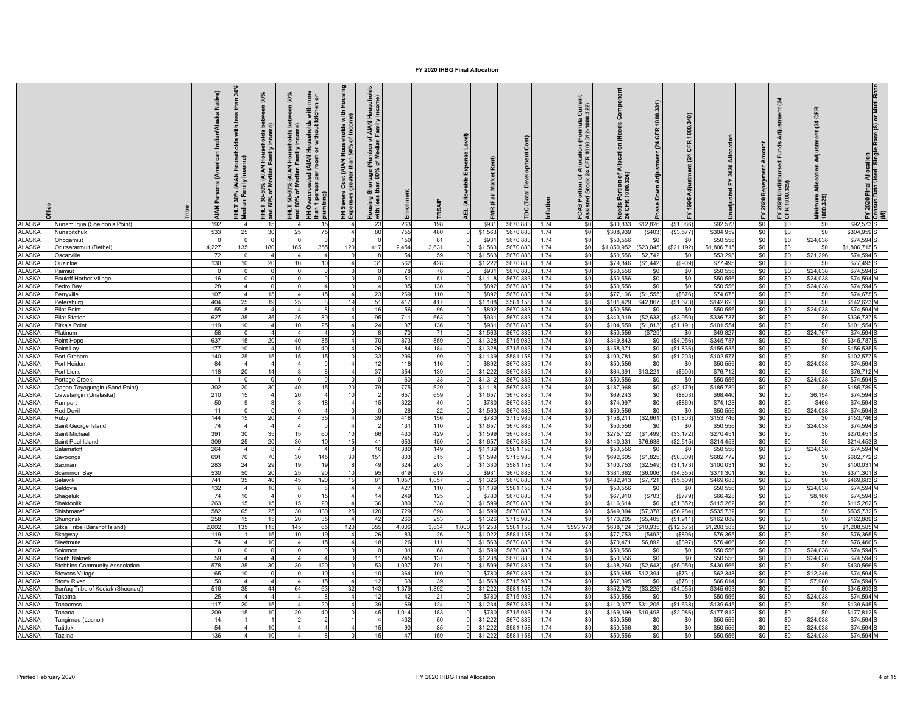|                                |                                      | Native)<br><b>NAN</b> | $\frac{8}{3}$<br>a<br>€<br><u>os</u><br>$\frac{1}{2}$<br>aily In | 30%<br>Gen<br><b>Bd</b><br>$rac{1}{2}$<br>, (AIAN Househ<br>Iedian Family In<br>HHLT 30-50% (<br>and 50% of Me | more<br>n or<br>50%<br>mee<br>with<br>l Households v<br>hor without kit<br><b>b</b> et<br>olds<br>(AIAN Househ<br>amily<br><b>AIAN</b><br>-80% (AIAN H<br>of Median Fa<br>IH Overcrowded<br>than 1 pers<br>plumbing)<br>HHLT 50-4<br>and 80% o | Housing<br>with<br>me)<br>Households<br>150% of Incor<br><b>Cost (AIAN H</b><br>greater than !<br>Severe<br>oenses c<br>ΞÅ | ő<br><b>AIAN</b><br>৳<br>통<br>Shortage (<br>than 80%<br>శ్<br>lousing<br>tith less<br>$w$ ith | Enrollment  |             | Expense Level)<br>(Allowable<br>4EL |                    |                      |              | 322)<br>(Formula 0)<br>0.312-1000.<br>lloca<br>CFR<br>rtion of All<br>Stock 24 C<br>FCAS Por<br>Assisted | Compo<br>(Needs<br>Allocation<br>is Portion of<br>FR 1000.324)<br>흉 | 1000.331)<br><b>CFR</b><br>(24)<br>Adjustment<br>Down | CFR<br>$\mathbb{Z}$    |                         | Amount<br>Repayment<br>2020<br>≿ | stment (24<br>Funds<br>Undi<br>0.32<br>FY 2020 | CFR<br>(24)<br>Adjustm<br>Allocation<br>Minimum<br>1000.329) | 2020 Final Allocation<br>Isus Data Used: Singl | e Race (S) or Multi-Rac<br>$\bar{e}$ |
|--------------------------------|--------------------------------------|-----------------------|------------------------------------------------------------------|----------------------------------------------------------------------------------------------------------------|------------------------------------------------------------------------------------------------------------------------------------------------------------------------------------------------------------------------------------------------|----------------------------------------------------------------------------------------------------------------------------|-----------------------------------------------------------------------------------------------|-------------|-------------|-------------------------------------|--------------------|----------------------|--------------|----------------------------------------------------------------------------------------------------------|---------------------------------------------------------------------|-------------------------------------------------------|------------------------|-------------------------|----------------------------------|------------------------------------------------|--------------------------------------------------------------|------------------------------------------------|--------------------------------------|
| ALASKA                         | Nunam Iqua (Sheldon's Point)         | 192                   |                                                                  | 15                                                                                                             | 15                                                                                                                                                                                                                                             |                                                                                                                            | 23                                                                                            | 263         | 198         |                                     | \$931              | \$670.88             | 1.74         | \$C                                                                                                      | \$80,833                                                            | \$12,826                                              | (\$1,086)              | \$92.573                | \$0                              | \$0                                            | \$0                                                          | \$92.573                                       |                                      |
| <b>ALASKA</b>                  | Nunapitchuk                          | 533                   | 25                                                               | 30                                                                                                             | 25<br>75                                                                                                                                                                                                                                       |                                                                                                                            | 80                                                                                            | 755         | 480         |                                     | \$1,563            | \$670.88             | 1.74         | \$0                                                                                                      | \$308.93                                                            | (\$403                                                | (S3, 577)              | \$304.959               | \$0                              | \$0                                            | \$0                                                          | \$304.959                                      |                                      |
| <b>ALASKA</b>                  | <b>Ohogamiut</b>                     |                       |                                                                  |                                                                                                                |                                                                                                                                                                                                                                                |                                                                                                                            |                                                                                               | 150         | 81          |                                     | \$931              | \$670,88             | 1.74         | \$0                                                                                                      | \$50,55                                                             | \$0                                                   | \$0                    | \$50,556                | \$0                              | \$0                                            | \$24,038                                                     | \$74,594                                       |                                      |
| <b>ALASKA</b><br><b>ALASKA</b> | Orutsararmuit (Bethel)<br>Oscarville | 4,227<br>-72          | 135                                                              | 180                                                                                                            | 165<br>355<br>$\boldsymbol{\Lambda}$<br>$\mathbf{A}$                                                                                                                                                                                           | 120                                                                                                                        | 417                                                                                           | 2,454<br>54 | 3,631<br>59 |                                     | \$1,563<br>\$1,563 | \$670,88<br>\$670,88 | 1.74<br>1.74 | \$0<br>\$0                                                                                               | \$1,850,952<br>\$50,556                                             | (\$23,045)<br>\$2,742                                 | (\$21,192)<br>\$0      | \$1,806,715<br>\$53,298 | \$0<br>\$0                       | \$0<br>\$0                                     | \$0<br>\$21,296                                              | \$1,806,715<br>\$74,594                        |                                      |
| <b>ALASKA</b>                  | Ouzinkie                             | 130                   | 10                                                               | 20                                                                                                             | 10<br>10                                                                                                                                                                                                                                       |                                                                                                                            | 31                                                                                            | 562         | 428         |                                     | \$1,22             | \$670,88             | 1.74         | \$0                                                                                                      | \$79,846                                                            | (\$1,442                                              | (\$909)                | \$77,495                | \$0                              | \$0                                            | \$0                                                          | \$77,495                                       |                                      |
| <b>ALASKA</b>                  | Paimiut                              |                       |                                                                  |                                                                                                                |                                                                                                                                                                                                                                                |                                                                                                                            |                                                                                               | 78          | 78          |                                     | \$93               | \$670,88             | 1.74         | \$0                                                                                                      | \$50,556                                                            | \$0                                                   | \$0                    | \$50,556                | \$0                              | \$0                                            | \$24,038                                                     | \$74,594                                       |                                      |
| <b>ALASKA</b>                  | Pauloff Harbor Village               | 16                    |                                                                  |                                                                                                                |                                                                                                                                                                                                                                                |                                                                                                                            |                                                                                               | 51          | 51          |                                     | \$1,11             | \$670.88             | 1.74         | \$0                                                                                                      | \$50,556                                                            | \$0                                                   | \$0                    | \$50,556                | \$0                              | \$0                                            | \$24,038                                                     | \$74.594                                       |                                      |
| ALASKA                         | Pedro Bay                            | 28                    |                                                                  |                                                                                                                |                                                                                                                                                                                                                                                |                                                                                                                            |                                                                                               | 135         | 130         |                                     | \$89               | \$670,88             | 1.74         | \$0                                                                                                      | \$50,556                                                            | \$0                                                   | \$0                    | \$50,556                | \$0                              | \$0                                            | \$24,038                                                     | \$74,59                                        |                                      |
| <b>ALASKA</b>                  | Perryville                           | 107                   |                                                                  | 15                                                                                                             | 15                                                                                                                                                                                                                                             |                                                                                                                            | 23                                                                                            | 269         | 110         |                                     | \$892              | \$670,88             | 1.74         | \$0                                                                                                      | \$77,106                                                            | (\$1,555]                                             | (S876)                 | \$74,675                | \$0                              | \$0                                            | \$0                                                          | \$74,67                                        |                                      |
| <b>ALASKA</b>                  | Petersburg                           | 404                   | 25                                                               | 19                                                                                                             | 25<br>8                                                                                                                                                                                                                                        | 19                                                                                                                         | 51                                                                                            | 417         | 417         |                                     | \$1,108            | \$581,158            | 1.74         | \$0                                                                                                      | \$101,429                                                           | \$42,867                                              | (S1, 673)              | \$142,623               | \$0                              | \$0                                            | \$0                                                          | \$142,623                                      |                                      |
| <b>ALASKA</b>                  | Pilot Point                          | 55                    |                                                                  |                                                                                                                |                                                                                                                                                                                                                                                |                                                                                                                            | 16                                                                                            | 156         | 96          |                                     | \$89               | \$670,88             | 1.74         | \$0                                                                                                      | \$50,556                                                            | \$0                                                   | \$0                    | \$50,556                | \$0                              | \$0                                            | \$24,038                                                     | \$74,594                                       |                                      |
| <b>ALASKA</b>                  | Pilot Station                        | 627                   | 35                                                               |                                                                                                                | 25<br>80                                                                                                                                                                                                                                       |                                                                                                                            | 95                                                                                            | 711         | 663         |                                     | \$931              | \$670,88             | 1.74         | \$0                                                                                                      | \$343,319                                                           | (\$2,633                                              | (\$3,950"              | \$336,737               | \$0                              | \$0                                            | \$0                                                          | \$336,73                                       |                                      |
| <b>ALASKA</b>                  | Pitka's Point                        | 119                   | 10                                                               |                                                                                                                | 10<br>25                                                                                                                                                                                                                                       |                                                                                                                            | 24                                                                                            | 137         | 136         |                                     | \$93               | \$670,88             | 1.74         | \$0                                                                                                      | \$104,559                                                           | (\$1,813                                              | (S1, 191)              | \$101,554               | \$0                              | \$0                                            | \$0                                                          | \$101,554                                      |                                      |
| <b>ALASKA</b>                  | latinum                              | 58                    |                                                                  |                                                                                                                |                                                                                                                                                                                                                                                |                                                                                                                            |                                                                                               | 70          | 71          |                                     | \$1,56             | \$670.88             | 1.74         | \$0                                                                                                      | \$50.55                                                             | (\$729                                                | \$0                    | \$49.827                | \$0                              | \$0                                            | \$24,767                                                     | \$74,594                                       |                                      |
| <b>ALASKA</b>                  | Point Hope                           | 637                   | 15                                                               | 20                                                                                                             | 85<br>40                                                                                                                                                                                                                                       |                                                                                                                            | 70                                                                                            | 873         | 859         |                                     | \$1,328            | \$715,98             | 1.74         | \$0                                                                                                      | \$349.843                                                           | \$0                                                   | (\$4,056)              | \$345,787               | \$0                              | \$0                                            | \$0                                                          | \$345,787                                      |                                      |
| <b>ALASKA</b>                  | Point Lay                            | 177                   | 10                                                               |                                                                                                                | 15<br>40                                                                                                                                                                                                                                       |                                                                                                                            | 26                                                                                            | 184         | 184         |                                     | \$1,328            | \$715,98             | 1.74         | \$0                                                                                                      | \$158,37                                                            | \$0                                                   | (S1, 836)              | \$156,535               | \$0                              | \$0                                            | \$0                                                          | \$156,53                                       |                                      |
| <b>ALASKA</b>                  | Port Graham                          | 140                   | 25                                                               | 15                                                                                                             | 15<br>15                                                                                                                                                                                                                                       | 10                                                                                                                         | 33                                                                                            | 296         | 99          |                                     | \$1,139            | \$581,158            | 1.74         | \$0                                                                                                      | \$103,781                                                           | \$0                                                   | (\$1,203)              | \$102,577               | \$0                              | \$0                                            | \$0                                                          | \$102,57                                       |                                      |
| <b>ALASKA</b>                  | Port Heiden                          | 84                    |                                                                  |                                                                                                                | $^{\circ}$                                                                                                                                                                                                                                     |                                                                                                                            | 12                                                                                            | 118         | 116         |                                     | \$89               | \$670,88             | 1.74         | \$0                                                                                                      | \$50,556                                                            | \$0                                                   | \$0                    | \$50,556                | \$0                              | \$0                                            | \$24,038                                                     | \$74,594                                       |                                      |
| <b>ALASKA</b>                  | Port Lions                           | 118                   | 20                                                               |                                                                                                                |                                                                                                                                                                                                                                                |                                                                                                                            | 37                                                                                            | 354         | 139         |                                     | \$1,22             | \$670,88             | 1.74         | \$0                                                                                                      | \$64,391                                                            | \$13,221                                              | (\$900)                | \$76,712                | \$0                              | \$0                                            | \$0                                                          | \$76,71                                        |                                      |
| <b>ALASKA</b>                  | Portage Creek                        |                       |                                                                  |                                                                                                                |                                                                                                                                                                                                                                                |                                                                                                                            |                                                                                               | 60          | 33          |                                     | \$1,31             | \$670.88             | 1.74         | \$0                                                                                                      | \$50,55                                                             | \$0                                                   | \$0                    | \$50,556                | \$0                              | \$0                                            | \$24,038                                                     | \$74.59                                        |                                      |
| <b>ALASKA</b>                  | Qagan Tayagungin (Sand Point)        | 302                   | 20                                                               | 30                                                                                                             | 40<br>15                                                                                                                                                                                                                                       | 20                                                                                                                         | 79                                                                                            | 775         | 629         |                                     | \$1,11             | \$670,88             | 1.74         | \$C                                                                                                      | \$187,96                                                            | \$0                                                   | (\$2,179               | \$185,789               | \$0                              | \$0                                            | \$0                                                          | \$185,78                                       |                                      |
| <b>ALASKA</b>                  | Qawalangin (Unalaska)                | 210                   | 15                                                               |                                                                                                                | 20                                                                                                                                                                                                                                             | 10                                                                                                                         |                                                                                               | 657         | 659         |                                     | \$1,65             | \$670,88             | 1.74         | \$0                                                                                                      | \$69,243                                                            | \$0                                                   | (\$803                 | \$68,440                | \$0                              | \$0                                            | \$6,154                                                      | \$74,594                                       |                                      |
| <b>ALASKA</b>                  | Rampart                              | 50                    |                                                                  |                                                                                                                | 18                                                                                                                                                                                                                                             |                                                                                                                            | 15                                                                                            | 322         | 40          |                                     | \$780              | \$670,88             | 1.74         | \$0                                                                                                      | \$74,997                                                            | \$0                                                   | (\$869)                | \$74,128                | \$0                              | \$0                                            | \$466                                                        | \$74,59                                        |                                      |
| <b>ALASKA</b>                  | Red Devil                            | 11                    |                                                                  |                                                                                                                |                                                                                                                                                                                                                                                |                                                                                                                            |                                                                                               | 26          | 22          |                                     | \$1,56             | \$670,88             | 1.74         | \$0                                                                                                      | \$50,55                                                             | \$0                                                   | \$0                    | \$50,55                 | \$0                              | \$0                                            | \$24,038                                                     | \$74,59                                        |                                      |
| <b>ALASKA</b><br><b>ALASKA</b> | Ruby<br>Saint George Island          | 144<br>74             | 15                                                               |                                                                                                                | 35                                                                                                                                                                                                                                             |                                                                                                                            | 39                                                                                            | 418<br>131  | 156<br>110  |                                     | \$78<br>\$1,657    | \$715,98<br>\$670,88 | 1.74<br>1.74 | \$0<br>\$0                                                                                               | \$158,211<br>\$50,556                                               | (\$2,661<br>\$0                                       | (S1, 803)<br>\$0       | \$153,746<br>\$50,556   | \$0<br>\$0                       | \$0<br>\$0                                     | \$0<br>\$24,038                                              | \$153,746<br>\$74.594                          |                                      |
| <b>ALASKA</b>                  | Saint Michael                        | 391                   | 30                                                               |                                                                                                                | 60<br>15                                                                                                                                                                                                                                       |                                                                                                                            | 66                                                                                            | 430         | 429         |                                     | \$1,59             | \$670,88             | 1.74         | \$0                                                                                                      | \$275,12                                                            | (\$1,499)                                             | (\$3, 172              | \$270,451               | \$0                              | \$0                                            | \$0                                                          | \$270,451                                      |                                      |
| <b>ALASKA</b>                  | Saint Paul Island                    | 309                   | 25                                                               | 20                                                                                                             | 30<br>10                                                                                                                                                                                                                                       | 15                                                                                                                         | 41                                                                                            | 653         | 450         |                                     | \$1,65             | \$670,88             | 1.74         | \$0                                                                                                      | \$140,33                                                            | \$76,638                                              | (\$2,515               | \$214,453               | \$0                              | \$0                                            | \$0                                                          | \$214,453                                      |                                      |
| <b>ALASKA</b>                  | Salamatoff                           | 264                   |                                                                  |                                                                                                                |                                                                                                                                                                                                                                                |                                                                                                                            | 16                                                                                            | 380         | 149         |                                     | \$1,13             | \$581,158            | 1.74         | \$0                                                                                                      | \$50,556                                                            | \$0                                                   | \$0                    | \$50,556                | \$0                              | \$0                                            | \$24,038                                                     | \$74,594                                       |                                      |
| <b>ALASKA</b>                  | Savoonga                             | 691                   | 70                                                               | 70                                                                                                             | 30<br>145                                                                                                                                                                                                                                      | -30                                                                                                                        | 151                                                                                           | 803         | 815         |                                     | \$1,59             | \$715,98             | 1.74         | \$0                                                                                                      | \$692,605                                                           | (\$1,825                                              | (\$8,009]              | \$682,772               | \$0                              | \$0                                            | \$0                                                          | \$682,772                                      |                                      |
| <b>ALASKA</b>                  | Saxman                               | 283                   | 24                                                               | 29                                                                                                             | 19<br>19                                                                                                                                                                                                                                       |                                                                                                                            | 49                                                                                            | 324         | 203         |                                     | \$1,33             | \$581,158            | 1.74         | \$0                                                                                                      | \$103,753                                                           | (\$2,549                                              | (S1, 173)              | \$100,031               | \$0                              | \$0                                            | \$0                                                          | \$100,03                                       |                                      |
| <b>ALASKA</b>                  | Scammon Bay                          | 530                   | 50                                                               | 20                                                                                                             | 25<br>90                                                                                                                                                                                                                                       | 10                                                                                                                         | 95                                                                                            | 619         | 619         |                                     | \$93               | \$670,88             | 1.74         | \$0                                                                                                      | \$381,662                                                           | (\$6,006                                              | (S4, 355)              | \$371,301               | \$0                              | \$0                                            | \$0                                                          | \$371,30                                       |                                      |
| <b>ALASKA</b>                  | Selawik                              | 741                   | 35                                                               | 40                                                                                                             | 45<br>120                                                                                                                                                                                                                                      | 15                                                                                                                         | 81                                                                                            | 1.057       | 1,057       |                                     | \$1.32             | \$670.88             | 1.74         | \$0                                                                                                      | \$482.91                                                            | (\$7,72]                                              | (S5.509)               | \$469.683               | \$0                              | \$0                                            | \$0                                                          | \$469.68                                       |                                      |
| <b>ALASKA</b>                  | Seldovia                             | 132                   |                                                                  | 10 <sup>1</sup>                                                                                                |                                                                                                                                                                                                                                                |                                                                                                                            |                                                                                               | 427         | 110         |                                     | \$1,13             | \$581,15             | 1.74         | \$C                                                                                                      | \$50,556                                                            | \$0                                                   | \$0                    | \$50,556                | \$0                              | \$0                                            | \$24,038                                                     | \$74,594                                       |                                      |
| <b>ALASKA</b>                  | Shageluk                             | 74                    | 10                                                               |                                                                                                                | 15                                                                                                                                                                                                                                             |                                                                                                                            | 14                                                                                            | 249         | 125         |                                     | \$78               | \$670,88             | 1.74         | \$0                                                                                                      | \$67,910                                                            | (S703)                                                | (S779)                 | \$66,428                | \$0                              | \$0                                            | \$8,166                                                      | \$74,594                                       |                                      |
| <b>ALASKA</b>                  | Shaktoolik                           | 263                   | 15                                                               | 15                                                                                                             | 20<br>15                                                                                                                                                                                                                                       |                                                                                                                            | 36                                                                                            | 380         | 338         |                                     | \$1,59             | \$670,88             | 1.74         | \$0                                                                                                      | \$116,614                                                           | \$0                                                   | (\$1,352               | \$115,262               | \$0                              | \$0                                            | \$0                                                          | \$115,26                                       |                                      |
| <b>ALASKA</b>                  | Shishmaref                           | 582                   | 65                                                               | 25                                                                                                             | 30<br>130                                                                                                                                                                                                                                      | 2!                                                                                                                         | 120                                                                                           | 729         | 698         |                                     | \$1,59             | \$670,88             | 1.74         | \$0                                                                                                      | \$549,394                                                           | (\$7,378)                                             | (\$6, 284)             | \$535,732               | \$0                              | \$0                                            | \$0                                                          | \$535,73                                       |                                      |
| <b>ALASKA</b>                  | Shungnak                             | 258                   | 15                                                               | 15                                                                                                             | 20<br>35                                                                                                                                                                                                                                       |                                                                                                                            | 42                                                                                            | 266         | 253         |                                     | \$1,32             | \$715,98             | 1.74         | \$0                                                                                                      | \$170,205                                                           | (\$5,405                                              | (\$1,911               | \$162,889               | \$0                              | \$0                                            | \$0                                                          | \$162,88                                       |                                      |
| <b>ALASKA</b>                  | Sitka Tribe (Baranof Island)         | 2,002                 | 135                                                              | 115                                                                                                            | 145<br>65                                                                                                                                                                                                                                      | 120                                                                                                                        | 355                                                                                           | 4,006       | 3,834       | 1,000                               | \$1,25             | \$581,15             | 1.74         | \$593,970                                                                                                | \$638,124                                                           | (\$10,935                                             | (\$12,575              | \$1,208,58              | \$0                              | \$0                                            | \$0                                                          | \$1,208,58                                     |                                      |
| <b>ALASKA</b>                  | Skagway                              | 119                   |                                                                  | 15                                                                                                             | 19<br>10                                                                                                                                                                                                                                       |                                                                                                                            | 26                                                                                            | 83          | 26          |                                     | \$1,02             | \$581,15             | 1.74         | \$C                                                                                                      | \$77,75                                                             | (\$492                                                | (\$896                 | \$76,365                | \$0                              | \$0                                            | \$0                                                          | \$76,36                                        |                                      |
| <b>ALASKA</b>                  | Sleetmute                            | 74                    |                                                                  | 10                                                                                                             | 15                                                                                                                                                                                                                                             |                                                                                                                            | 18                                                                                            | 126         | 111         |                                     | \$1,563            | \$670.88             | 1.74         | \$0                                                                                                      | \$70.471                                                            | \$6,892                                               | (\$897)                | \$76,466                | \$0                              | \$0                                            | \$0                                                          | \$76,466                                       |                                      |
| <b>ALASKA</b>                  | Solomon                              |                       |                                                                  | $\Omega$                                                                                                       | $\Omega$                                                                                                                                                                                                                                       |                                                                                                                            |                                                                                               | 131         | 68          |                                     | \$1,599            | \$670,88             | 1.74         | \$0                                                                                                      | \$50,556                                                            | \$0                                                   | \$0                    | \$50,556                | \$0                              | \$0                                            | \$24,038                                                     | \$74,594                                       |                                      |
| <b>ALASKA</b>                  | South Naknek                         | 59                    |                                                                  |                                                                                                                | $\overline{a}$                                                                                                                                                                                                                                 |                                                                                                                            | 11                                                                                            | 245         | 137         |                                     | \$1,23             | \$670,88             | 1.74         | \$0                                                                                                      | \$50,556                                                            | \$0                                                   | \$0                    | \$50,556                | \$0                              | \$0                                            | \$24,038                                                     | \$74,594                                       |                                      |
| <b>ALASKA</b>                  | Stebbins Community Association       | 578                   | 35                                                               | 30                                                                                                             | 30<br>120                                                                                                                                                                                                                                      | 10                                                                                                                         | 53                                                                                            | 1,037       | 701         |                                     | \$1,59             | \$670,88             | 1.74         | \$0                                                                                                      | \$438,260                                                           | (\$2,643                                              | \$5,050                | \$430,566               | \$0                              | \$0                                            | \$0                                                          | \$430,566                                      |                                      |
| <b>ALASKA</b>                  | <b>Stevens Village</b>               | 65                    | 10                                                               |                                                                                                                | 10<br>15                                                                                                                                                                                                                                       |                                                                                                                            | 10<br>12                                                                                      | 364         | 109         |                                     | \$78               | \$670,88             | 1.74         | \$0                                                                                                      | \$50,685                                                            | \$12,394                                              | (S731)                 | \$62,348                | \$0                              | \$0                                            | \$12,246                                                     | \$74,594                                       |                                      |
| <b>ALASKA</b>                  | <b>Stony River</b>                   | 50                    | 35                                                               | 44                                                                                                             | 64<br>63                                                                                                                                                                                                                                       | 32                                                                                                                         | 143                                                                                           | 63          | 39          |                                     | \$1,56             | \$715,98             | 1.74<br>1.74 | \$0                                                                                                      | \$67,39                                                             | \$0                                                   | (\$781                 | \$66,614                | \$0                              | \$0                                            | \$7,980<br>S0                                                | \$74,59                                        |                                      |
| <b>ALASKA</b><br><b>ALASKA</b> | Sun'aq Tribe of Kodiak (Shoonaq')    | 516<br>25             |                                                                  |                                                                                                                |                                                                                                                                                                                                                                                |                                                                                                                            | 12                                                                                            | 1,379<br>42 | 1,892       |                                     | \$1,22             | \$581,15             | 1.74         | \$0                                                                                                      | \$352,972<br>\$50,556                                               | (\$3,225                                              | (\$4,055               | \$345,693               | \$0                              | \$0<br>\$0                                     |                                                              | \$345,69                                       |                                      |
|                                | <b>Takotna</b>                       | 117                   | 20                                                               | 15                                                                                                             | 20                                                                                                                                                                                                                                             |                                                                                                                            | 39                                                                                            | 169         | 21          |                                     | \$78               | \$715,98             | 1.74         | \$0                                                                                                      |                                                                     | \$0                                                   | \$0                    | \$50,556                | \$0                              | \$0                                            | \$24,038<br>\$0                                              | \$74,594                                       |                                      |
| <b>ALASKA</b><br><b>ALASKA</b> | anacross<br>Tanana                   | 209                   | 15                                                               | 10                                                                                                             | 20<br>40                                                                                                                                                                                                                                       |                                                                                                                            | 45                                                                                            | 1,014       | 124<br>183  |                                     | \$1,23<br>\$78     | \$670,88<br>\$715,98 | 1.74         | \$0<br>\$0                                                                                               | \$110,077<br>\$169,399                                              | \$31,205<br>\$10,498                                  | (\$1,638)<br>(\$2,086) | \$139,645<br>\$177,812  | \$0<br>\$0                       | \$0                                            | \$0                                                          | \$139,64<br>\$177,81                           |                                      |
| <b>ALASKA</b>                  | Tangirnaq (Lesnoi)                   | 14                    |                                                                  |                                                                                                                |                                                                                                                                                                                                                                                |                                                                                                                            |                                                                                               | 432         | 50          |                                     | \$1,22             | \$670,88             | 1.74         | \$0                                                                                                      | \$50,556                                                            | \$0                                                   | \$0                    | \$50,556                | \$0                              | \$0                                            | \$24,038                                                     | \$74,594                                       |                                      |
| <b>ALASKA</b>                  | <b>Tatitlek</b>                      | 54                    |                                                                  |                                                                                                                |                                                                                                                                                                                                                                                |                                                                                                                            |                                                                                               | 90          | 85          |                                     | \$1,22             | \$581,15             | 1.74         | \$0                                                                                                      | \$50,55                                                             | \$0                                                   | \$0                    | \$50,556                | \$0                              | \$0                                            | \$24,038                                                     | \$74.59                                        |                                      |
| <b>ALASKA</b>                  | <b>Tazlina</b>                       | 136                   |                                                                  | 10                                                                                                             |                                                                                                                                                                                                                                                |                                                                                                                            | 15                                                                                            | 147         | 159         |                                     | \$1,22             | \$581,15             | 1.74         | \$0                                                                                                      | \$50,55                                                             | \$0                                                   | \$0                    | \$50,556                | \$0                              | \$0                                            | \$24,038                                                     | \$74,594                                       |                                      |
|                                |                                      |                       |                                                                  |                                                                                                                |                                                                                                                                                                                                                                                |                                                                                                                            |                                                                                               |             |             |                                     |                    |                      |              |                                                                                                          |                                                                     |                                                       |                        |                         |                                  |                                                |                                                              |                                                |                                      |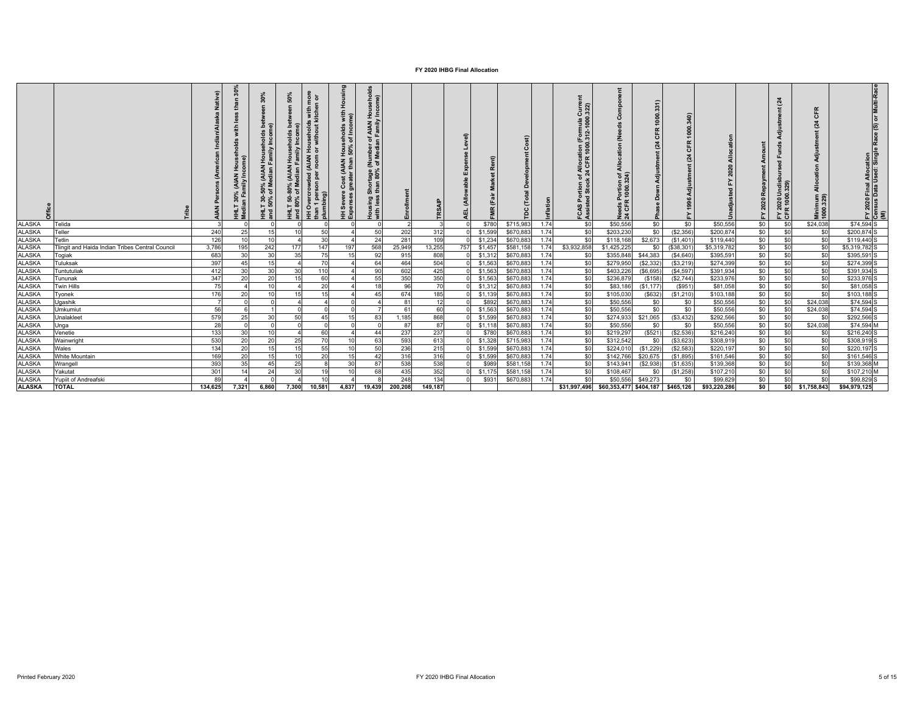|               |                                                 |         | 30%<br>£<br>with<br>: 30% (AIAN House<br>an Family Income)<br>i<br>∄ g | ☆<br>ន<br>ចំ តិ<br>Incom<br>olds<br>ase<br>mir<br>, (AIAN Hous<br>ledian Famil<br>-50%<br>of Me<br>130 <sup>o</sup><br>록 홀 | వి<br>ន<br>$\epsilon$<br>ه<br>T 50-80% (AIAN Households<br>80% of Median Family Incom<br>He | Housing<br>nor<br>Tor<br>Is with<br>kitcher<br>with<br>me)<br>l Households<br>1 or without H<br>rded (AIAN I<br>n per room o<br>Severe<br>oenses<br>g<br>than 1 pers<br>plumbing)<br>o<br>₹. | Cost (AIAN Households<br>greater than 50% of Inco | Shortage (Number of AIAN Households<br>than 80% of Median Family Income)<br>Housing \$<br>with less | Enrollment | Level)<br>Expe<br>횵<br>(Alloy<br>ц |                     | $\circ$<br>ь |      | Ĕ<br>ation (Formula C<br>1000.312-1000.<br>of Allocat<br>:k 24 CFR<br>Tion<br>Stock<br><u>និ</u> ទី<br>FCAS<br>Assist | ⋜<br>$\epsilon$<br>ট র<br>eds Portion<br>CFR 1000.3<br>훈 검 | c<br>8<br>0<br>œ<br>ō<br>Z<br>Ο | 1000.<br>F<br>$\overline{o}$<br>$^{124}$ |              | Amount<br>Repayme<br>2020<br>≻ | $\mathbf{z}$<br>ರ<br>5 ತ<br>ខ្លួច<br>EY 20 | 뚠<br>$\mathbf c$<br>$\mathbb{Z}^4$<br>ਰ<br>⋖<br>÷<br>۹ä<br>Minimum<br>1000.329) | Multi-Rac<br>١ă<br>FY 2020 Final Allocation<br>Census Data Used: Single Race (S)<br>(M) |
|---------------|-------------------------------------------------|---------|------------------------------------------------------------------------|----------------------------------------------------------------------------------------------------------------------------|---------------------------------------------------------------------------------------------|----------------------------------------------------------------------------------------------------------------------------------------------------------------------------------------------|---------------------------------------------------|-----------------------------------------------------------------------------------------------------|------------|------------------------------------|---------------------|--------------|------|-----------------------------------------------------------------------------------------------------------------------|------------------------------------------------------------|---------------------------------|------------------------------------------|--------------|--------------------------------|--------------------------------------------|---------------------------------------------------------------------------------|-----------------------------------------------------------------------------------------|
| <b>ALASKA</b> | Telida                                          |         |                                                                        |                                                                                                                            |                                                                                             |                                                                                                                                                                                              |                                                   |                                                                                                     |            |                                    | \$780               | \$715,98     | 1.74 | \$0                                                                                                                   | \$50,556                                                   | \$0                             | \$0                                      | \$50,556     | \$0                            | \$0                                        | \$24,038                                                                        | \$74,594 S                                                                              |
| <b>ALASKA</b> | Teller                                          | 240     | 25                                                                     | 15                                                                                                                         | 10                                                                                          | 50                                                                                                                                                                                           |                                                   | 50                                                                                                  | 202        | 312                                | \$1,599             | \$670,883    | 1.74 | \$0                                                                                                                   | \$203,230                                                  | \$0                             | (S2, 356)                                | \$200,874    | \$0                            | \$0                                        | \$0                                                                             | \$200,874 S                                                                             |
| <b>ALASKA</b> | Tetlin                                          | 126     | 10                                                                     | 10                                                                                                                         |                                                                                             | 30                                                                                                                                                                                           |                                                   | 24                                                                                                  | 281        | 109                                | \$1,234<br>$\Omega$ | \$670,883    | 1.74 | \$0                                                                                                                   | \$118,168                                                  | \$2,673                         | (S1, 401)                                | \$119,440    | \$0                            | \$0                                        | \$0                                                                             | \$119,440 S                                                                             |
| <b>ALASKA</b> | Tlingit and Haida Indian Tribes Central Council | 3,786   | 195                                                                    | 242                                                                                                                        | 177                                                                                         | 147                                                                                                                                                                                          | 197                                               | 568<br>25,949                                                                                       | 13,255     | 757                                | \$1,45              | \$581,158    | 1.74 | \$3,932,858                                                                                                           | \$1,425,225                                                | \$0                             | (\$38,301                                | \$5,319,782  | \$0                            | \$0                                        | \$0                                                                             | \$5,319,782 S                                                                           |
| <b>ALASKA</b> | Togiak                                          | 683     | 30                                                                     | 30                                                                                                                         | 35                                                                                          | 75                                                                                                                                                                                           | 15                                                | 92                                                                                                  | 915        | 808                                | \$1,312             | \$670,883    | 1.74 | \$0                                                                                                                   | \$355,848                                                  | \$44,383                        | (S4, 640)                                | \$395,591    | \$0                            | \$0                                        | sol                                                                             | \$395,591                                                                               |
| <b>ALASKA</b> | Tuluksak                                        | 397     | 45                                                                     | 15                                                                                                                         |                                                                                             | 70                                                                                                                                                                                           |                                                   | 64                                                                                                  | 464        | 504                                | \$1,56              | \$670,88     | 1.74 | \$0                                                                                                                   | \$279,95                                                   | (\$2,332                        | (S3, 219)                                | \$274,399    | \$0                            | \$0                                        | \$0                                                                             | \$274,399 S                                                                             |
| <b>ALASKA</b> | <b>Funtutuliak</b>                              | 412     | 30                                                                     | 30 <sup>1</sup>                                                                                                            | 30                                                                                          | 110                                                                                                                                                                                          |                                                   | 90                                                                                                  | 602        | 425                                | \$1,563             | \$670,883    | 1.74 | \$0                                                                                                                   | \$403,226                                                  | (\$6,695                        | (S4, 597)                                | \$391,934    | \$0                            | \$0                                        | \$0                                                                             | \$391,934 S                                                                             |
| <b>ALASKA</b> | Tununak                                         | 347     | 20                                                                     | 20                                                                                                                         | 15                                                                                          | 60                                                                                                                                                                                           |                                                   | 55                                                                                                  | 350        | 350                                | \$1,563             | \$670,88     | 1.74 | \$0                                                                                                                   | \$236,879                                                  | (\$158                          | (S2, 744)                                | \$233,976    | \$0                            | \$0                                        | \$0                                                                             | \$233,976 S                                                                             |
| <b>ALASKA</b> | Twin Hills                                      | 75      |                                                                        | 10                                                                                                                         |                                                                                             | 20                                                                                                                                                                                           |                                                   | 18                                                                                                  | 96         | 70                                 | \$1,312             | \$670,883    | 1.74 | \$0                                                                                                                   | \$83,186                                                   | (\$1,177                        | (\$951                                   | \$81,058     | \$0                            | \$0                                        | \$0                                                                             | \$81,058 S                                                                              |
| <b>ALASKA</b> | Tyonek                                          | 176     | 20                                                                     |                                                                                                                            | 15                                                                                          | 15                                                                                                                                                                                           |                                                   | 45                                                                                                  | 674        | 185                                | \$1,13              | \$670,88     | 1.74 | \$0                                                                                                                   | \$105,03                                                   | (\$632                          | (S1, 210)                                | \$103,188    | \$0                            | \$0                                        | \$0                                                                             | \$103,188 S                                                                             |
| <b>ALASKA</b> | Ugashik                                         |         |                                                                        |                                                                                                                            |                                                                                             |                                                                                                                                                                                              |                                                   |                                                                                                     | 81         | 12                                 | \$892               | \$670,883    | 1.74 | \$0                                                                                                                   | \$50,556                                                   | \$0                             | \$0                                      | \$50,556     | \$0                            | \$0                                        | \$24,038                                                                        | \$74,594 S                                                                              |
| <b>ALASKA</b> | Umkumiut                                        | 56      |                                                                        |                                                                                                                            |                                                                                             |                                                                                                                                                                                              |                                                   | $\overline{z}$                                                                                      | 61         | 60                                 | \$1,563             | \$670,883    | 1.74 | \$0                                                                                                                   | \$50,556                                                   | \$0                             | \$0                                      | \$50,556     | \$0                            | \$0                                        | \$24,038                                                                        | \$74,594                                                                                |
| <b>ALASKA</b> | Jnalakleet                                      | 579     | 25                                                                     | 30 <sup>1</sup>                                                                                                            | 50                                                                                          | 45                                                                                                                                                                                           | 15                                                | 83                                                                                                  | 1.185      | 868                                | \$1,599             | \$670,88     | 1.74 | \$0                                                                                                                   | \$274,933                                                  | \$21,065                        | (\$3,432"                                | \$292,566    | \$0                            | \$0                                        | \$0                                                                             | \$292,566 S                                                                             |
| <b>ALASKA</b> | Unga                                            | 28      |                                                                        |                                                                                                                            |                                                                                             |                                                                                                                                                                                              |                                                   |                                                                                                     | 87         | 87                                 | \$1,118             | \$670,883    | 1.74 | \$0                                                                                                                   | \$50,556                                                   | \$0                             | \$0                                      | \$50,556     | \$0                            | \$0                                        | \$24,038                                                                        | \$74,594 M                                                                              |
| <b>ALASKA</b> | Venetie                                         | 133     | 30                                                                     | 10 <sub>1</sub>                                                                                                            |                                                                                             | 60                                                                                                                                                                                           |                                                   | 44                                                                                                  | 237        | 237                                | \$780               | \$670,88     | 1.74 | \$0                                                                                                                   | \$219,297                                                  | (\$521                          | (S2, 536)                                | \$216,240    | \$0                            | \$0                                        | \$0                                                                             | \$216,240 S                                                                             |
| <b>ALASKA</b> | Wainwright                                      | 530     | 20                                                                     | 20                                                                                                                         | 25                                                                                          | 70                                                                                                                                                                                           | 10                                                | 63                                                                                                  | 593        | 613                                | \$1,328             | \$715,983    | 1.74 | \$0                                                                                                                   | \$312,542                                                  | \$0                             | (S3, 623)                                | \$308,919    | \$0                            | \$0                                        | \$0                                                                             | \$308,919 S                                                                             |
| <b>ALASKA</b> | Wales                                           | 134     | 20                                                                     | 15                                                                                                                         | 15                                                                                          | 55                                                                                                                                                                                           | 10                                                | 50                                                                                                  | 236        | 215                                | \$1,599             | \$670,883    | 1.74 | \$0                                                                                                                   | \$224,010                                                  | (\$1,229)                       | (S2, 583)                                | \$220,197    | \$0                            | \$0                                        | \$0                                                                             | $$220,197$ S                                                                            |
| <b>ALASKA</b> | White Mountain                                  | 169     | 20                                                                     |                                                                                                                            | 10                                                                                          | 20                                                                                                                                                                                           |                                                   | 42                                                                                                  | 316        | 316                                | \$1,599             | \$670,88     | 1.74 | \$0                                                                                                                   | \$142,766                                                  | \$20,675                        | (S1, 895)                                | \$161,546    | \$0                            | \$0                                        | \$0                                                                             | \$161,546 S                                                                             |
| <b>ALASKA</b> | Wrangell                                        | 393     | 35                                                                     | 45                                                                                                                         | 25                                                                                          |                                                                                                                                                                                              | 30                                                | 87                                                                                                  | 538        | 538                                | \$98                | \$581,158    | 1.74 | \$0                                                                                                                   | \$143,94                                                   | (\$2,938)                       | (S1, 635)                                | \$139,368    | \$0                            | \$0                                        | \$0                                                                             | \$139,368 M                                                                             |
| <b>ALASKA</b> | Yakutat                                         | 301     | 14                                                                     | 24                                                                                                                         | 30                                                                                          | 19                                                                                                                                                                                           | 10                                                | 68                                                                                                  | 435        | 352                                | \$1,175             | \$581,158    | 1.74 | \$0                                                                                                                   | \$108,46                                                   | \$0                             | (S1, 258)                                | \$107,210    | \$0                            | \$0                                        | \$0                                                                             | \$107,210 M                                                                             |
| <b>ALASKA</b> | Yupiit of Andreafski                            | 89      |                                                                        |                                                                                                                            |                                                                                             | 10                                                                                                                                                                                           |                                                   |                                                                                                     | 248        | 134                                | \$93                | \$670,883    | 1.74 | \$0                                                                                                                   | \$50,556                                                   | \$49,273                        | \$0                                      | \$99,829     | \$0                            | \$0                                        | \$0                                                                             | \$99,829 S                                                                              |
| <b>ALASKA</b> | <b>TOTAL</b>                                    | 134,625 | 7,321                                                                  | 6,860                                                                                                                      | 7,300                                                                                       | 10,581                                                                                                                                                                                       | 4,837                                             | 200,208<br>19,439                                                                                   | 149,187    |                                    |                     |              |      | \$31,997,496                                                                                                          | \$60,353,477                                               | \$404,187                       | \$465,126                                | \$93,220,286 | \$0                            | \$0                                        | \$1,758,843                                                                     | \$94,979,125                                                                            |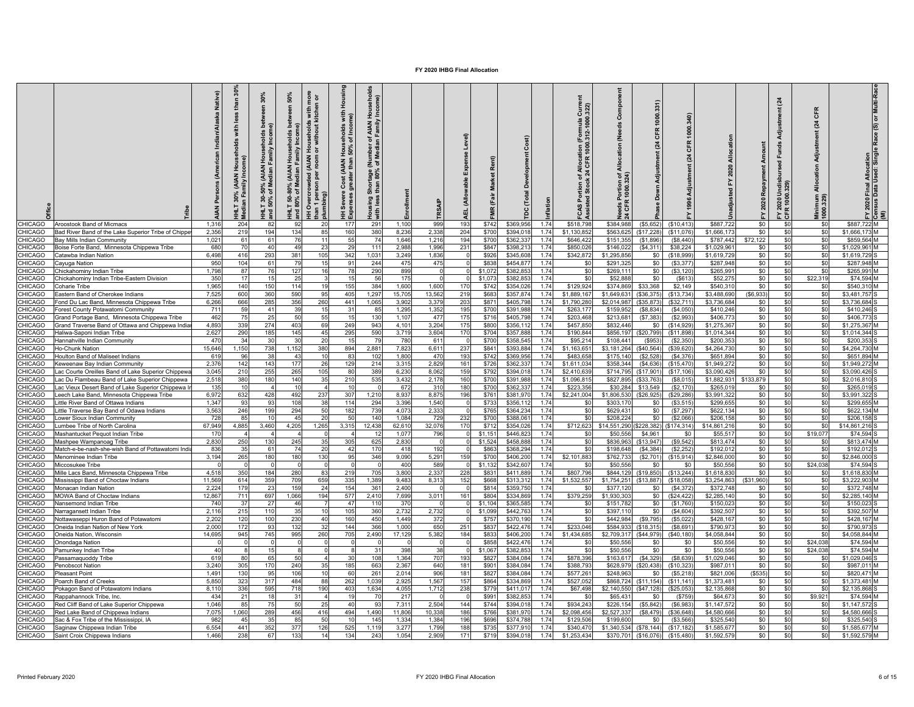|                                 |                                                                                                   | Native)<br>$\overline{4}$ | £<br>重     | 30%<br>ະ ≥<br>$rac{1}{2}$<br>AIAN<br>MAIA)<br>శ ≋ | 50%<br>≧<br>ৢ<br>80% | more<br>1 or<br>with<br>g is<br>with<br>운 ㅎ<br><b>AIAN</b><br>ded<br>Overcrow<br>효율 | Hous<br>with<br>nei<br>eholds<br>of Inco<br>$\frac{200}{50\%}$<br>Cost<br>Severe<br>perses | ာ<br>ঁ ৯<br>횽<br>로ㅎ<br>than<br>᠊ᢛ<br>sing<br>prist | nrollme        |                | Expense Level)<br>(Allowable<br>핓 | န္                |                        | ation        | 322<br>Ğ<br>lloca<br>CFR<br>$\frac{a}{24}$<br>နို့ ဗို<br>FCAS Por<br>Assisted: | ŏ<br>ž<br>₹<br>ঁ ই     | 1000<br>CFR<br>$\overline{a}$<br>Down | CFR<br>$\tilde{z}$    |                          | Repayment<br>2020 | $\mathbf{z}$<br>÷ö<br>- 혼 얺<br>$rac{r \cdot 2020}{CFR + r}$ | CFR<br>$\mathbb{Z}$<br>Adjus<br>$rac{6}{4}$<br>Minimum<br>1000.329) | or Multi-R<br>Race (S)<br>2020 Final Allocation<br>1sus Data Used: Singl<br>ក្កី ឱ |
|---------------------------------|---------------------------------------------------------------------------------------------------|---------------------------|------------|---------------------------------------------------|----------------------|-------------------------------------------------------------------------------------|--------------------------------------------------------------------------------------------|----------------------------------------------------|----------------|----------------|-----------------------------------|-------------------|------------------------|--------------|---------------------------------------------------------------------------------|------------------------|---------------------------------------|-----------------------|--------------------------|-------------------|-------------------------------------------------------------|---------------------------------------------------------------------|------------------------------------------------------------------------------------|
| CHICAGO                         | Aroostook Band of Micmacs                                                                         | 1.316                     | 204        | 83                                                | 92                   | 20                                                                                  | 177                                                                                        | 291                                                | 1.100          | 999            | 193                               | \$742             | \$369.95               | 1.74         | \$518.798                                                                       | \$384.988              | (\$5,652                              | (\$10,413             | \$887.72                 | \$0               | \$0                                                         | \$ <sub>6</sub>                                                     | \$887.722 M                                                                        |
| CHICAGO                         | Bad River Band of the Lake Superior Tribe of Chippe                                               | 2.356                     | 219        | 194                                               | 134                  | 85                                                                                  | 160                                                                                        | 380                                                | 8.236          | 2.338          | 204                               | \$700             | \$394.018              | 1.74         | \$1,130.852                                                                     | \$563.625              | (\$17.228                             | (\$11.076             | \$1,666.17               | \$0               | \$0                                                         | SC.                                                                 | \$1,666,173 M                                                                      |
| <b>HICAGO</b><br>CHICAGO        | Bay Mills Indian Community                                                                        | 1,021<br>680              | 61<br>70   | 61<br>$\overline{A}$                              | 76<br>49             | 11<br>23                                                                            | 55<br>29                                                                                   | 74<br>111                                          | 1.646<br>2,988 | 1,216<br>1,996 | 194<br>231                        | \$700<br>\$847    | \$362,337<br>\$398,213 | 1.74<br>1.74 | \$646.42<br>\$850,026                                                           | \$151,355<br>\$146,022 | (S1.896)<br>(\$4,311)                 | (S8.440)<br>\$38,224  | \$787.442<br>\$1,029,96  | \$72,122<br>\$0   | \$0<br>\$0                                                  | -SC<br>\$0                                                          | \$859 564 M<br>\$1,029,961                                                         |
| <b>HICAGO</b>                   | Boise Forte Band, Minnesota Chippewa Tribe<br>atawba Indian Nation                                | 6,498                     | 416        | 293                                               | 381                  | 105                                                                                 | 342                                                                                        | 1,031                                              | 3,249          | 1,836          |                                   | \$926             | \$345,608              | 1.74         | \$342,872                                                                       | \$1,295,856            | \$0                                   | (\$18,999             | \$1,619,72               | \$0               | \$0                                                         | \$0                                                                 | \$1,619,729                                                                        |
| <b>HICAGO</b>                   | ayuga Nation                                                                                      | 950                       | 104        | 61                                                | 79                   | 15                                                                                  | 91                                                                                         | 244                                                | 475            | 475            |                                   | \$83              | \$454,87               | 1.74         | \$0                                                                             | \$291.32               | \$0                                   | (S3, 377)             | \$287.94                 | \$0               | \$0                                                         | \$C                                                                 | \$287.948 M                                                                        |
| <b>HICAGO</b>                   | hickahominy Indian Tribe                                                                          | 1,798                     | 87         |                                                   | 127                  | 16                                                                                  | 78                                                                                         | 290                                                | 899            |                |                                   | \$1,07            | \$382,853              | 174          | \$0                                                                             | \$269,11               | \$0                                   | (S3, 120)             | \$265,99                 | \$0               | \$0                                                         | -SC                                                                 | \$265,991 M                                                                        |
| <b>HICAGO</b>                   | hickahominy Indian Tribe-Eastern Division                                                         | 350                       | 17         |                                                   | 25                   |                                                                                     | 15                                                                                         | 56                                                 | 175            | $\Omega$       |                                   | \$1.07            | \$382,85               | 1.74         | \$0                                                                             | \$52,888               | \$0                                   | (S613)                | \$52,27                  | \$0               | \$0                                                         | \$22.319                                                            | \$74,594 M                                                                         |
| <b>HICAGO</b>                   | oharie Tribe                                                                                      | 1,965                     | 140        | 150                                               | 114                  | 19                                                                                  | 155                                                                                        | 384                                                | 1,600          | 1,600          | 17 <sub>0</sub>                   | \$742             | \$354,026              | 1.74         | \$129,924                                                                       | \$374,869              | \$33,368                              | \$2,149               | \$540,31                 | \$0               | \$0                                                         | \$0                                                                 | \$540,310 M                                                                        |
| <b>HICAGO</b>                   | Eastern Band of Cherokee Indians                                                                  | 7,525                     | 600        | 360                                               | 590                  | 95                                                                                  | 405                                                                                        | 1,297                                              | 15,705         | 13,562         | 219                               | \$683             | \$357,874              | 1.74         | \$1,889,167                                                                     | \$1,649,63             | (\$36,375                             | (\$13,734             | \$3,488,69               | (\$6,933)         | \$0                                                         | \$0                                                                 | \$3,481,757                                                                        |
| <b>HICAGO</b>                   | ond Du Lac Band, Minnesota Chippewa Tribe                                                         | 6,266                     | 666        | 285                                               | 356                  | 260                                                                                 | 441                                                                                        | 1,065                                              | 3,902          | 3,379          | 203                               | \$87              | \$405,798              | 1.74         | \$1,790,28                                                                      | \$2,014,98             | (\$35,873                             | (\$32,711             | \$3,736,68               | \$0               | \$0                                                         | \$C                                                                 | \$3,736,684                                                                        |
| <b>HICAGO</b><br><b>HICAGO</b>  | orest County Potawatomi Community<br>Grand Portage Band, Minnesota Chippewa Tribe                 | 711<br>462                | 59<br>75   | 4 <sup>1</sup>                                    | 39<br>50             | 15<br>55                                                                            | 31<br>15                                                                                   | 85<br>130                                          | 1,295<br>1.107 | 1,352<br>477   | 195<br>175                        | \$700<br>\$716    | \$391,988<br>\$405.798 | 1.74<br>1 74 | \$263,177<br>\$203.468                                                          | \$159.95<br>\$213.68   | (\$8,834<br>(S7.383)                  | (S4,050)<br>(S2.993)  | \$410,24<br>\$406.77     | \$0<br>\$0        | \$0<br>\$0                                                  | \$0<br>-SC                                                          | \$410.246<br>\$406.773                                                             |
| <b>HICAGO</b>                   | Grand Traverse Band of Ottawa and Chippewa India                                                  | 4,893                     | 339        | 274                                               | 403                  | 69                                                                                  | 249                                                                                        | 943                                                | 4,101          | 3,204          | 175                               | \$800             | \$356,112              | 1.74         | \$457,850                                                                       | \$832,446              | \$0                                   | (\$14,929             | \$1,275,36               | \$0               | \$0                                                         | \$0                                                                 | \$1,275,367                                                                        |
| CHICAGO                         | Ialiwa-Saponi Indian Tribe                                                                        | 2,627                     | 290        | 185                                               | 145                  | 45                                                                                  | 295                                                                                        | 590                                                | 3.719          | 3,604          | 170                               | \$704             | \$357,888              | 1.74         | \$190,844                                                                       | \$856,197              | (\$20,799                             | (S11.898)             | \$1.014.344              | \$0               | \$0                                                         | \$0                                                                 | \$1.014.344                                                                        |
| <b>CHICAGO</b>                  | Iannahville Indian Communitv                                                                      | 470                       | 34         | $\overline{3}$                                    | 30                   | 20                                                                                  | 15                                                                                         | -79                                                | 780            | 611            |                                   | \$700             | \$358,545              | 1.74         | \$95,214                                                                        | \$108.44               | (\$953                                | (S2, 350)             | \$200.35                 | \$0               | \$0                                                         | \$0                                                                 | \$200,353                                                                          |
| <b>HICAGO</b>                   | Ho-Chunk Nation                                                                                   | 15,646                    | 1,150      | 738                                               | 1,152                | 380                                                                                 | 894                                                                                        | 2,881                                              | 7,823          | 6,611          | 237                               | \$841             | \$393,884              | 1.74         | \$1,163,65                                                                      | \$3,181,264            | (\$40,564                             | (\$39,620             | \$4,264,73               | \$0               | \$0                                                         | \$0                                                                 | \$4,264,730                                                                        |
| <b>HICAGO</b>                   | Houlton Band of Maliseet Indians                                                                  | 619                       | 96         | 38                                                | 43                   | 10                                                                                  | 83                                                                                         | 102                                                | 1,800          | 470            | 193                               | \$742             | \$369,956              | 1.74         | \$483,658                                                                       | \$175,140              | (\$2,528)                             | (S4, 376)             | \$651,894                | \$0               | \$0                                                         | \$0                                                                 | \$651,894 M                                                                        |
| <b>HICAGO</b>                   | leweenaw Bay Indian Community                                                                     | 2.376                     | 142        | 143                                               | 177                  | 26                                                                                  | 129<br>RT                                                                                  | 214<br>389                                         | 3.315          | 2,829          | 161                               | \$726             | \$362,33               | 1.74<br>174  | \$1.611.034                                                                     | \$358,344              | ( \$4,636                             | (\$15.470             | \$1,949.27               | \$0               | \$0                                                         | \$0<br>\$ſ                                                          | \$1.949.272<br>\$3,090,426                                                         |
| <b>HICAGO</b><br><b>HICAGO</b>  | ac Courte Oreilles Band of Lake Superior Chippew<br>ac Du Flambeau Band of Lake Superior Chippewa | 3,045<br>2,518            | 210<br>380 | 255<br>180                                        | 265<br>140           | 105<br>35                                                                           | 210                                                                                        | 535                                                | 6,230<br>3,432 | 8,062<br>2,178 | 159<br>160                        | \$792<br>\$700    | \$394,018<br>\$391,988 | 1.74         | \$2,410,63<br>\$1,096,81                                                        | \$714,79<br>\$827,89   | (S17, 901<br>(S33,763)                | (\$17,106<br>(S8,015) | \$3,090,42<br>\$1,882,93 | \$0<br>\$133,879  | \$0<br>\$0                                                  | \$C                                                                 | \$2.016.81                                                                         |
| <b>HICAGO</b>                   | ac Vieux Desert Band of Lake Superior Chippewa I                                                  | 135                       | 10         |                                                   | 10                   | $\boldsymbol{\Lambda}$                                                              | 10                                                                                         |                                                    | 672            | 31             | 180                               | \$700             | \$362,33               | 1.74         | \$223,356                                                                       | \$30,28                | \$13,549                              | (S2, 170)             | \$265,01                 | \$0               | \$0                                                         | \$ <sub>6</sub>                                                     | \$265,019                                                                          |
| <b>HICAGO</b>                   | eech Lake Band, Minnesota Chippewa Tribe                                                          | 6,972                     | 632        | 428                                               | 492                  | 237                                                                                 | 307                                                                                        | 1,210                                              | 8,937          | 8,875          | 196                               | \$76              | \$381,970              | 1.74         | \$2,241,004                                                                     | \$1,806,53             | (\$26,925                             | (\$29,286             | \$3,991,32               | \$0               | \$0                                                         | \$C                                                                 | \$3,991,322                                                                        |
| <b>CHICAGO</b>                  | ittle River Band of Ottawa Indians                                                                | 1,347                     | 93         | 9.                                                | 108                  | 38                                                                                  | 114                                                                                        | 294                                                | 3,396          | 1,540          |                                   | \$73              | \$356,11               | 1.74         | \$0                                                                             | \$303,17               | \$0                                   | (\$3,515              | \$299,65                 | \$0               | \$0                                                         | \$C                                                                 | \$299,655 M                                                                        |
| <b>HICAGO</b>                   | ttle Traverse Bay Band of Odawa Indians                                                           | 3,563                     | 246        | 199                                               | 294                  | 50                                                                                  | 182                                                                                        | 739                                                | 4,073          | 2,333          |                                   | \$76              | \$364.234              | 1.74         | \$0                                                                             | \$629,43               | \$0                                   | (S7, 297)             | \$622,13                 | \$0               | \$0                                                         | -SC                                                                 | \$622,134                                                                          |
| <b>HICAGO</b>                   | ower Sioux Indian Community                                                                       | 728                       | 85         |                                                   | 45                   | 20                                                                                  | 50                                                                                         | 140                                                | 1.084          | 729            | 232                               | \$70              | \$388.06               | 1 74         | \$0                                                                             | \$208,22               | \$0                                   | (S2.066)              | \$206.15                 | \$0               | \$0                                                         | \$ſ                                                                 | \$206 158                                                                          |
| <b>HICAGO</b>                   | umbee Tribe of North Carolina                                                                     | 67,949                    | 4,885      | 3,460                                             | 4,205                | 1,265                                                                               | 3,315                                                                                      | 12,438                                             | 62,610         | 32,076         | 170                               | \$712             | \$354,026              | 1.74         | \$712,623                                                                       | \$14,551,29            | \$228,382                             | \$174,314             | \$14,861,21              | \$0               | \$0                                                         | \$C                                                                 | \$14,861,216                                                                       |
| <b>HICAGO</b><br><b>CHICAGO</b> | Mashantucket Pequot Indian Tribe                                                                  | 17<br>2,830               | 250        | 130                                               | 245                  | 35                                                                                  | 305                                                                                        | 12<br>625                                          | 1.077<br>2.830 | 796            |                                   | \$1,15<br>\$1,524 | \$446.82<br>\$458,888  | 1.74<br>1.74 | \$0<br>\$0                                                                      | \$50,55<br>\$836.96    | \$4,961<br>(\$13,947                  | \$0<br>(S9, 542)      | \$55.51<br>\$813,474     | \$0<br>\$0        | \$0<br>\$0                                                  | \$19,077<br>SC.                                                     | \$74.594<br>\$813,474 M                                                            |
| <b>HICAGO</b>                   | Mashpee Wampanoag Tribe<br>Match-e-be-nash-she-wish Band of Pottawatomi Indi                      | 836                       | -35        | - 61                                              | 74                   | 20                                                                                  | -42                                                                                        | 170                                                | 418            | 192            |                                   | \$86              | \$368,294              | 1.74         | \$0                                                                             | \$198,648              | (\$4,384)                             | (\$2,252              | \$192,01                 | \$0               | \$0                                                         | \$0                                                                 | \$192,012                                                                          |
| <b>HICAGO</b>                   | Menominee Indian Tribe                                                                            | 3,194                     | 265        | 180                                               | 180                  | 130                                                                                 | 95                                                                                         | 346                                                | 9,090          | 5,291          | 159                               | \$700             | \$406,200              | 1.74         | \$2,101,883                                                                     | \$762,73               | (\$2,701                              | (\$15,914)            | \$2,846,00               | \$0               | \$0                                                         | \$0                                                                 | \$2,846,000                                                                        |
| <b>HICAGO</b>                   | <b>liccosukee Tribe</b>                                                                           |                           |            |                                                   |                      |                                                                                     |                                                                                            |                                                    | 400            | 589            |                                   | \$1,132           | \$342,60               | 1.74         | \$0                                                                             | \$50.55                | -90                                   | -SO                   | \$50,55                  | \$0               | \$0                                                         | \$24,038                                                            | \$74.594                                                                           |
| <b>HICAGO</b>                   | lille Lacs Band, Minnesota Chippewa Tribe                                                         | 4.518                     | 350        | 184                                               | 280                  | 83                                                                                  | 219                                                                                        | 70!                                                | 3.800          | 2.337          | 228                               | \$83              | \$411,889              | 1.74         | \$807,796                                                                       | \$844.12               | (\$19,850)                            | (S13.244)             | \$1,618.83               | \$0               | \$0                                                         | \$0                                                                 | \$1,618,830                                                                        |
| <b>HICAGO</b>                   | lississippi Band of Choctaw Indians                                                               | 11,569                    | 614        | 359                                               | 709                  | 659                                                                                 | 335                                                                                        | 1,389                                              | 9,483          | 8,313          | 152                               | \$668             | \$313,312              | 1.74         | \$1,532,55                                                                      | \$1,754,25             | \$13,887                              | (\$18,058             | \$3,254,86               | (\$31,960)        | \$C                                                         | \$0                                                                 | \$3.222,903 M                                                                      |
| <b>HICAGO</b>                   | Aonacan Indian Nation                                                                             | 2,224                     | 179        | $\mathcal{D}$                                     | 159                  | 24                                                                                  | 154                                                                                        | 361                                                | 2,400          | $\Omega$       |                                   | \$814             | \$359,750              | 1.74         | \$0                                                                             | \$377,120              | \$0                                   | (S4, 372)             | \$372,74                 | \$0               | \$0                                                         | \$0                                                                 | \$372,748 M                                                                        |
| CHICAGO                         | MOWA Band of Choctaw Indians                                                                      | 12,867<br>740             | 711        | 697<br>$\overline{2}$                             | 1,066                | 194                                                                                 | 577                                                                                        | 2,410                                              | 7,699<br>370   | 3,011          | 161                               | \$804             | \$334,869<br>\$365,585 | 1.74         | \$379,259                                                                       | \$1,930,30             | \$0<br>\$0                            | (\$24,422             | \$2,285,14<br>\$150,02   | \$0<br>\$0        | \$0<br>\$0                                                  | \$0                                                                 | \$2,285,140 M                                                                      |
| CHICAGO<br><b>HICAGO</b>        | Nansemond Indian Tribe<br><b>Jarragansett Indian Tribe</b>                                        | 2,116                     | 37<br>215  | 11                                                | 46<br>35             | 10                                                                                  | 47<br>105                                                                                  | 110<br>360                                         | 2,732          | 2,732          |                                   | \$1,10<br>\$1,09  | \$442,76               | 1.74<br>1.74 | \$0<br>\$0                                                                      | \$151,78<br>\$397,11   | \$0                                   | (S1,760)<br>(S4, 604) | \$392,50                 | \$0               | \$C                                                         | \$C<br>\$C                                                          | \$150,023<br>\$392,507                                                             |
| CHICAGO                         | <b>Nottawaseppi Huron Band of Potawatomi</b>                                                      | 2,202                     | 120        | 10 <sub>1</sub>                                   | 230                  | 40                                                                                  | 160                                                                                        | 450                                                | 1.449          | 372            |                                   | \$757             | \$370,19               | 1.74         | \$0                                                                             | \$442,98               | (\$9,795                              | (S5, 022)             | \$428,16                 | \$0               | \$0                                                         | \$C                                                                 | \$428.167                                                                          |
| <b>CHICAGO</b>                  | neida Indian Nation of New York                                                                   | 2,000                     | 172        | $\mathbf{Q}$                                      | 132                  | 32                                                                                  | 144                                                                                        | 366                                                | 1,000          | 650            | 251                               | \$837             | \$422,476              | 1.74         | \$233,046                                                                       | \$584,93               | (S18, 315)                            | (S8, 691)             | \$790,97                 | \$0               | \$0                                                         | \$ſ                                                                 | \$790,973                                                                          |
| CHICAGO                         | )neida Nation. Wisconsin                                                                          | 14,695                    | 945        | 745                                               | 995                  | 260                                                                                 | 705                                                                                        | 2,490                                              | 17,129         | 5,382          | 184                               | \$833             | \$406,200              | 1.74         | \$1,434,685                                                                     | \$2,709,317            | (\$44,979                             | (\$40, 180            | \$4.058.844              | \$0               | \$0                                                         | -SC                                                                 | \$4.058.844 M                                                                      |
| <b>CHICAGO</b>                  | Inondaga Nation                                                                                   |                           |            |                                                   |                      | $\Omega$                                                                            |                                                                                            |                                                    |                | $\Omega$       |                                   | \$858             | \$422,476              | 1.74         | - \$0                                                                           | \$50,556               | \$0                                   | \$0                   | \$50,556                 | \$0               | \$0                                                         | \$24,038                                                            | \$74.594 M                                                                         |
| CHICAGO                         | amunkey Indian Tribe                                                                              | 40                        |            | 15                                                |                      | $\Omega$                                                                            |                                                                                            | 31                                                 | 398            | 38             |                                   | \$1,067           | \$382,85               | 1.74         | \$0                                                                             | \$50,556               | \$0                                   | \$0                   | \$50,55                  | \$0               | \$0                                                         | \$24,038                                                            | \$74.594                                                                           |
| <b>HICAGO</b>                   | Passamaguoddy Tribe                                                                               | 619                       | 80         | 65                                                | 50                   | $\overline{4}$                                                                      | 30                                                                                         | 108                                                | 1,364          | 707            | 193                               | \$827             | \$384,084              | 1.74         | \$878,396                                                                       | \$163,61               | ( \$4,329]                            | (S8, 639)             | \$1,029,04               | \$0               | \$0                                                         | -SO                                                                 | \$1,029,046                                                                        |
| <b>HICAGO</b>                   | enobscot Nation                                                                                   | 3,240                     | 305        | 17<br>$\mathbf{Q}$                                | 240                  | 35<br>10                                                                            | 185                                                                                        | 663                                                | 2.367          | 640            | 181                               | \$90              | \$384,084              | 1.74         | \$388,793                                                                       | \$628,97               | (S20, 438)<br>.SO                     | (\$10.323             | \$987,01                 | \$0               | \$0                                                         | SC.<br>\$ſ                                                          | \$987.01                                                                           |
| <b>HICAGO</b><br><b>HICAGO</b>  | leasant Point<br>oarch Band of Creeks                                                             | 1.491<br>5,850            | 130<br>323 | 317                                               | 106<br>484           | 88                                                                                  | 60<br>262                                                                                  | 261<br>1.039                                       | 2.014<br>2,925 | 906<br>1,567   | 181<br>157                        | \$827<br>\$864    | \$384.084<br>\$334,869 | 1.74<br>1.74 | \$577.26<br>\$527,05                                                            | \$248.96<br>\$868,72   | (\$11, 154                            | (S5.218)<br>(\$11,141 | \$821,00<br>\$1,373,48   | \$535<br>\$0      | \$0<br>\$0                                                  | \$ <sub>6</sub>                                                     | \$820.47<br>\$1,373,481                                                            |
| CHICAGO                         | Pokagon Band of Potawatomi Indians                                                                | 8,110                     | 336        | 595                                               | 718                  | 190                                                                                 | 403                                                                                        | 1,634                                              | 4,055          | 1,712          | 238                               | \$779             | \$411,017              | 1.74         | \$67,498                                                                        | \$2,140,55             | (\$47,128                             | (\$25,053             | \$2,135,86               | \$0               | \$0                                                         | SI.                                                                 | \$2,135,868                                                                        |
| CHICAGO                         | Rappahannock Tribe. Inc.                                                                          | 434                       | 21         |                                                   | 31                   |                                                                                     | 1S                                                                                         | 70                                                 | 217            |                |                                   | \$99 <sup>.</sup> | \$382,85               | 1.74         | \$0                                                                             | \$65,43                | \$0                                   | (\$759                | \$64,67                  | \$0               | \$0                                                         | \$9,921                                                             | \$74,594                                                                           |
| <b>CHICAGO</b>                  | Red Cliff Band of Lake Superior Chippewa                                                          | 1,046                     | 85         |                                                   | 50                   | 25                                                                                  | 40                                                                                         | 93                                                 | 7,311          | 2,504          | 144                               | \$744             | \$394,018              | 1.74         | \$934,243                                                                       | \$226,15               | (\$5,842)                             | (\$6,983              | \$1,147,57               | \$0               | \$0                                                         | S.                                                                  | \$1,147,572                                                                        |
| <b>HICAGO</b>                   | ed Lake Band of Chippewa Indians                                                                  | 7,075                     | 1,060      | 289                                               | 456                  | 416                                                                                 | 494                                                                                        | 1,490                                              | 11.806         | 10,338         | 186                               | \$76              | \$381,970              | 1.74         | \$2,098,456                                                                     | \$2.527.33             | (\$8,479                              | \$36,648              | \$4,580.66               | \$0               | \$C                                                         | \$ <sub>6</sub>                                                     | \$4,580,666                                                                        |
| <b>HICAGO</b>                   | Sac & Fox Tribe of the Mississippi, IA                                                            | 982                       | 45         |                                                   | 85                   | 50                                                                                  |                                                                                            | 145                                                | 1.334          | 1,384          | 196                               | \$69              | \$374.78               | 1.74         | \$129,50                                                                        | \$199.60               | \$0                                   | (S3, 566)             | \$325.54                 | \$0               | \$0                                                         | SI.                                                                 | \$325.540                                                                          |
| <b>CHICAGO</b>                  | Saginaw Chippewa Indian Tribe                                                                     | 6.554                     | 441        | 352                                               | 377                  | 126                                                                                 | 525                                                                                        | 1.119                                              | 3.277          | 1.799          | 188                               | \$73              | \$377.91               | 1.74         | \$340.47                                                                        | \$1.340.53             | (\$78.144                             | (S17.182)             | \$1,585.67               | \$0               | \$0                                                         | \$0                                                                 | \$1,585,677                                                                        |
| CHICAGO                         | Saint Croix Chippewa Indians                                                                      | 1,466                     | 238        | 67                                                | 133                  | 14                                                                                  | 134                                                                                        | 243                                                | 1.054          | 2,909          | 171                               | \$719             | \$394,018              | 1.74         | \$1,253,434                                                                     | \$370,701              | (\$16,076                             | (\$15,480             | \$1,592,57               | \$0               | \$0                                                         | \$0                                                                 | \$1,592,579 M                                                                      |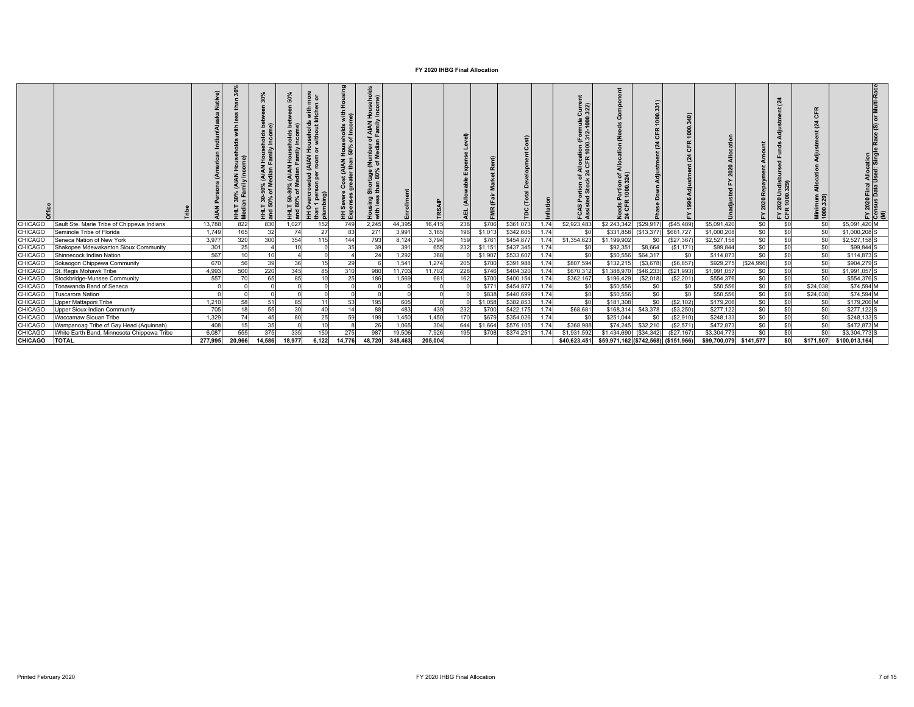|                |                                            |         | $\bullet$ |                 | ន<br>. உள்<br>85<br>8 <sup>8</sup> | මූ<br>ŝΞ<br>Ŧ | with<br>me)<br>st (AIAN Households<br>ater than 50% of Inco<br>.<br>도 띵 | seho<br>ome)<br>f AIAN Hous<br>Family Inco<br>tage (Number<br>80% of Median<br>Short<br>than<br>esel<br>I<br>House<br>with |         |         | $\widehat{a}$<br>画 |         |           |      | ទី ទី<br>$\circ$ $\overline{\phantom{0}}$<br>tion<br>100<br>י ⊼<br>홀 뜽 | ট র<br>'ortio<br>1000                | ō          | a<br>1000.<br>Æ<br>$\epsilon$ |              | 2020      | ą<br>몯 엃<br>53<br>ន្ត ខ្<br>∾ ≃<br>: 농 | 뚠<br>$\overline{o}$<br>$\overline{a}$<br>$\overline{\pi}$<br>들 후 | Final Allocation<br>Data Used: Singl<br>2020<br>15 US<br>로 일로 |
|----------------|--------------------------------------------|---------|-----------|-----------------|------------------------------------|---------------|-------------------------------------------------------------------------|----------------------------------------------------------------------------------------------------------------------------|---------|---------|--------------------|---------|-----------|------|------------------------------------------------------------------------|--------------------------------------|------------|-------------------------------|--------------|-----------|----------------------------------------|------------------------------------------------------------------|---------------------------------------------------------------|
| <b>CHICAGO</b> | Sault Ste. Marie Tribe of Chippewa Indians | 13.788  | 822       | 830             | 1.027                              | 152           | 749                                                                     | 2,245                                                                                                                      | 44.395  | 16,415  | 238                | \$706   | \$361,073 | 1.74 | \$2,923,483                                                            | \$2,243,342                          | (\$29,917  | (\$45,489                     | \$5,091,420  | \$0       | \$0                                    | \$0                                                              | \$5.091.420 M                                                 |
| <b>CHICAGO</b> | Seminole Tribe of Florida                  | 1.749   | 165       | 32              | 74                                 | 27            | 83                                                                      | 271                                                                                                                        | 3,991   | 3,165   | 196                | \$1,013 | \$342,605 | 1.74 | \$C                                                                    | \$331,858                            | (\$13,377  | \$681,727                     | \$1,000,208  | \$0       | \$0                                    | <sub>so</sub>                                                    | \$1,000,208 S                                                 |
| <b>CHICAGO</b> | Seneca Nation of New York                  | 3.977   | 320       | 300             | 354                                | 115           | 144                                                                     | 793                                                                                                                        | 8,124   | 3,794   | 159                | \$76'   | \$454,877 | 1.74 | \$1,354,623                                                            | \$1,199,902                          | \$0        | (\$27,367                     | \$2,527,158  | \$0       | \$0                                    | \$0                                                              | \$2,527,158 S                                                 |
| <b>CHICAGC</b> | Shakopee Mdewakanton Sioux Community       | 301     | 25        |                 | 10                                 |               | 35                                                                      | 39                                                                                                                         | 391     | 655     | 232                | \$1,151 | \$437,345 | 1.74 | \$C                                                                    | \$92,351                             | \$8,664    | (S1, 171)                     | \$99,844     | \$0       | \$0                                    | \$0                                                              | \$99,844 S                                                    |
| <b>CHICAGO</b> | Shinnecock Indian Nation                   | 567     | 10        | 10 <sup>1</sup> |                                    |               |                                                                         | 24                                                                                                                         | 1.292   | 368     |                    | \$1,907 | \$533,607 | 1.74 | \$0                                                                    | \$50,556                             | \$64,317   | \$0                           | \$114,873    | \$0       | \$0                                    | \$0                                                              | \$114,873 S                                                   |
| <b>CHICAGO</b> | Sokaogon Chippewa Community                | 670     | 56        | 39              | 36                                 | 15            | 29                                                                      |                                                                                                                            | 1.541   | 1,274   | 205                | \$700   | \$391,988 | 1.74 | \$807,594                                                              | \$132,215                            | (\$3,678)  | (S6, 857)                     | \$929,275    | (S24,996) | \$0                                    | \$0                                                              | \$904,279 S                                                   |
| <b>CHICAGO</b> | St. Regis Mohawk Tribe                     | 4.993   | 500       | 220             | 345                                | 85            | 310                                                                     | 980                                                                                                                        | 11.703  | 11,702  | 228                | \$746   | \$404,320 | 1.74 | \$670,31                                                               | \$1,388,97                           | (\$46,233  | (\$21,993                     | \$1,991,057  | \$0       | \$0                                    | \$0                                                              | \$1,991,057 S                                                 |
| <b>CHICAGC</b> | Stockbridge-Munsee Community               | 557     | 7(        |                 | 85                                 |               | 25                                                                      | 186                                                                                                                        | 1,569   | 681     | 162                | \$700   | \$400,154 | 1.74 | \$362.167                                                              | \$196,429                            | (\$2,018)  | (S2.201)                      | \$554,376    | \$0       | \$0                                    | \$0                                                              | \$554,376 S                                                   |
| <b>CHICAGO</b> | Tonawanda Band of Seneca                   |         |           |                 |                                    |               |                                                                         |                                                                                                                            |         |         |                    | \$771   | \$454,877 | 1.74 | \$0                                                                    | \$50,556                             | \$0        | \$0                           | \$50,556     | \$0       | \$0                                    | \$24.038                                                         | \$74,594 M                                                    |
| <b>CHICAGO</b> | uscarora Nation                            |         |           |                 |                                    |               |                                                                         |                                                                                                                            |         |         |                    | \$838   | \$440,699 | 1.74 | \$0                                                                    | \$50,556                             | \$0        | \$0                           | \$50,556     | \$0       | \$0                                    | \$24,038                                                         | \$74,594 M                                                    |
| CHICAGO        | <b>Jpper Mattaponi Tribe</b>               | 1,210   | 58        |                 | 85                                 | 11            | 53                                                                      | 195                                                                                                                        | 605     |         |                    | \$1,058 | \$382,853 | 1.74 | \$C                                                                    | \$181,308                            | \$0        | (S2, 102)                     | \$179,206    | \$0       | \$0                                    | \$0                                                              | \$179,206 M                                                   |
| <b>CHICAGC</b> | Jpper Sioux Indian Community               | 705     |           |                 | 30                                 | 40            | 14                                                                      | 88                                                                                                                         | 483     | 439     | 232                | \$700   | \$422,175 | 1.74 | \$68,681                                                               | \$168,31                             | \$43,378   | (\$3,250                      | \$277.122    | \$0       | \$0                                    | \$0                                                              | \$277,122 S                                                   |
| <b>CHICAGO</b> | <b>Naccamaw Siouan Tribe</b>               | 1,329   | 74        |                 | 80                                 | 25            | 50                                                                      | 199                                                                                                                        | 1,450   | 1,450   | 170                | \$679   | \$354,026 | 1.74 |                                                                        | \$251,044                            | \$0        | (S2, 910)                     | \$248,133    | \$0       | \$0                                    | \$0                                                              | \$248,133 S                                                   |
| CHICAGO        | Wampanoag Tribe of Gay Head (Aquinnah)     | 408     | 15        | 35              |                                    | 10            |                                                                         | 26                                                                                                                         | 1.065   | 304     | 644                | \$1,664 | \$576,105 | 1.74 | \$368,988                                                              | \$74.245                             | \$32,210   | (S2, 571)                     | \$472,873    | \$0       | \$0                                    | \$0                                                              | \$472,873 M                                                   |
| <b>CHICAGO</b> | White Earth Band, Minnesota Chippewa Tribe | 6,087   | 555       | 375             | 335                                | 150           | 275                                                                     | 987                                                                                                                        | 19.506  | 7,926   | 195                | \$708   | \$374,251 | 1.74 | \$1,931,592                                                            | \$1,434.69                           | (S34, 342) | (S27.167)                     | \$3,304,773  | \$0       | \$0                                    | \$0                                                              | \$3,304,773 S                                                 |
| CHICAGO        | <b>TOTAL</b>                               | 277.995 | 20.966    | 14.586          | 18.977                             | 6.122         | 14.776                                                                  | 48.720                                                                                                                     | 348,463 | 205.004 |                    |         |           |      | \$40.623.451                                                           | \$59,971,162 (\$742,568) (\$151,966) |            |                               | \$99,700.079 | \$141.577 | \$0                                    | \$171.507                                                        | \$100.013.164                                                 |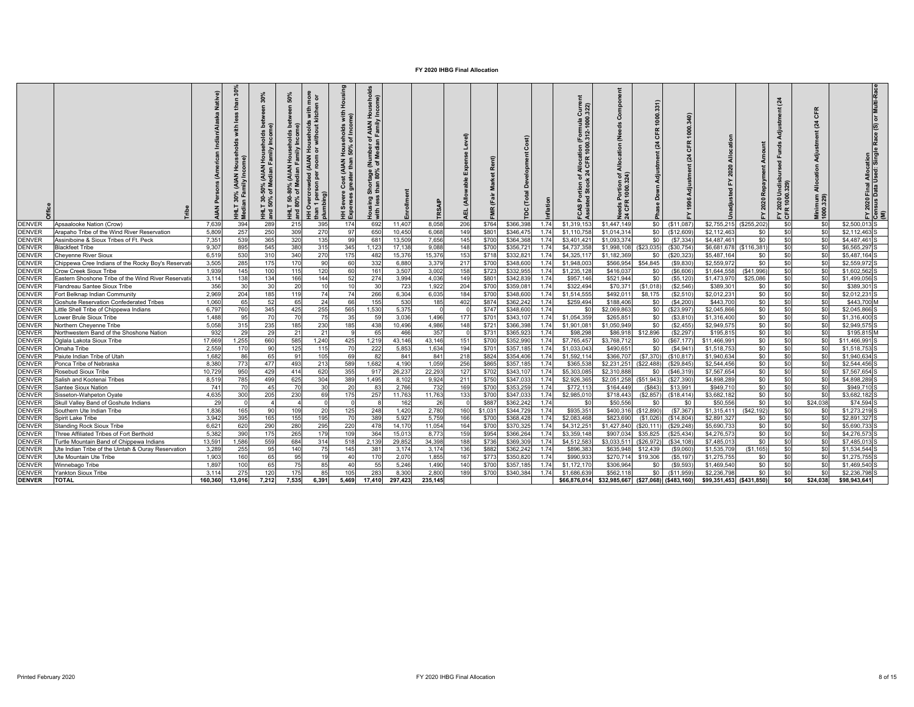|                                |                                                                                          | ative)<br>Š    | illy Incon<br><b>Aedi</b> | š<br>న్ Σ<br>និ ទ<br>로 혼 | nor<br>Tor<br>និ<br>운 능<br>Family<br><b>AIAN</b><br>$\overline{\sigma}$<br>న ≅<br>៵<br>150 <sup>o</sup><br>lumbi<br>Ó<br>불ョ<br>H | Housing<br>with<br>ne)<br>Cost (AIAN Households<br>reater than 50% of Inco<br>Cost<br>HH Severe<br>Expenses g | AIAN Househol<br>Family Income)<br>Σ<br>ঁঁ<br>tage (<br>80%<br>Short<br>than<br>Housing<br>with less | inrollment   | <b>TRSA</b>  | Level)<br>ň<br>릹 |                | å<br>ă                 | nflation     | ā<br>$Curre$<br>$322$<br>$2 - 1000.$<br>$\tilde{z}$<br>$\frac{1}{1000}$<br>CFR<br>tion<br>Stocl<br>요 ਫ਼<br>ဖ | ဒိ<br>Ž<br>ation<br>Alloc<br>'চ র<br>ទី ៦<br>ঃ শ্ল | 뜽<br>Adjustm         |                       | $\overline{N}$          | bay<br>2020   | $\overline{24}$<br>⊃ ේ<br>ុខ<br>EY 2K | ۴<br>ō<br>$\mathbf{z}$<br>Adjus<br>tion<br>$\frac{1}{2}$<br>Minimum<br>1000.329) | Final Allocation<br>Data Used: Single Race (S) or Multi-Rac<br>$\frac{FN \cdot 2020}{Consus}$ |
|--------------------------------|------------------------------------------------------------------------------------------|----------------|---------------------------|--------------------------|----------------------------------------------------------------------------------------------------------------------------------|---------------------------------------------------------------------------------------------------------------|------------------------------------------------------------------------------------------------------|--------------|--------------|------------------|----------------|------------------------|--------------|--------------------------------------------------------------------------------------------------------------|----------------------------------------------------|----------------------|-----------------------|-------------------------|---------------|---------------------------------------|----------------------------------------------------------------------------------|-----------------------------------------------------------------------------------------------|
| <b>DENVER</b>                  | Ansaalooke Nation (Crow)                                                                 | 7.639          | 394                       | 289                      | 215<br>395                                                                                                                       | 174                                                                                                           | 692                                                                                                  | 11.407       | 8,058        | 206              | \$764          | \$366,398              | 1.74         | \$1,319,153                                                                                                  | \$1,447,149                                        | S <sub>0</sub>       | (S11.087)             | \$2.755.215             | (\$255.202    | \$0                                   | \$0                                                                              | \$2,500,013 S                                                                                 |
| <b>DENVER</b>                  | Arapaho Tribe of the Wind River Reservation                                              | 5,809          | 257                       | 250                      | 309<br>270                                                                                                                       | 97                                                                                                            | 650                                                                                                  | 10,450       | 6,068        | 149              | \$801          | \$346,475              | 1.74         | \$1,110,758                                                                                                  | \$1,014,314                                        | SO.                  | (\$12,609             | \$2,112.46              | \$0           | \$0                                   | \$0                                                                              | \$2,112.463                                                                                   |
| <b>DENVER</b>                  | Assiniboine & Sioux Tribes of Ft. Peck                                                   | 7,351          | 539                       | 365                      | 135<br>320                                                                                                                       | 99                                                                                                            | 681                                                                                                  | 13,509       | 7,656        | 145              | \$700          | \$364,368              | 1.74         | \$3,401,42                                                                                                   | \$1,093,374                                        | \$0                  | (S7, 334)             | \$4,487,46              | \$0           | \$0                                   | \$0                                                                              | \$4,487,461                                                                                   |
| <b>DENVER</b>                  | <b>Blackfeet Tribe</b>                                                                   | 9,307          | 895                       | 545                      | 380<br>315                                                                                                                       | 345                                                                                                           | 1,123                                                                                                | 17,138       | 9,088        | 148              | \$700          | \$356,72               | 1.74         | \$4,737,358                                                                                                  | \$1,998,108                                        | (\$23,035            | (\$30,754)            | \$6,681,678             | (\$116,381    | \$0                                   | \$0                                                                              | \$6,565,297                                                                                   |
| <b>DENVER</b>                  | Cheyenne River Sioux                                                                     | 6.519          | 530                       | 310                      | 340<br>270                                                                                                                       | 175                                                                                                           | 482                                                                                                  | 15,37        | 15,37        | 153              | \$718          | \$332,82               | 1.74         | \$4,325,117                                                                                                  | \$1,182,369                                        | \$0                  | (\$20,323             | \$5,487.16              | \$0           | \$0                                   | sol                                                                              | \$5.487.164                                                                                   |
| <b>DENVER</b>                  | Chippewa Cree Indians of the Rocky Boy's Reservat                                        | 3,505          | 285                       | 175                      | 170<br>90                                                                                                                        | 60                                                                                                            | 332                                                                                                  | 6.880        | 3,379        | 217              | \$700          | \$348,600              | 1.74         | \$1,948,003                                                                                                  | \$566.954                                          | \$54,845             | (S9, 830)             | \$2,559.97              | \$0           | \$0                                   | <sub>\$0</sub>                                                                   | \$2,559.972                                                                                   |
| <b>DENVER</b><br><b>DENVER</b> | Crow Creek Sioux Tribe                                                                   | 1.939          | 145                       | 100                      | 115<br>120                                                                                                                       | 60                                                                                                            | 161                                                                                                  | 3,507        | 3,002        | 158              | \$723          | \$332,955              | 1.74         | \$1,235,128                                                                                                  | \$416,037                                          | \$0                  | (S6, 606)             | \$1,644,558             | (S41,996)     | \$0                                   | \$0                                                                              | \$1,602.562                                                                                   |
| <b>DENVER</b>                  | astern Shoshone Tribe of the Wind River Reservati                                        | 3,114          | 138                       | 134                      | 144<br>166                                                                                                                       | 52                                                                                                            | 274                                                                                                  | 3,994        | 4,036        | 149              | \$801          | \$342,839              | 1.74         | \$957,146                                                                                                    | \$521,944                                          | \$0                  | (S5, 120)             | \$1,473,97              | \$25,086      | \$0                                   | \$0                                                                              | \$1,499,056                                                                                   |
| <b>DENVER</b>                  | Flandreau Santee Sioux Tribe                                                             | 356            | 30                        | 3 <sup>0</sup>           | 20<br>10<br>119<br>74                                                                                                            | 10<br>74                                                                                                      | 30                                                                                                   | 723          | 1,922        | 204              | \$700          | \$359.08               | 1.74         | \$322,494                                                                                                    | \$70.371                                           | (S1.018)             | (S2, 546)             | \$389.30                | \$0           | \$0                                   | \$0                                                                              | \$389,301                                                                                     |
| <b>DENVER</b>                  | Fort Belknap Indian Community                                                            | 2,969<br>1.060 | 204<br>65                 | 185<br>52                | 65<br>24                                                                                                                         | 66                                                                                                            | 266<br>155                                                                                           | 6,304<br>530 | 6,035<br>185 | 184<br>402       | \$700<br>\$874 | \$348,600<br>\$362,242 | 1.74<br>1.74 | \$1,514,555<br>\$259,494                                                                                     | \$492,01<br>\$188,406                              | \$8,175<br>\$0       | (S2, 510)<br>(S4.200) | \$2,012,23<br>\$443,700 | \$0<br>\$0    | \$0<br>\$0                            | \$0<br>\$0                                                                       | \$2,012,231<br>\$443,700 M                                                                    |
| <b>DENVER</b>                  | <b>Goshute Reservation Confederated Tribes</b><br>little Shell Tribe of Chippewa Indians | 6,797          | 760                       | 345                      | 255<br>425                                                                                                                       | 565                                                                                                           | 1,530                                                                                                | 5,375        |              |                  | \$747          | \$348,600              | 1.74         | \$ſ                                                                                                          | \$2,069,863                                        | \$0                  | (\$23.997             | \$2,045,866             | \$0           | \$0                                   | \$0                                                                              | \$2.045.866                                                                                   |
| <b>DENVER</b>                  | ower Brule Sioux Tribe                                                                   | 1.488          | 95                        | - 70                     | 70<br>75                                                                                                                         | 35                                                                                                            | 59                                                                                                   | 3.036        | 1,496        | 177              | \$701          | \$343.107              | 1.74         | \$1,054,359                                                                                                  | \$265.85                                           | \$0                  | (S3.810)              | \$1,316,400             | \$0           | \$0                                   | \$0                                                                              | \$1,316,400                                                                                   |
| <b>DENVER</b>                  | <b>Northern Chevenne Tribe</b>                                                           | 5.058          | 315                       | 235                      | 230<br>185                                                                                                                       | 185                                                                                                           | 438                                                                                                  | 10.496       | 4,986        | 148              | \$721          | \$366,39               | 1.74         | \$1,901.081                                                                                                  | \$1,050,949                                        | SO.                  | (S2.455)              | \$2,949.57              | \$0           | \$0                                   | \$0                                                                              | \$2.949.575                                                                                   |
| <b>DENVER</b>                  | Northwestern Band of the Shoshone Nation                                                 | 932            | 29                        | 29                       | 21<br>21                                                                                                                         |                                                                                                               | 65                                                                                                   | 466          | 357          |                  | \$731          | \$365,923              | 1.74         | \$98,298                                                                                                     | \$86,918                                           | \$12,896             | (S2.297)              | \$195.815               | \$0           | \$0                                   | <sub>\$0</sub>                                                                   | \$195,815 M                                                                                   |
| <b>DENVER</b>                  | Oglala Lakota Sioux Tribe                                                                | 17,669         | 1,255                     | 660                      | 585<br>1,240                                                                                                                     | 425                                                                                                           | 1,219                                                                                                | 43,146       | 43,146       | 151              | \$700          | \$352,990              | 1.74         | \$7,765,457                                                                                                  | \$3,768,712                                        | \$0                  | (\$67, 177            | \$11,466,99             | \$0           | \$0                                   | \$0                                                                              | \$11,466,991                                                                                  |
| <b>DENVER</b>                  | Omaha Tribe                                                                              | 2,559          | 170                       | 90                       | 115<br>125                                                                                                                       | 70                                                                                                            | 222                                                                                                  | 5,853        | 1,634        | 194              | \$701          | \$357,185              | 1.74         | \$1,033,043                                                                                                  | \$490,65                                           | \$0                  | (S4, 941)             | \$1,518,753             | \$0           | \$0                                   | \$0                                                                              | \$1,518,753                                                                                   |
| <b>DENVER</b>                  | Paiute Indian Tribe of Utah                                                              | 1.682          | 86                        | 65                       | 105<br>ö.                                                                                                                        | 69                                                                                                            | 82                                                                                                   | 841          | 841          | 218              | \$824          | \$354,406              | 1.74         | \$1,592.114                                                                                                  | \$366,707                                          | (S7.370)             | (\$10.817             | \$1,940.634             | \$0           | \$0                                   | <sub>\$0</sub>                                                                   | \$1,940.634                                                                                   |
| <b>DENVER</b>                  | Ponca Tribe of Nebraska                                                                  | 8,380          | 773                       | 477                      | 493<br>213                                                                                                                       | 589                                                                                                           | 1,682                                                                                                | 4.190        | 1,059        | 256              | \$865          | \$357,185              | 1.74         | \$365.53                                                                                                     | \$2,231,251                                        | (\$22.488            | (\$29.845             | \$2,544.456             | \$0           | \$0                                   | \$0                                                                              | \$2,544.456                                                                                   |
| <b>DENVER</b>                  | Rosebud Sioux Tribe                                                                      | 10,729         | 950                       | 429                      | 620<br>414                                                                                                                       | 355                                                                                                           | 917                                                                                                  | 26.237       | 22,293       | 127              | \$702          | \$343,107              | 1.74         | \$5,303,08                                                                                                   | \$2,310,888                                        | \$0                  | (\$46,319             | \$7,567.654             | \$0           | \$0                                   | sol                                                                              | \$7,567.654                                                                                   |
| <b>DENVER</b>                  | Salish and Kootenai Tribes                                                               | 8,519          | 785                       | 499                      | 625<br>304                                                                                                                       | 389                                                                                                           | 1,495                                                                                                | 8,102        | 9,924        | 211              | \$750          | \$347,033              | 1.74         | \$2,926,365                                                                                                  | \$2,051,258                                        | (S51, 943)           | (\$27,390             | \$4,898,289             | \$0           | \$0                                   | \$0                                                                              | \$4,898,289                                                                                   |
| <b>DENVER</b>                  | Santee Sioux Nation                                                                      | 741            | 70                        | 45                       | 30<br>-70                                                                                                                        | 20                                                                                                            | 83                                                                                                   | 2.766        | 732          | 169              | \$700          | \$353,259              | 1.74         | \$772,113                                                                                                    | \$164.449                                          | (S843                | \$13,991              | \$949.71                | \$0           | \$0                                   | \$0                                                                              | \$949,710                                                                                     |
| <b>DENVER</b>                  | Sisseton-Wahpeton Oyate                                                                  | 4,635          | 300                       | 205                      | 230<br>69                                                                                                                        | 175                                                                                                           | 257                                                                                                  | 11,763       | 11,763       | 133              | \$700          | \$347,033              | 1.74         | \$2,985,010                                                                                                  | \$718,443                                          | (\$2,857             | (\$18,414             | \$3,682,182             | \$0           | \$0                                   | \$0                                                                              | \$3,682,182                                                                                   |
| <b>DENVER</b>                  | Skull Valley Band of Goshute Indians                                                     | 29             |                           |                          |                                                                                                                                  |                                                                                                               |                                                                                                      | 162          | 26           |                  | \$887          | \$362,242              | 1.74         | \$0                                                                                                          | \$50,556                                           | - \$0                | \$0                   | \$50,556                | \$0           | \$0                                   | \$24,038                                                                         | \$74.594                                                                                      |
| <b>DENVER</b>                  | Southern Ute Indian Tribe                                                                | 1.836          | 165                       | 90                       | 109<br>20                                                                                                                        | 125                                                                                                           | 248                                                                                                  | 1,420        | 2,780        | 160              | \$1,031        | \$344,729              | 1.74         | \$935,351                                                                                                    |                                                    | \$400,316 (\$12,890) | (S7, 367)             | \$1,315,411             | (\$42.192)    | \$0                                   | \$0                                                                              | \$1,273,219                                                                                   |
| <b>DENVER</b>                  | Spirit Lake Tribe                                                                        | 3.942          | 395                       | 165                      | 195<br>155                                                                                                                       | 70                                                                                                            | 389                                                                                                  | 5.927        | 5.759        | 166              | \$700          | \$368,428              | 1.74         | \$2,083,468                                                                                                  | \$823,690                                          | (S1.026)             | (S14.804)             | \$2,891.327             | \$0           | \$0                                   | <sub>\$0</sub>                                                                   | \$2.891.327                                                                                   |
| <b>DENVER</b>                  | Standing Rock Sioux Tribe                                                                | 6.621          | 620                       | 290                      | 280<br>295                                                                                                                       | 220                                                                                                           | 478                                                                                                  | 14,170       | 11,054       | 164              | \$700          | \$370.325              | 1.74         | \$4,312.251                                                                                                  | \$1,427,840                                        | (S20.11)             | (\$29,248)            | \$5,690.733             | \$0           | \$0                                   | <sub>\$0</sub>                                                                   | \$5,690,733                                                                                   |
| <b>DENVER</b>                  | Three Affiliated Tribes of Fort Berthold                                                 | 5,382          | 390                       | 175                      | 265<br>179                                                                                                                       | 109                                                                                                           | 364                                                                                                  | 15.013       | 8,773        | 159              | \$954          | \$366.264              | 1.74         | \$3,359,148                                                                                                  | \$907.03                                           | \$35,825             | (\$25,434             | \$4,276.57              | \$0           | \$0                                   | \$0                                                                              | \$4,276,573                                                                                   |
| <b>DENVER</b>                  | Turtle Mountain Band of Chippewa Indians                                                 | 13,591         | 1.586                     | 559                      | 684<br>314                                                                                                                       | 518                                                                                                           | 2.139                                                                                                | 29,852       | 34,398       | 188              | \$736          | \$369,309              | 1.74         | \$4,512,583                                                                                                  | \$3.033.51                                         | (\$26.972            | (S34.108)             | \$7,485,01              | \$0           | \$0                                   | sol                                                                              | \$7,485,013                                                                                   |
| <b>DENVER</b>                  | Jte Indian Tribe of the Uintah & Ouray Reservation                                       | 3,289          | 255                       | 95                       | 140<br>75                                                                                                                        | 145                                                                                                           | 381                                                                                                  | 3,174        | 3,174        | 136              | \$882          | \$362,242              | 1.74         | \$896,383                                                                                                    | \$635,94                                           | \$12,439             | (S9,060)              | \$1,535,709             | (\$1,165]     | \$0                                   | \$0                                                                              | \$1.534.544                                                                                   |
| <b>DENVER</b>                  | Jte Mountain Ute Tribe                                                                   | 1,903          | 160                       | 65                       | 19<br>95                                                                                                                         | 40                                                                                                            | 170                                                                                                  | 2,070        | 1,855        | 167              | \$773          | \$350.820              | 1.74         | \$990.933                                                                                                    | \$270.71                                           | \$19,306             | (S5, 197)             | \$1,275.75              | \$0           | \$0                                   | \$0                                                                              | \$1,275,755                                                                                   |
| <b>DENVER</b>                  | Ninnebago Tribe                                                                          | 1,897          | 100                       | 65                       | 75<br>85                                                                                                                         | 40                                                                                                            | 55                                                                                                   | 5,246        | 1,490        | 140              | \$700          | \$357,18               | 1.74         | \$1,172,170                                                                                                  | \$306.964                                          | \$0                  | (S9, 593)             | \$1,469,540             | \$0           | \$0                                   | \$0                                                                              | \$1,469,540 S                                                                                 |
| <b>DENVER</b>                  | Yankton Sioux Tribe                                                                      | 3.114          | 275                       | 120                      | 175<br>85                                                                                                                        | 105                                                                                                           | 283                                                                                                  | 8,300        | 2,800        | 189              | \$700          | \$340,384              | 1.74         | \$1,686,639                                                                                                  | \$562.118                                          | \$0                  | (\$11,959             | \$2,236,798             | \$0           | \$0                                   | \$0                                                                              | \$2.236.798                                                                                   |
| <b>DENVER</b>                  | TOTAL                                                                                    | 160,360        | 13,016                    | 7,212                    | 7,535<br>6,391                                                                                                                   | 5,469                                                                                                         | 17,410                                                                                               | 297,423      | 235,145      |                  |                |                        |              | \$66,876,014                                                                                                 | \$32,985,667 (\$27,068)                            |                      | ( \$483, 160)         | \$99,351,453            | ( \$431, 850) | 50                                    | \$24,038                                                                         | \$98,943,641                                                                                  |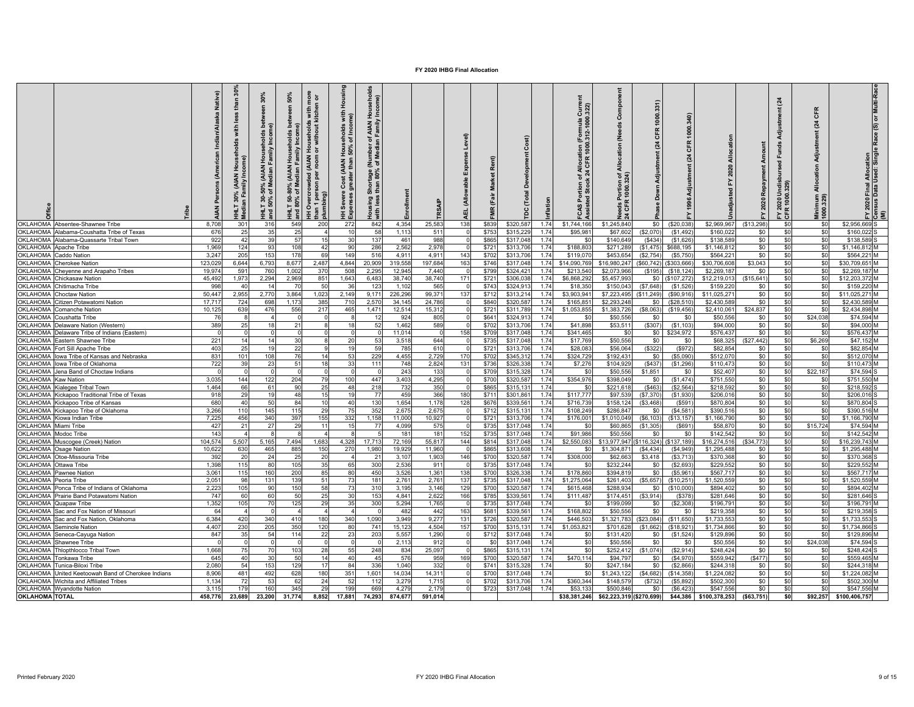| <b>Dffice</b>                      | ribe                                                                                | Native)<br>₹     | ន្លិ<br>£<br>ě<br>€<br>₹<br>오<br>z<br>ΑIΑ)<br>ន<br>量 | 30%<br>ھ م<br>nolds<br>ncom<br>AIAN Househ) ،<br>ledian Family In<br>శ్రీ<br>តុ ៖<br>$-130$<br>50%<br>불합 | more<br>n or<br>50%<br>$\blacksquare$<br>with<br>tcher<br>useholds v<br>without kit<br>bet<br>olds<br>nl Aime<br>Anihy<br>운 ㅎ<br>ᄛ<br>Troom<br><b>AIAN</b><br>% (AIAN<br>Median I<br>HH Overcrowded (,<br>than 1 person per<br>plumbing)<br>ఇ 'క<br>IHLT 50-<br>Ind 80% | Housi<br>with<br>me)<br>HH Severe Cost (AIAN Households<br>Expenses greater than 50% of Inco | ő<br>Househol<br>/ Income)<br>AIAN I<br>Family<br>$\frac{1}{6}$<br>론ㅎ<br>$\frac{1}{3}$ Shortage (<br>Housing<br>with less | 븇                 | RSAIP            | Level)<br>Expense<br>(Allowable<br>뭅 | ድ<br>g<br>(Fair<br>MR | <b>Development</b><br>Total<br>ă | vilatio      | $Curr$<br>$(322)$<br>(Formula<br>0.312-1000<br>of Allocat<br>k 24 CFR<br>rtion<br>Stoci<br><b>CASPor</b><br>Assisted | (Needs<br>Allocation<br>ঁ ই<br>Portion<br>1000.32<br>eds F<br>CFR | 331<br>齿<br>Ā.    | 1000<br>CFR<br>24<br><b>Adju</b> | Allocatio<br><b>Ba</b>      | Repayment<br>2020 | $\overline{a}$<br>ಕೆ<br>FY 2020 Undi<br>CFR 1000.329 | Æ<br>ō<br>$\mathbf{z}$<br>Adjustment<br>cation<br>$rac{6}{4}$<br>Minimum<br>1000.329) | FY 2020 Final Allocation<br>Consus Data Used: Single Race (S) or Multi-Race<br>(M) |
|------------------------------------|-------------------------------------------------------------------------------------|------------------|------------------------------------------------------|----------------------------------------------------------------------------------------------------------|-------------------------------------------------------------------------------------------------------------------------------------------------------------------------------------------------------------------------------------------------------------------------|----------------------------------------------------------------------------------------------|---------------------------------------------------------------------------------------------------------------------------|-------------------|------------------|--------------------------------------|-----------------------|----------------------------------|--------------|----------------------------------------------------------------------------------------------------------------------|-------------------------------------------------------------------|-------------------|----------------------------------|-----------------------------|-------------------|------------------------------------------------------|---------------------------------------------------------------------------------------|------------------------------------------------------------------------------------|
| OKLAHOMA                           | Absentee-Shawnee Tribe                                                              | 8.708            | 301                                                  | 316                                                                                                      | 549<br>200                                                                                                                                                                                                                                                              | 272                                                                                          | 842                                                                                                                       | 4,354             | 25,583           | 138                                  | \$839                 | \$320,587                        | 1.74         | \$1,744,166                                                                                                          | \$1,245,840                                                       | \$0               | \$20,038                         | \$2,969,967                 | (\$13,298         | \$0                                                  | \$0                                                                                   | \$2,956,669                                                                        |
|                                    | OKLAHOMA Alabama-Coushatta Tribe of Texas                                           | 676              | 25                                                   | 35                                                                                                       | 25                                                                                                                                                                                                                                                                      | 10                                                                                           | 58                                                                                                                        | 1,113             | 511              | $\Omega$                             | \$753                 | \$315,229                        | 1.74         | \$95,981                                                                                                             | \$67,602                                                          | (\$2,070)         | (S1.492)                         | \$160,022                   | \$0               | \$0                                                  | \$0                                                                                   | \$160,022 S                                                                        |
|                                    | OKLAHOMA Alabama-Quassarte Tribal Town                                              | 922              | 42                                                   | 39                                                                                                       | 57<br>15                                                                                                                                                                                                                                                                | 30                                                                                           | 137                                                                                                                       | 461               | 988              | $\Omega$                             | \$865                 | \$317,048                        | 1.74         | \$0                                                                                                                  | \$140,649                                                         | (\$434            | (S1, 626)                        | \$138,589                   | \$0               | \$0                                                  | \$0                                                                                   | \$138,589                                                                          |
| OKLAHOMA Apache Tribe              |                                                                                     | 1.969            | 124                                                  | 93                                                                                                       | 108<br>42                                                                                                                                                                                                                                                               | 90                                                                                           | 286                                                                                                                       | 2,562             | 2.978            | $\Omega$                             | \$721                 | \$313,706                        | 1.74         | \$188,803                                                                                                            | \$271.289                                                         | (S1.475)          | \$688.195                        | \$1,146,812                 | \$0               | \$0                                                  | \$0                                                                                   | \$1.146.812 M                                                                      |
| <b>OKLAHOMA</b>                    | Caddo Nation                                                                        | 3,247            | 205                                                  | 153                                                                                                      | 178<br>69                                                                                                                                                                                                                                                               | 149                                                                                          | 516                                                                                                                       | 4,911             | 4,911            | 143                                  | \$702                 | \$313,706                        | 1.74         | \$119,07                                                                                                             | \$453,65                                                          | (\$2,754          | (S5, 750)                        | \$564,22                    | \$0               | \$0                                                  | \$0                                                                                   | \$564,221 M                                                                        |
| OKLAHOMA                           | <b>Cherokee Nation</b>                                                              | 123,029          | 6,644                                                | 6.793                                                                                                    | 2,487<br>8.677                                                                                                                                                                                                                                                          | 4.844                                                                                        | 20,909                                                                                                                    | 319,558           | 197,684          | 163                                  | \$746                 | \$317,048                        | 1.74         | \$14,090.76                                                                                                          | \$16,980.24                                                       | (\$60.742         | \$303,666                        | \$30,706,608                | \$3.043           | \$0                                                  | sol                                                                                   | \$30,709.651 M                                                                     |
| <b>OKLAHOMA</b>                    | Cheyenne and Arapaho Tribes                                                         | 19.974           | 591                                                  | 760                                                                                                      | 1,002<br>370                                                                                                                                                                                                                                                            | 508                                                                                          | 2,295                                                                                                                     | 12,945            | 7,440            | $\Omega$                             | \$799                 | \$324,421                        | 1.74         | \$213,540                                                                                                            | \$2,073,966                                                       | (\$195            | (\$18, 124)                      | \$2,269,187                 | \$0               | \$0                                                  | \$0                                                                                   | \$2,269.187 M                                                                      |
| <b>OKLAHOMA</b>                    | Chickasaw Nation                                                                    | 45.492           | 1.973                                                | 2.294<br>14                                                                                              | 851<br>2.969                                                                                                                                                                                                                                                            | 1.643                                                                                        | 6.483                                                                                                                     | 38,740            | 38.740           | 171                                  | $$72^{\circ}$         | \$306.038                        | 1.74<br>1.74 | \$6.868.29                                                                                                           | \$5,457.99                                                        | \$0               | (\$107.272)                      | \$12,219,013                | \$15,641          | \$0                                                  | \$0                                                                                   | \$12.203.372 M                                                                     |
| <b>OKLAHOMA</b>                    | Chitimacha Tribe                                                                    | 998              | 40                                                   |                                                                                                          | 50<br>70                                                                                                                                                                                                                                                                | 36                                                                                           | 12:                                                                                                                       | 1,102             | 565              |                                      | \$743                 | \$324,913                        |              | \$18,35                                                                                                              | \$150,04                                                          | (\$7,648          | (S1, 526)                        | \$159,22                    | \$0               | \$0                                                  | \$0                                                                                   | \$159,220 M                                                                        |
| OKLAHOMA<br>OKLAHOMA               | <b>Choctaw Nation</b>                                                               | 50,447<br>17,717 | 2,955                                                | 2,770<br>698                                                                                             | 3,864<br>1,023<br>385<br>1,173                                                                                                                                                                                                                                          | 2,149<br>710                                                                                 | 9,17'<br>2,570                                                                                                            | 226,296<br>34,145 | 99,371           | 137                                  | \$712                 | \$313,214                        | 1.74<br>1.74 | \$3,903,94<br>\$165,85                                                                                               | \$7,223,49<br>\$2,293,24                                          | (S11, 249)<br>-90 | (\$90,916)                       | \$11,025,271<br>\$2,430,589 | \$0<br>\$0        | \$0<br>\$0                                           | \$0<br>\$0                                                                            | \$11,025,271 M<br>\$2,430,589 M                                                    |
| OKLAHOMA                           | Citizen Potawatomi Nation<br><b>Comanche Nation</b>                                 | 10,125           | 724<br>639                                           | 476                                                                                                      | 217<br>556                                                                                                                                                                                                                                                              | 465                                                                                          | 1,471                                                                                                                     | 12,514            | 24,786<br>15,312 | 0<br>$\Omega$                        | \$840<br>\$721        | \$320,587<br>\$311,789           | 1.74         | \$1,053,85                                                                                                           | \$1,383,72                                                        | (\$8,063          | (\$28,510)<br>(\$19,456)         | \$2,410,061                 | \$24.837          | \$0                                                  | \$0                                                                                   | \$2.434.898 M                                                                      |
| <b>OKLAHOMA</b>                    | Coushatta Tribe                                                                     | 76               | $\mathbf{R}$                                         |                                                                                                          |                                                                                                                                                                                                                                                                         |                                                                                              |                                                                                                                           | 924               | 805              |                                      | \$641                 | \$324,91                         | 1.74         |                                                                                                                      | \$50,55                                                           | \$0               | \$0                              | \$50,556                    | \$0               | \$C                                                  | \$24,038                                                                              | \$74,594 M                                                                         |
| <b>OKLAHOMA</b>                    | Delaware Nation (Western)                                                           | 389              | 25                                                   | 18                                                                                                       | 21                                                                                                                                                                                                                                                                      | 18                                                                                           | 52                                                                                                                        | 1,462             | 589              |                                      | \$702                 | \$313,706                        | 1.74         | \$41,898                                                                                                             | \$53,51                                                           | (\$307)           | (S1, 103)                        | \$94,000                    | \$0               | \$0                                                  | \$0                                                                                   | \$94,000 M                                                                         |
|                                    | OKLAHOMA Delaware Tribe of Indians (Eastern)                                        |                  | $\Omega$                                             |                                                                                                          | $\Omega$                                                                                                                                                                                                                                                                |                                                                                              |                                                                                                                           | 11.014            |                  | 158                                  | \$709                 | \$317,048                        | 1.74         | \$341.465                                                                                                            | \$0                                                               | \$0               | \$234,972                        | \$576.437                   | \$0               | \$0                                                  | \$0                                                                                   | \$576.437 M                                                                        |
| OKLAHOMA                           | Eastern Shawnee Tribe                                                               | 221              | 14                                                   | 14                                                                                                       | 30                                                                                                                                                                                                                                                                      | 20                                                                                           | 53                                                                                                                        | 3,518             | 644              |                                      | \$735                 | \$317,048                        | 1.74         | \$17,769                                                                                                             | \$50,556                                                          | \$0               | \$0                              | \$68,325                    | \$27,442          | \$0                                                  | \$6,269                                                                               | \$47,152 M                                                                         |
| OKLAHOMA                           | Fort Sill Apache Tribe                                                              | 403              | 25                                                   | 10                                                                                                       | 22<br>$\mathbf{Q}$                                                                                                                                                                                                                                                      | 19                                                                                           | 59                                                                                                                        | 785               | 610              |                                      | \$72                  | \$313,706                        | 1.74         | \$28,08                                                                                                              | \$56,064                                                          | (\$322)           | (S972)                           | \$82,854                    | \$0               | \$0                                                  | \$0                                                                                   | \$82.854 M                                                                         |
| OKLAHOMA                           | lowa Tribe of Kansas and Nebraska                                                   | 831              | 101                                                  | 108                                                                                                      | 76<br>14                                                                                                                                                                                                                                                                | 53                                                                                           | 229                                                                                                                       | 4,455             | 2,729            | 170                                  | \$702                 | \$345,312                        | 1.74         | \$324,729                                                                                                            | \$192,43                                                          | \$0               | (S5,090)                         | \$512,070                   | \$0               | \$0                                                  | \$0                                                                                   | \$512,070 M                                                                        |
| OKLAHOMA                           | Iowa Tribe of Oklahoma                                                              | 722              | 39                                                   | 23                                                                                                       | 51<br>18                                                                                                                                                                                                                                                                | 33                                                                                           | 111                                                                                                                       | 748               | 2.824            | 131                                  | \$736                 | \$326,338                        | 1.74         | \$7,276                                                                                                              | \$104.929                                                         | (\$437            | (S1.296)                         | \$110.473                   | \$0               | \$0                                                  | \$0                                                                                   | \$110.473 M                                                                        |
| <b>OKLAHOMA</b>                    | Jena Band of Choctaw Indians                                                        |                  | $\Omega$                                             |                                                                                                          | $\Omega$                                                                                                                                                                                                                                                                |                                                                                              |                                                                                                                           | 243               | 133              | $\Omega$                             | \$709                 | \$315,328                        | 1.74         | \$0                                                                                                                  | \$50,556                                                          | \$1,851           | \$0                              | \$52,407                    | \$0               | \$0                                                  | \$22,187                                                                              | \$74,594 S                                                                         |
| OKLAHOMA Kaw Nation                |                                                                                     | 3.035            | 144                                                  | 122                                                                                                      | 204<br>79                                                                                                                                                                                                                                                               | 100                                                                                          | 447                                                                                                                       | 3.403             | 4,295            |                                      | \$700                 | \$320,587                        | 1.74         | \$354,976                                                                                                            | \$398.049                                                         | \$0               | (S1, 474)                        | \$751,550                   | \$0               | \$0                                                  | \$0                                                                                   | \$751,550 M                                                                        |
| OKLAHOMA                           | Kialegee Tribal Town                                                                | 1,464            | 66                                                   | 6 <sup>7</sup>                                                                                           | 90<br>25                                                                                                                                                                                                                                                                | 48                                                                                           | 218                                                                                                                       | 732               | 350              |                                      | \$865                 | \$315,13'                        | 1.74         | \$0                                                                                                                  | \$221,61                                                          | (\$463            | (S2, 564)                        | \$218,592                   | \$0               | \$0                                                  | \$0                                                                                   | \$218,592                                                                          |
| OKLAHOMA                           | Kickapoo Traditional Tribe of Texas                                                 | 918              | 29                                                   | 19                                                                                                       | 48<br>15                                                                                                                                                                                                                                                                | 19                                                                                           | 77                                                                                                                        | 459               | 366              | 180                                  | \$711                 | \$301,86                         | 1.74         | \$117,777                                                                                                            | \$97,53                                                           | (\$7,370          | (S1,930)                         | \$206,016                   | \$0               | \$0                                                  | \$0                                                                                   | \$206,016 S                                                                        |
| OKLAHOMA                           | Kickapoo Tribe of Kansas                                                            | 680              | 40                                                   | 50                                                                                                       | 84<br>10                                                                                                                                                                                                                                                                | 40                                                                                           | 130                                                                                                                       | 1,654             | 1,178            | 128                                  | \$676                 | \$339,56                         | 1.74         | \$716,73                                                                                                             | \$158,124                                                         | (\$3,468          | (S591)                           | \$870,804                   | \$0               | \$0                                                  | \$0                                                                                   | \$870,804                                                                          |
| <b>OKLAHOMA</b>                    | Kickapoo Tribe of Oklahoma                                                          | 3,266            | 110                                                  | 145                                                                                                      | 115<br>29                                                                                                                                                                                                                                                               | 75                                                                                           | 352                                                                                                                       | 2,675             | 2,675            |                                      | \$712                 | \$315,13'                        | 1.74         | \$108,24                                                                                                             | \$286,84                                                          | \$0               | (S4, 581)                        | \$390,516                   | \$0               | \$0                                                  | \$0                                                                                   | \$390.516 M                                                                        |
| OKLAHOMA                           | Kiowa Indian Tribe                                                                  | 7,225            | 456                                                  | 340                                                                                                      | 397<br>155                                                                                                                                                                                                                                                              | 332                                                                                          | 1,158                                                                                                                     | 11,000            | 10,927           |                                      | \$72                  | \$313,706                        | 1.74         | \$176,001                                                                                                            | \$1,010,049                                                       | (\$6, 103         | (\$13, 157)                      | \$1,166,790                 | \$0               | \$0                                                  | \$0                                                                                   | \$1,166,790 M                                                                      |
| OKLAHOMA                           | Miami Tribe                                                                         | 427<br>143       | 21<br>$\overline{a}$                                 | 27                                                                                                       | 29<br>11<br>8                                                                                                                                                                                                                                                           | 15                                                                                           |                                                                                                                           | 4,099<br>181      | 575<br>181       |                                      | \$735<br>\$735        | \$317,048                        | 1.74<br>1.74 | \$0<br>\$91,986                                                                                                      | \$60,86<br>\$50.55                                                | (\$1,305<br>\$0   | (\$691                           | \$58,870<br>\$142,542       | \$0<br>\$0        | \$0<br>\$0                                           | \$15,724                                                                              | \$74,594 M<br>\$142,542 M                                                          |
| OKLAHOMA Modoc Tribe               | OKLAHOMA Muscogee (Creek) Nation                                                    | 104,574          | 5,507                                                | 5,165                                                                                                    | 1,683<br>7,494                                                                                                                                                                                                                                                          | 4,328                                                                                        | 17,713                                                                                                                    | 72,169            | 55,817           | 152<br>144                           | \$814                 | \$317,048<br>\$317,048           | 1.74         | \$2,550,083                                                                                                          | \$13,977,947                                                      | \$116,324)        | \$0<br>(\$137, 189)              | \$16,274,516                | (\$34,773         | \$0                                                  | \$0<br>\$0                                                                            | \$16,239,743 M                                                                     |
| OKLAHOMA                           | Osage Nation                                                                        | 10,622           | 630                                                  | 465                                                                                                      | 885<br>150                                                                                                                                                                                                                                                              | 270                                                                                          | 1,980                                                                                                                     | 19,929            | 11,960           | $\Omega$                             | \$865                 | \$313,608                        | 1.74         | \$0                                                                                                                  | \$1,304,87                                                        | (\$4,434)         | (S4, 949)                        | \$1,295,488                 | \$0               | \$0                                                  | \$0                                                                                   | \$1,295,488 M                                                                      |
| <b>OKLAHOMA</b>                    | Otoe-Missouria Tribe                                                                | 392              | 20                                                   | 24                                                                                                       | 25<br>20                                                                                                                                                                                                                                                                |                                                                                              | $\overline{2}$                                                                                                            | 3,107             | 1,903            | 146                                  | \$700                 | \$320,587                        | 1.74         | \$308,000                                                                                                            | \$62,66                                                           | \$3,418           | (S3, 713)                        | \$370,36                    | \$0               | \$0                                                  | \$0                                                                                   | \$370,368 S                                                                        |
| OKLAHOMA                           | Ottawa Tribe                                                                        | 1,398            | 115                                                  | 80                                                                                                       | 105<br>35                                                                                                                                                                                                                                                               | 65                                                                                           | 300                                                                                                                       | 2,536             | 911              | $\Omega$                             | \$735                 | \$317.048                        | 1.74         | \$0                                                                                                                  | \$232.24                                                          | \$0               | (S2.693)                         | \$229.552                   | \$0               | \$0                                                  | \$0                                                                                   | \$229.552 M                                                                        |
|                                    | OKLAHOMA Pawnee Nation                                                              | 3,061            | 115                                                  | 160                                                                                                      | 85<br>200                                                                                                                                                                                                                                                               | 80                                                                                           | 450                                                                                                                       | 3,526             | 1,361            | 138                                  | \$700                 | \$326,338                        | 1.74         | \$178,860                                                                                                            | \$394.81                                                          | \$0               | (S5, 961)                        | \$567,717                   | \$0               | \$0                                                  | \$0                                                                                   | \$567,717 M                                                                        |
| OKLAHOMA                           | Peoria Tribe                                                                        | 2.051            | 98                                                   | 131                                                                                                      | 139<br>51                                                                                                                                                                                                                                                               | 73                                                                                           | 181                                                                                                                       | 2.761             | 2,761            | 137                                  | \$735                 | \$317,048                        | 1.74         | \$1,275,064                                                                                                          | \$261.40                                                          | (S5.657)          | (S10.251)                        | \$1.520.559                 | \$0               | \$0                                                  | \$0                                                                                   | \$1.520.559 M                                                                      |
| OKLAHOMA                           | Ponca Tribe of Indians of Oklahoma                                                  | 2,223            | 105                                                  | 90                                                                                                       | 58<br>150                                                                                                                                                                                                                                                               | 73                                                                                           | 310                                                                                                                       | 3,195             | 3,146            | 129                                  | \$700                 | \$320,587                        | 1.74         | \$615,468                                                                                                            | \$288,93                                                          | \$0               | (\$10,000)                       | \$894,402                   | \$0               | \$0                                                  | \$0                                                                                   | \$894,402 M                                                                        |
| OKLAHOMA                           | Prairie Band Potawatomi Nation                                                      | 747              | 60                                                   | 60                                                                                                       | 50<br>25                                                                                                                                                                                                                                                                | 30                                                                                           | 153                                                                                                                       | 4.841             | 2,622            | 166                                  | \$785                 | \$339.561                        | 1.74         | \$111,48                                                                                                             | \$174.451                                                         | (\$3,914)         | (\$378)                          | \$281.646                   | \$0               | \$0                                                  | \$0                                                                                   | \$281.646 S                                                                        |
| OKLAHOMA                           | Quapaw Tribe                                                                        | 1,352            | 105                                                  | 70                                                                                                       | 125<br>29                                                                                                                                                                                                                                                               | 35                                                                                           | 300                                                                                                                       | 5,294             | 1,765            | - 0                                  | \$735                 | \$317,048                        | 1.74         |                                                                                                                      | \$199,09                                                          | \$0               | (\$2,308)                        | \$196,791                   | \$0               | \$0                                                  | \$0                                                                                   | \$196,791 M                                                                        |
| OKLAHOMA                           | Sac and Fox Nation of Missouri                                                      | 64               |                                                      |                                                                                                          |                                                                                                                                                                                                                                                                         |                                                                                              |                                                                                                                           | 482               | 442              | 163                                  | \$681                 | \$339,56                         | 1.74         | \$168,80                                                                                                             | \$50,55                                                           | \$0               | \$0                              | \$219,358                   | \$0               | \$C                                                  | \$0                                                                                   | \$219,358                                                                          |
| OKLAHOMA                           | Sac and Fox Nation, Oklahoma                                                        | 6,384            | 420                                                  | 340                                                                                                      | 410<br>180                                                                                                                                                                                                                                                              | 340                                                                                          | 1,090                                                                                                                     | 3,949             | 9,277            | 131                                  | \$726                 | \$320,587                        | 1.74         | \$446,50                                                                                                             | \$1,321,78                                                        | (\$23,084)        | (\$11,650)                       | \$1,733,553                 | \$0               | \$0                                                  | \$0                                                                                   | \$1,733,553                                                                        |
| <b>OKLAHOMA</b>                    | Seminole Nation                                                                     | 4,407            | 230                                                  | 205                                                                                                      | 350<br>120                                                                                                                                                                                                                                                              | 80                                                                                           | 741                                                                                                                       | 15,123            | 4,504            | 157                                  | \$700                 | \$315,13'                        | 1.74         | \$1,053,82                                                                                                           | \$701,62                                                          | (\$1,662          | (\$18,921)                       | \$1,734,866                 | \$0               | \$0                                                  | \$0                                                                                   | \$1,734,866                                                                        |
| OKLAHOMA                           | Seneca-Cayuga Nation                                                                | 847              | 35                                                   | 54                                                                                                       | 22<br>114                                                                                                                                                                                                                                                               | 23                                                                                           | 203                                                                                                                       | 5,557             | 1,290            | $\mathbf 0$                          | \$712                 | \$317,048                        | 1.74         | \$0                                                                                                                  | \$131,42                                                          | \$0               | (S1, 524)                        | \$129,896                   | \$0               | \$0                                                  | \$0                                                                                   | \$129,896 M                                                                        |
| OKLAHOMA                           | Shawnee Tribe                                                                       |                  | $\Omega$                                             |                                                                                                          | $\Omega$                                                                                                                                                                                                                                                                |                                                                                              |                                                                                                                           | 2,113             | 912              | $\Omega$                             | \$0                   | \$317,048                        | 1.74         | \$0                                                                                                                  | \$50,556                                                          | \$0               | \$0                              | \$50,556                    | \$0               | \$0                                                  | \$24,038                                                                              | \$74,594                                                                           |
| <b>OKLAHOMA</b>                    | <b>Thiopthiocco Tribal Town</b>                                                     | 1.668            | 75                                                   | 70                                                                                                       | 103<br>28                                                                                                                                                                                                                                                               | 55                                                                                           | 248                                                                                                                       | 834               | 25.097           | $\Omega$                             | \$865                 | \$315,13'                        | 1.74         | \$0                                                                                                                  | \$252,41                                                          | (\$1,074)         | (S2, 914)                        | \$248,424                   | \$0               | \$0                                                  | \$0                                                                                   | \$248,424 S                                                                        |
| OKLAHOMA                           | <b>Tonkawa Tribe</b>                                                                | 645<br>2.080     | 40                                                   | 30                                                                                                       | 50<br>14<br>129                                                                                                                                                                                                                                                         | 40                                                                                           | 45                                                                                                                        | 576               | 959              | 169                                  | \$700<br>\$741        | \$320,587                        | 1.74         | \$470,114                                                                                                            | \$94,797<br>\$247.184                                             | \$0               | (S4, 970)<br>(S2.866)            | \$559,942<br>\$244.318      | (\$477            | \$0                                                  | \$0                                                                                   | \$559,465 M                                                                        |
| <b>OKLAHOMA</b><br><b>OKLAHOMA</b> | Tunica-Biloxi Tribe                                                                 | 8.906            | 54<br>481                                            | 153<br>492                                                                                               | 17<br>180<br>628                                                                                                                                                                                                                                                        | 84<br>351                                                                                    | 336<br>1,601                                                                                                              | 1,040<br>14,034   | 332<br>14,311    | $\Omega$                             | \$700                 | \$315,328                        | 1.74<br>1.74 | \$0<br>\$0                                                                                                           | \$1,243,122                                                       | \$0<br>(\$4,682)  | (\$14,358)                       | \$1,224,082                 | \$0               | \$0                                                  | \$0<br>\$0                                                                            | \$244.318 M<br>\$1.224.082 M                                                       |
|                                    | United Keetoowah Band of Cherokee Indians<br>OKLAHOMA Wichita and Affiliated Tribes | 1.134            | 72                                                   | 53                                                                                                       | 24<br>62                                                                                                                                                                                                                                                                | 52                                                                                           | 112                                                                                                                       | 3,279             | 1.715            |                                      | \$702                 | \$317,048<br>\$313,706           | 1.74         | \$360,344                                                                                                            | \$148.57                                                          | (\$732            | (S5, 892)                        | \$502,300                   | \$0<br>\$0        | \$0<br>\$0                                           | \$0                                                                                   | \$502,300 M                                                                        |
|                                    | OKLAHOMA Wyandotte Nation                                                           | 3,115            | 179                                                  | 160                                                                                                      | 345<br>29                                                                                                                                                                                                                                                               | 199                                                                                          | 669                                                                                                                       | 4,279             | 2,179            |                                      | \$72                  | \$317,048                        | 1.74         | \$53,13                                                                                                              | \$500,84                                                          | \$0               | (S6, 423)                        | \$547,556                   | \$0               | \$0                                                  | \$0                                                                                   | \$547,556 M                                                                        |
| <b>OKLAHOMA TOTAL</b>              |                                                                                     | 458,776          | 23,689                                               | 23,200                                                                                                   | 31,774<br>8,852                                                                                                                                                                                                                                                         | 17,881                                                                                       | 74,293                                                                                                                    | 874,677           | 591,014          |                                      |                       |                                  |              | \$38,381,246                                                                                                         | \$62,223,319                                                      | \$270,699)        | \$44,386                         | \$100,378,253               | ( \$63,751)       | \$0                                                  | \$92,257                                                                              | \$100,406,757                                                                      |
|                                    |                                                                                     |                  |                                                      |                                                                                                          |                                                                                                                                                                                                                                                                         |                                                                                              |                                                                                                                           |                   |                  |                                      |                       |                                  |              |                                                                                                                      |                                                                   |                   |                                  |                             |                   |                                                      |                                                                                       |                                                                                    |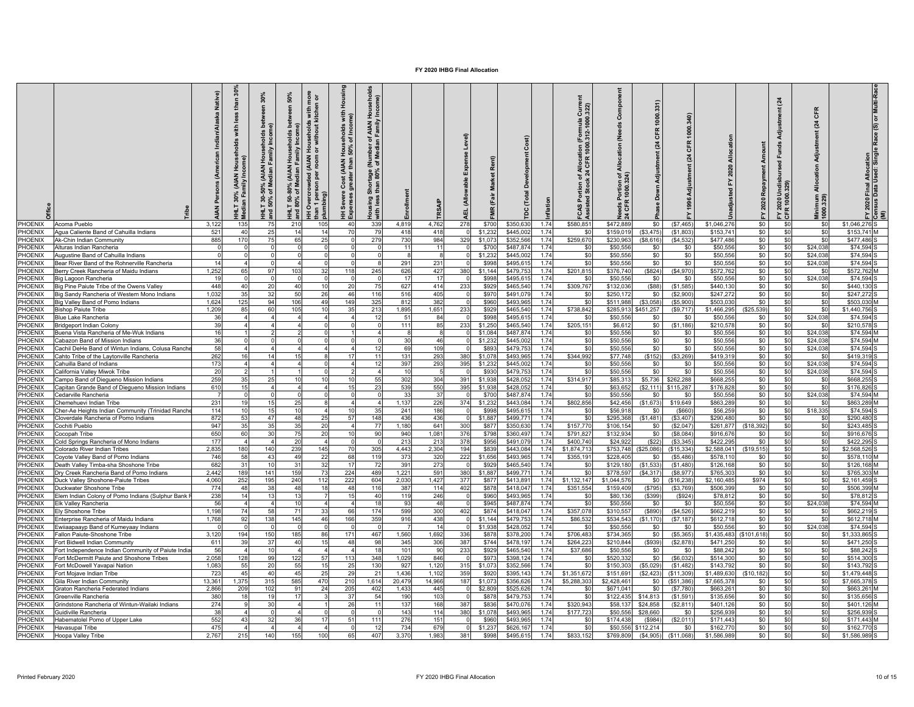|                         |                                                                                    | Native       | £<br>€<br>$\geq$<br>dian | 30%<br><b>AIAN</b><br>adian F<br>요 .<br>1.30 <sup>o</sup> | 50%<br>nore<br>1 or<br>든<br>Househ<br>운<br>≥<br>ā<br><b>AIAN</b><br><b>AIAN</b><br>Overcrow<br>.T 50-80<br>80% of<br>ers<br>Den<br>는 은<br>불 | Housing<br>with<br>ne)<br>Ξg<br>eholds<br>of Inco<br>House<br>Cost (AIAN H<br>Severe<br>onses | $\frac{8}{2}$<br>Income)<br>Family<br><b>AIAN</b><br>호 등<br>Media<br>로 ㅎ<br>80%<br>than<br>Shoi<br>Housing:<br>with less | Enrollment   |                | Level)<br>Expense<br><b>Allowable</b> | å                | Developn<br>Total      | nflation     | $\frac{322}{2}$<br>ā<br>$\frac{1}{2}$ 000.<br>CFR<br>ntion of All<br>Stock 24 C<br>FCAS Por<br>Assisted | Compo<br>(Needs<br>Allocation<br>ঁ ই<br>ទឹម្ | CFR<br>(24)<br>Adjustment<br>Down | CFR<br>$\overline{a}$   | ਫ਼<br>ᄝ                  | Repayment<br>2020 | (24)<br>FY 2020 | CFR<br>$\overline{a}$<br>Adjustm<br>Allocation<br>imum<br>0.329) | 2020 Final Allocation<br>Isus Data Used: Single Race (S) or Multi-Race<br>≧ 힘 ≦ |
|-------------------------|------------------------------------------------------------------------------------|--------------|--------------------------|-----------------------------------------------------------|---------------------------------------------------------------------------------------------------------------------------------------------|-----------------------------------------------------------------------------------------------|--------------------------------------------------------------------------------------------------------------------------|--------------|----------------|---------------------------------------|------------------|------------------------|--------------|---------------------------------------------------------------------------------------------------------|----------------------------------------------|-----------------------------------|-------------------------|--------------------------|-------------------|-----------------|------------------------------------------------------------------|---------------------------------------------------------------------------------|
| PHOENIX                 | Acoma Pueblo                                                                       | 3,122        | 135                      | 7!                                                        | 210<br>105                                                                                                                                  | 40                                                                                            | 339                                                                                                                      | 4.819        | 4.762          | 278                                   | \$700            | \$350,630              | 1.74         | \$580,851                                                                                               | \$472,889                                    | \$0                               | (\$7,465)               | \$1.046.276              | \$0               | \$0             | \$0                                                              | \$1 046 276 S                                                                   |
| PHOENIX                 | Agua Caliente Band of Cahuilla Indians                                             | 521          | 40                       | 25                                                        | 14<br>14                                                                                                                                    | 70                                                                                            | 79                                                                                                                       | 418          | 418            |                                       | \$1,232          | \$445,002              | 1.74         | \$0                                                                                                     | \$159,019                                    | (\$3,475                          | (S1.803)                | \$153.74                 | \$0               | \$0             | \$0                                                              | \$153,741 M                                                                     |
| <b>HOENIX</b>           | Ak-Chin Indian Communitv                                                           | 885          | 170                      | 75                                                        | 65<br>25                                                                                                                                    |                                                                                               | 279                                                                                                                      | 730          | 984            | 329                                   | \$1,073          | \$352,566              | 1.74         | \$259,670                                                                                               | \$230,963                                    | (\$8,616                          | (\$4,532                | \$477,486                | \$0               | \$0             | \$0                                                              | \$477.486                                                                       |
| PHOENIX                 | Alturas Indian Rancheria                                                           |              |                          |                                                           | $\Omega$                                                                                                                                    |                                                                                               | $\Omega$                                                                                                                 | 11           | 11             |                                       | \$700            | \$487,874              | 1.74         | \$0                                                                                                     | \$50,556                                     | \$0                               | \$0                     | \$50,556                 | \$0               | \$0             | \$24,038                                                         | \$74,594                                                                        |
| PHOENIX<br>HOENIX       | Augustine Band of Cahuilla Indians<br>Bear River Band of the Rohnerville Rancheria | 14           |                          |                                                           | $\Omega$                                                                                                                                    |                                                                                               | $\Omega$<br>8                                                                                                            | -8<br>291    | 8<br>231       |                                       | \$1,232<br>\$998 | \$445,002<br>\$495,615 | 1.74<br>1.74 | \$0<br>\$0                                                                                              | \$50,556<br>\$50,556                         | \$0<br>\$0                        | \$0<br>\$0              | \$50,556<br>\$50,556     | \$0<br>\$0        | \$0<br>\$0      | \$24,038<br>\$24,038                                             | \$74,594<br>\$74,594                                                            |
| HOENIX                  | Berry Creek Rancheria of Maidu Indians                                             | 1.252        | 65                       | 97                                                        | 103<br>32                                                                                                                                   | 118                                                                                           | 245                                                                                                                      | 626          | 427            | 380                                   | \$1,144          | \$479,753              | 1.74         | \$201,815                                                                                               | \$376,740                                    | (\$824)                           | (\$4,970                | \$572,762                | \$0               | \$0             | \$0                                                              | \$572,762 M                                                                     |
| <b>HOENIX</b>           | lig Lagoon Rancheria                                                               | 19           |                          |                                                           |                                                                                                                                             |                                                                                               | $\Omega$                                                                                                                 | 17           | 17             |                                       | \$998            | \$495,615              | 1.74         | \$0                                                                                                     | \$50,556                                     | \$0                               | \$0                     | \$50,556                 | \$0               | \$0             | \$24.038                                                         | \$74.594                                                                        |
| HOENIX                  | lig Pine Paiute Tribe of the Owens Valley                                          | 448          | 40                       | $\overline{2}$                                            | 40<br>10                                                                                                                                    | 20                                                                                            | 75                                                                                                                       | 627          | 414            | 233                                   | \$929            | \$465,540              | 1.74         | \$309,767                                                                                               | \$132,03                                     | (\$88)                            | (\$1,585                | \$440,13                 | \$0               | \$0             | \$0                                                              | \$440,130                                                                       |
| HOENIX                  | Big Sandy Rancheria of Western Mono Indians                                        | 1,032        | 35                       | 32                                                        | 50<br>26                                                                                                                                    | 46                                                                                            | 116                                                                                                                      | 516          | 405            |                                       | \$970            | \$491,079              | 1.74         | \$0                                                                                                     | \$250,172                                    | \$0                               | (S2,900)                | \$247,27                 | \$0               | \$0             | \$0                                                              | \$247,272                                                                       |
| PHOENIX                 | Big Valley Band of Pomo Indians                                                    | 1,624        | 125                      | 94                                                        | 106<br>49                                                                                                                                   | 149                                                                                           | 325                                                                                                                      | 812          | 382            |                                       | \$960            | \$493,965              | 1.74         | \$0                                                                                                     | \$511,988                                    | ( \$3,058)                        | (S5,900)                | \$503,030                | \$0               | \$0             | \$0                                                              | \$503,030 M                                                                     |
| PHOENIX                 | <b>Bishop Paiute Tribe</b>                                                         | 1,209        | 85                       | -60                                                       | 105<br>10                                                                                                                                   |                                                                                               | 213                                                                                                                      | 1,895        | 1,651          | 233                                   | \$929            | \$465,540              | 1.74         | \$738,842                                                                                               | \$285,913                                    | \$451,257                         | (S9, 717)               | \$1,466,295              | (\$25,539         | \$0             | \$0                                                              | \$1,440,756                                                                     |
| PHOENIX                 | <b>Blue Lake Rancheria</b>                                                         | 36           |                          |                                                           |                                                                                                                                             |                                                                                               | 12                                                                                                                       | 51           | 84             |                                       | \$998            | \$495,615              | 1.74         | \$0                                                                                                     | \$50,556                                     | \$0                               | \$0                     | \$50,55                  | \$0               | \$0             | \$24,038                                                         | \$74,594                                                                        |
| PHOENIX                 | <b>Bridgeport Indian Colony</b>                                                    | 39           |                          |                                                           |                                                                                                                                             |                                                                                               | $\Omega$                                                                                                                 | 111          | 85             | 233                                   | \$1,250          | \$465,540              | 1.74         | \$205,151                                                                                               | \$6,612                                      | \$0                               | (S1, 186)               | \$210,57                 | \$0               | \$0             | -SC                                                              | \$210,578                                                                       |
| HOENIX                  | Juena Vista Rancheria of Me-Wuk Indians                                            | 16           |                          |                                                           |                                                                                                                                             |                                                                                               |                                                                                                                          | 8            | 8              |                                       | \$1.084          | \$487.874              | 1.74         | \$0                                                                                                     | \$50,556                                     | \$0                               | \$O                     | \$50,556                 | \$0               | \$0             | \$24.038                                                         | \$74.594                                                                        |
| <b>HOENIX</b>           | Cabazon Band of Mission Indians                                                    | 36           |                          |                                                           |                                                                                                                                             |                                                                                               | $\Omega$                                                                                                                 | 30           | 46             |                                       | \$1,232          | \$445,002              | 1.74         | \$0                                                                                                     | \$50,556                                     | \$0                               | \$0                     | \$50,556                 | \$0               | \$0             | \$24,038                                                         | \$74.594 M                                                                      |
| HOENIX                  | Cachil DeHe Band of Wintun Indians, Colusa Ranche                                  | 58           |                          |                                                           |                                                                                                                                             |                                                                                               | 12                                                                                                                       | 69           | 109            |                                       | \$893            | \$479,753              | 1.74         | \$0                                                                                                     | \$50,556                                     | \$0                               | \$0                     | \$50,556                 | \$0               | \$0             | \$24,038                                                         | \$74,594                                                                        |
| HOENIX                  | Cahto Tribe of the Laytonville Rancheria                                           | 262          | 16                       | 14                                                        |                                                                                                                                             | 17                                                                                            | 11                                                                                                                       | 131          | 293            | 380                                   | \$1,078          | \$493,965              | 1.74         | \$344,992                                                                                               | \$77,748                                     | (\$152)                           | (\$3,269)               | \$419,319                | \$0               | \$0             | -SO                                                              | \$419,319                                                                       |
| HOENIX                  | Cahuilla Band of Indians                                                           | 173          |                          |                                                           |                                                                                                                                             |                                                                                               | 12                                                                                                                       | 397          | 293            | 395                                   | \$1,232          | \$445,002              | 1.74         | \$0                                                                                                     | \$50,556                                     | \$0                               | \$0                     | \$50,556                 | \$0               | \$0             | \$24,038                                                         | \$74,594                                                                        |
| HOENIX                  | California Valley Miwok Tribe                                                      | 20           |                          |                                                           |                                                                                                                                             |                                                                                               |                                                                                                                          | 10           | $\overline{5}$ |                                       | \$930            | \$479,753              | 1.74         | \$0                                                                                                     | \$50,556                                     | \$0                               | \$0                     | \$50,556                 | \$0               | \$0             | \$24,038                                                         | \$74.594                                                                        |
| <b>HOENIX</b>           | Campo Band of Diegueno Mission Indians                                             | 259          | 35                       | 25                                                        | 10                                                                                                                                          |                                                                                               | 55                                                                                                                       | 302          | 304            | 391                                   | \$1,938          | \$428,052              | 1.74         | \$314,917                                                                                               | \$85.313                                     | \$5,736                           | \$262.288               | \$668.255                | \$0               | \$0             | \$0                                                              | \$668.255                                                                       |
| HOENIX                  | Capitan Grande Band of Diegueno Mission Indians                                    | 610          | 15                       |                                                           |                                                                                                                                             | 15                                                                                            | 23                                                                                                                       | 539          | 550            | 395                                   | \$1,938          | \$428,052              | 1.74         | \$0                                                                                                     | \$63,652                                     | (\$2,111                          | \$115,287               | \$176,828                | \$0               | \$0             | \$0                                                              | \$176,826                                                                       |
| <b>HOENIX</b>           | Cedarville Rancheria                                                               |              |                          |                                                           |                                                                                                                                             |                                                                                               | $\overline{0}$                                                                                                           | 33           | 37             |                                       | \$700            | \$487,874              | 1.74         | \$0                                                                                                     | \$50,556                                     | \$0                               | \$0                     | \$50,556                 | \$0               | \$0             | \$24,038                                                         | \$74,594                                                                        |
| PHOENIX                 | Chemehuevi Indian Tribe                                                            | 231          | 19                       | 15                                                        | 25                                                                                                                                          |                                                                                               | $\mathbf{A}$                                                                                                             | 1,137        | 226            | 374                                   | \$1,232          | \$443,084              | 1.74         | \$802,856                                                                                               | \$42,456                                     | (\$1,673                          | \$19,649                | \$863,289                | \$0               | \$0             | \$0                                                              | \$863,289 M                                                                     |
| PHOENIX                 | Cher-Ae Heights Indian Community (Trinidad Ranch                                   | 114          | 10                       |                                                           |                                                                                                                                             |                                                                                               | 35                                                                                                                       | 241          | 186            |                                       | \$998            | \$495,615              | 1.74         | \$0                                                                                                     | \$56,91                                      | - \$0                             | (\$660                  | \$56,25                  | \$0               | \$0             | \$18,335                                                         | \$74,594                                                                        |
| PHOENIX<br>PHOENIX      | Cloverdale Rancheria of Pomo Indians<br>Cochiti Pueblo                             | 872<br>947   | 53<br>35                 | 47<br>3!                                                  | 48<br>35<br>20                                                                                                                              | 57                                                                                            | 148<br>77                                                                                                                | 436<br>1,180 | 436<br>641     | 300                                   | \$1,887<br>\$877 | \$499,77<br>\$350,630  | 1.74<br>1.74 | \$0<br>\$157,770                                                                                        | \$295,368<br>\$106.154                       | (\$1,481<br>\$0                   | \$3,407<br>(S2,047)     | \$290,480<br>\$261,877   | \$0<br>(S18, 392) | \$0<br>\$0      | \$0<br>\$0                                                       | \$290,480<br>\$243.485                                                          |
| PHOENIX                 | Coconah Tribe                                                                      | 650          | 60                       | 30                                                        | 20                                                                                                                                          |                                                                                               | 90                                                                                                                       | 940          | 1,081          | 376                                   | \$798            | \$360,497              | 1.74         | \$791,827                                                                                               | \$132,934                                    | \$0                               | (S8,084)                | \$916,67                 | \$0               | \$0             | \$0                                                              | \$916,676                                                                       |
| <b>HOENIX</b>           | Cold Springs Rancheria of Mono Indians                                             | 177          |                          |                                                           | 20                                                                                                                                          |                                                                                               | $\Omega$                                                                                                                 | 213          | 213            | 378                                   | \$956            | \$491,079              | 1.74         | \$400,740                                                                                               | \$24,922                                     | (\$22                             | (S3, 345)               | \$422,295                | \$0               | \$0             | \$0                                                              | \$422,295                                                                       |
| <b>PHOENIX</b>          | Colorado River Indian Tribes                                                       | 2,835        | 180                      | 140                                                       | 239<br>145                                                                                                                                  | 70                                                                                            | 305                                                                                                                      | 4,443        | 2,304          | 194                                   | \$839            | \$443,084              | 1.74         | \$1,874,713                                                                                             | \$753,748                                    | (\$25,086)                        | (\$15,334)              | \$2,588,04               | (\$19,515         | \$0             | \$0                                                              | \$2,568,526                                                                     |
| HOENIX                  | Coyote Valley Band of Pomo Indians                                                 | 746          | 58                       | $-43$                                                     | 49<br>22                                                                                                                                    | 68                                                                                            | 119                                                                                                                      | 373          | 320            | 222                                   | \$1,656          | \$493,965              | 1.74         | \$355,191                                                                                               | \$228,405                                    | \$0                               | (\$5,486                | \$578,11                 | \$0               | \$0             | \$0                                                              | \$578,110 M                                                                     |
| HOENIX                  | Death Valley Timba-sha Shoshone Tribe                                              | 682          | 31                       | 10                                                        | 31<br>32                                                                                                                                    | 17                                                                                            | 72                                                                                                                       | 391          | 273            |                                       | \$929            | \$465,540              | 1.74         | \$0                                                                                                     | \$129,180                                    | (\$1,533                          | (S1, 480)               | \$126,16                 | \$0               | \$0             | \$0                                                              | \$126,168 M                                                                     |
| <b>HOENIX</b>           | Dry Creek Rancheria Band of Pomo Indians                                           | 2,442        | 189                      | 141                                                       | 159<br>73                                                                                                                                   | 224                                                                                           | 489                                                                                                                      | 1,221        | 591            | 380                                   | \$1,887          | \$499,77               | 1.74         | \$0                                                                                                     | \$778,597                                    | (\$4,317                          | (\$8,977                | \$765,30                 | \$0               | \$0             | \$0                                                              | \$765,303 M                                                                     |
| HOENIX                  | <b>Duck Valley Shoshone-Paiute Tribes</b>                                          | 4.060        | 252                      | 195                                                       | 240<br>112                                                                                                                                  | 222                                                                                           | 604                                                                                                                      | 2.030        | 1,427          | 377                                   | \$877            | \$413.89               | 1.74         | \$1,132,147                                                                                             | \$1.044.57                                   | \$0                               | (\$16,238               | \$2.160.48               | \$974             | \$O             | S <sub>0</sub>                                                   | \$2.161.459                                                                     |
| HOENIX                  | Juckwater Shoshone Tribe                                                           | 774          | 48                       | 38                                                        | 48<br>18                                                                                                                                    | 48                                                                                            | 116                                                                                                                      | 387          | 114            | 402                                   | \$878            | \$418,047              | 1.74         | \$351,554                                                                                               | \$159,40                                     | (\$795                            | (\$3,769                | \$506,39                 | \$0               | \$0             | \$0                                                              | \$506,399 M                                                                     |
| <b>HOENIX</b>           | Iem Indian Colony of Pomo Indians (Sulphur Bank                                    | 238          | 14                       | $\overline{1}$                                            |                                                                                                                                             | 15                                                                                            | 40                                                                                                                       | 119          | 246            |                                       | \$960            | \$493,965              | 1.74         | \$0                                                                                                     | \$80,136                                     | (\$399                            | (S924)                  | \$78,812                 | \$0               | \$0             | \$0                                                              | \$78,812                                                                        |
| PHOENIX                 | Elk Valley Rancheria                                                               | 56           |                          |                                                           | 10                                                                                                                                          |                                                                                               | 18                                                                                                                       | 93           | 48             |                                       | \$945            | \$487,874              | 1.74         | \$0                                                                                                     | \$50,556                                     | \$0                               | \$0                     | \$50,556                 | \$0               | \$0             | \$24,038                                                         | \$74,594 M                                                                      |
| PHOENIX                 | Elv Shoshone Tribe                                                                 | 1,198        | 74                       | 58                                                        | 71<br>33                                                                                                                                    | 66                                                                                            | 174                                                                                                                      | 599          | 300            | 402                                   | \$874            | \$418,047              | 1.74         | \$357,078                                                                                               | \$310,557                                    | (\$890)                           | (\$4,526                | \$662,219                | \$0               | \$0             | \$0                                                              | \$662,219                                                                       |
| PHOENIX                 | Enterprise Rancheria of Maidu Indians                                              | 1,768        | 92                       | 138                                                       | 145<br>46                                                                                                                                   | 166                                                                                           | 359                                                                                                                      | 916          | 438            |                                       | \$1,144          | \$479,753              | 1.74         | \$86,532                                                                                                | \$534,543                                    | (\$1,170                          | (S7, 187)               | \$612,718                | \$0               | \$0             | \$0                                                              | \$612,718 M                                                                     |
| PHOENIX                 | wiiaapaayp Band of Kumeyaay Indians                                                |              |                          |                                                           |                                                                                                                                             |                                                                                               |                                                                                                                          |              | 14             |                                       | \$1,938          | \$428,052              | 1.74         | \$0                                                                                                     | \$50,556                                     | \$0                               | \$0                     | \$50,55                  | \$0               | \$0             | \$24,038                                                         | \$74,594                                                                        |
| PHOENIX                 | allon Paiute-Shoshone Tribe                                                        | 3,120        | 194                      | 150                                                       | 185<br>86                                                                                                                                   | 171                                                                                           | 467                                                                                                                      | 1,560        | 1,692          | 336                                   | \$878            | \$378,200              | 1.74         | \$706,483                                                                                               | \$734,365                                    | \$0                               | (S5, 365)               | \$1,435,483              | (\$101,618)       | \$0             | \$0                                                              | \$1,333,865                                                                     |
| <b>HOENIX</b>           | Fort Bidwell Indian Community                                                      | 611          | 39                       | -37                                                       | 40<br>15                                                                                                                                    | 48                                                                                            | 98                                                                                                                       | 345          | 306            | 387                                   | \$744            | \$478,197              | 1.74         | \$264.223                                                                                               | \$210.844                                    | (\$939)                           | (S2, 878)               | \$471,250                | \$0               | \$0             | \$0                                                              | \$471.250                                                                       |
| HOENIX                  | Fort Independence Indian Community of Paiute India                                 | 56           |                          | 10                                                        |                                                                                                                                             |                                                                                               | 18                                                                                                                       | 101          | 90             | 233                                   | \$929            | \$465,540              | 1.74         | \$37,686                                                                                                | \$50,556                                     | \$0                               | \$0                     | \$88,242                 | \$0               | \$0             | \$0                                                              | \$88,242                                                                        |
| HOENIX                  | Fort McDermitt Paiute and Shoshone Tribes                                          | 2,058        | 128                      | 99                                                        | 122<br>57                                                                                                                                   | 113                                                                                           | 348                                                                                                                      | 1,029        | 846            |                                       | \$973            | \$398,124              | 1.74         | \$0                                                                                                     | \$520,332                                    | \$0                               | (S6,032)                | \$514,300                | \$0               | \$0             | \$0                                                              | \$514,300                                                                       |
| HOENIX<br><b>HOENIX</b> | Fort McDowell Yavapai Nation<br>Fort Mojave Indian Tribe                           | 1,083<br>723 | 55<br>45                 | 20<br>40                                                  | 55<br>15<br>45<br>25                                                                                                                        | 25<br>29                                                                                      | 130<br>21                                                                                                                | 927<br>1,436 | 1,120<br>1,102 | 315<br>359                            | \$1,073<br>\$920 | \$352,566<br>\$395,143 | 1.74<br>1.74 | \$0<br>\$1,351,672                                                                                      | \$150,303<br>\$151,691                       | (\$5,029<br>(\$2,423              | (S1, 482)<br>(\$11,309) | \$143,792<br>\$1,489,630 | \$0<br>(\$10.182  | \$0<br>\$0      | \$0<br>\$0                                                       | \$143,792<br>\$1,479,448                                                        |
| <b>HOENIX</b>           | Gila River Indian Community                                                        | 13,36        | 1,375                    | 315                                                       | 585<br>470                                                                                                                                  | 210                                                                                           | 1,614                                                                                                                    | 20,479       | 14,966         | 187                                   | \$1,073          | \$356,626              | 1.74         | \$5,288,303                                                                                             | \$2,428,46                                   | \$0                               | (\$51,386               | \$7,665,37               | \$0               | \$0             | \$0                                                              | \$7,665,378                                                                     |
| HOENIX                  | Graton Rancheria Federated Indians                                                 | 2,866        | 209                      | 102                                                       | 24<br>91                                                                                                                                    | 205                                                                                           | 402                                                                                                                      | 1,433        | 445            |                                       | \$2,809          | \$525,626              | 1.74         | \$0                                                                                                     | \$671,041                                    | \$0                               | (S7,780)                | \$663,26                 | \$0               | \$0             | \$0                                                              | \$663.261 M                                                                     |
| HOENIX                  | Greenville Rancheria                                                               | 380          | 18                       | 19                                                        |                                                                                                                                             | 37                                                                                            | 54                                                                                                                       | 190          | 103            |                                       | \$87             | \$479,753              | 1.74         | \$0                                                                                                     | \$122,435                                    | \$14,813                          | (S1, 591)               | \$135,656                | \$0               | \$0             | \$0                                                              | \$135,656                                                                       |
| HOENIX                  | Srindstone Rancheria of Wintun-Wailaki Indians                                     | 274          |                          | 30                                                        |                                                                                                                                             | 26                                                                                            | 11                                                                                                                       | 137          | 168            | 387                                   | \$836            | \$470,07               | 1.74         | \$320,943                                                                                               | \$58,13                                      | \$24,858                          | (\$2,811                | \$401,12                 | \$0               | \$0             | \$0                                                              | \$401,126 M                                                                     |
| PHOENIX                 | Suidiville Rancheria                                                               | 38           |                          |                                                           |                                                                                                                                             |                                                                                               |                                                                                                                          | 143          | 114            | 380                                   | \$1,078          | \$493,965              | 1.74         | \$177,723                                                                                               | \$50,556                                     | \$28,660                          | \$0                     | \$256,93                 | \$0               | \$0             | \$0                                                              | \$256,939                                                                       |
| PHOENIX                 | Habematolel Pomo of Upper Lake                                                     | 552          | 43                       | -32                                                       | 36<br>17                                                                                                                                    | 51                                                                                            | 111                                                                                                                      | 276          | 151            |                                       | \$960            | \$493,965              | 1.74         | \$0                                                                                                     | \$174,438                                    | (\$984                            | (S2,011)                | \$171,443                | \$0               | \$0             | \$0                                                              | \$171,443 M                                                                     |
| PHOENIX                 | Havasupai Tribe                                                                    | 475          |                          |                                                           |                                                                                                                                             |                                                                                               | 12                                                                                                                       | 734          | 679            |                                       | \$1.23           | \$626.16               | 1.74         | \$0                                                                                                     | \$50.55                                      | \$112.214                         | \$0                     | \$162,77                 | \$0               | \$0             | \$0                                                              | \$162,770                                                                       |
| PHOENIX                 | <b>Hoopa Valley Tribe</b>                                                          | 2,767        | 215                      | 140                                                       | 155<br>10 <sub>c</sub>                                                                                                                      | 65                                                                                            | 407                                                                                                                      | 3.370        | 1,983          | 381                                   | \$99             | \$495,615              | 1.74         | \$833,152                                                                                               | \$769,80                                     | (\$4,905                          | (\$11,068)              | \$1,586,989              | \$0               | \$0             | \$0                                                              | \$1,586,989                                                                     |
|                         |                                                                                    |              |                          |                                                           |                                                                                                                                             |                                                                                               |                                                                                                                          |              |                |                                       |                  |                        |              |                                                                                                         |                                              |                                   |                         |                          |                   |                 |                                                                  |                                                                                 |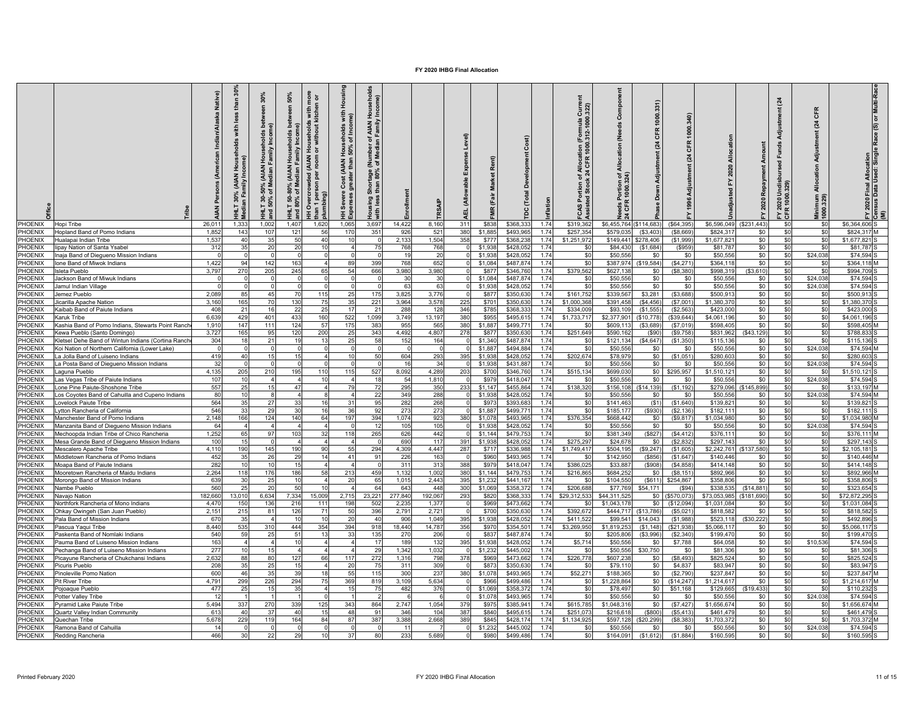|                                 |                                                                        | Native)<br>$\tilde{A}$ | ≞              | 30%<br>ھ ھ<br>lsei<br>≟<br>% (AIAN Hous<br>Median Famil<br>នី ទ<br>IHLT 30-<br>nd 50% | 50%<br><b>De</b><br>ő<br>Househ<br>≧<br>AIAN<br>sdian F<br>ఇ క<br>$-150$<br>$80%$ | g<br>$\frac{1}{n}$<br>Housi<br>with r<br>tchen<br>with<br>re)<br>useholds<br>without ki<br>$\frac{200}{50\%}$<br>로 ㅎ<br>IAIAN<br>Cost (AIAN H<br>Overcrowded<br>Severe<br>perses<br>er<br>Ling<br>프 | ಕೆ<br>요.<br><b>AIAN</b><br>seholds<br>of Inco<br>৳<br>%08<br>80%<br>あ<br>gni:<br>lous<br>$E_{\text{max}}$ | nrollment    |                | Level)<br>Expense<br>able<br>(Allow<br>ᆸ |                  | ă                     |              | င် အို<br>ation (Formula<br>1000.312-1000.<br>llocat<br>CFR<br>$\frac{a}{24}$<br>৳<br>å.<br>CAS | ت<br>es<br>N<br>৳        | 331)<br>1000<br>쁑<br>$\overline{24}$ | $\overline{c}$<br>$\mathbb{R}$ |                         | ᄇ<br>Repay<br>2020 | (24)<br>-පී<br>$\overline{5}$<br>FY 2020<br>CFR 100 | CFR<br>$\tilde{q}$<br>Adjus<br>$rac{8}{4}$<br>mum<br>329 | 2020 Final Allocation<br>Isus Data Used: Singl | or Multi-Ra<br>e Race (S)<br>ក្កី ≅ិ |
|---------------------------------|------------------------------------------------------------------------|------------------------|----------------|---------------------------------------------------------------------------------------|-----------------------------------------------------------------------------------|-----------------------------------------------------------------------------------------------------------------------------------------------------------------------------------------------------|-----------------------------------------------------------------------------------------------------------|--------------|----------------|------------------------------------------|------------------|-----------------------|--------------|-------------------------------------------------------------------------------------------------|--------------------------|--------------------------------------|--------------------------------|-------------------------|--------------------|-----------------------------------------------------|----------------------------------------------------------|------------------------------------------------|--------------------------------------|
| PHOENIX                         | <b>Hopi Tribe</b>                                                      | 26,011                 | 1,333          | 1,00                                                                                  | 1,407                                                                             | 1,620<br>1,065                                                                                                                                                                                      | 3,697                                                                                                     | 14,422       | 8,160          | 311                                      | \$838            | \$368,33              | 1.74         | \$319,36                                                                                        | \$6,455,764 (\$114,683   |                                      | (\$64,395                      | \$6,596,049             | (\$231,443)        | \$0                                                 | \$0                                                      | \$6,364,606                                    |                                      |
| PHOENIX                         | lopland Band of Pomo Indians                                           | 1,852                  | 143            | 10                                                                                    | 121                                                                               | 56<br>40                                                                                                                                                                                            | 351<br>170<br>10                                                                                          | 926          | 521            | 380                                      | \$1,885          | \$493,96              | 1.74         | \$257,354                                                                                       | \$579.035                | (\$3,403                             | (\$8.669                       | \$824,31                | \$0                | \$0                                                 | \$0                                                      | \$824,317                                      |                                      |
| PHOENIX<br><b>HOENIX</b>        | Hualapai Indian Tribe<br>ipay Nation of Santa Ysabel                   | 1,537<br>312           | 40<br>35       | 35<br>2 <sup>c</sup>                                                                  | 50<br>20                                                                          | 10                                                                                                                                                                                                  | - 0<br>75<br>$\mathbf{A}$                                                                                 | 2,133<br>768 | 1,504<br>768   | 358                                      | \$777<br>\$1,938 | \$368,23<br>\$428,05  | 1.74<br>1.74 | \$1,251,972<br>\$0                                                                              | \$149,441<br>\$84,430    | \$278,406<br>(\$1,684)               | (S1,999)<br>(S959)             | \$1,677,82<br>\$81,787  | \$0<br>\$0         | \$0<br>\$0                                          | \$0<br>\$0                                               | \$1,677,821<br>\$81,787                        |                                      |
| <b>HOENIX</b>                   | naja Band of Diegueno Mission Indians                                  |                        |                |                                                                                       |                                                                                   |                                                                                                                                                                                                     |                                                                                                           | 19           | 20             |                                          | \$1,938          | \$428,05              | 1.74         | \$0                                                                                             | \$50,556                 | \$0                                  | \$0                            | \$50,556                | \$0                | \$0                                                 | \$24,038                                                 | \$74.594                                       |                                      |
| PHOENIX                         | one Band of Miwok Indians                                              | 1,422                  | 94             | 14                                                                                    | 163                                                                               |                                                                                                                                                                                                     | 89<br>399                                                                                                 | 768          | 652            |                                          | \$1,084          | \$487,87              | 1.74         | \$0                                                                                             | \$387,974                | \$19,584                             | (\$4,271                       | \$364,11                | \$0                | \$0                                                 | \$0                                                      | \$364,118                                      |                                      |
| <b>HOENIX</b>                   | sleta Pueblo                                                           | 3.797                  | 270            | 20                                                                                    | 245                                                                               | 65                                                                                                                                                                                                  | 54<br>666                                                                                                 | 3.980        | 3,980          |                                          | \$877            | \$346,76              | 1.74         | \$379,562                                                                                       | \$627,138                | \$0                                  | (\$8,380                       | \$998,319               | ( \$3.610)         | \$0                                                 | \$0                                                      | \$994.709                                      |                                      |
| <b>HOENIX</b>                   | ackson Band of Miwuk Indians                                           |                        |                |                                                                                       |                                                                                   |                                                                                                                                                                                                     |                                                                                                           | 30           | 30             |                                          | \$1,084          | \$487,87              | 1.74         | \$C                                                                                             | \$50,556                 | \$0                                  | \$0                            | \$50,55                 | \$0                | \$0                                                 | \$24,038                                                 | \$74,594                                       |                                      |
| PHOENIX                         | lamul Indian Village                                                   | $\Omega$               |                |                                                                                       | $\Omega$                                                                          |                                                                                                                                                                                                     | $\Omega$                                                                                                  | 63           | 63             |                                          | \$1,938          | \$428,05              | 1.74         | \$0                                                                                             | \$50,556                 | \$0                                  | \$0                            | \$50,556                | \$0                | \$0                                                 | \$24,038                                                 | \$74,594                                       |                                      |
| PHOENIX                         | lemez Pueblo                                                           | 2,089                  | 85             | 4!                                                                                    | 70                                                                                | 115                                                                                                                                                                                                 | 25<br>175                                                                                                 | 3,825        | 3,776          |                                          | \$877            | \$350,63              | 1.74         | \$161,752                                                                                       | \$339,567                | \$3,281                              | (S3,688)                       | \$500,91                | $$^{0}$            | \$0                                                 | \$0                                                      | \$500,91                                       |                                      |
| PHOENIX                         | icarilla Apache Nation                                                 | 3,160                  | 165<br>21      |                                                                                       | 130                                                                               | 75<br>25                                                                                                                                                                                            | 35<br>221<br>17                                                                                           | 3.964        | 3,578          | 225                                      | \$70             | \$350.63              | 1.74<br>174  | \$1,000.368                                                                                     | \$391.458                | (\$4,456                             | (S7,001)                       | \$1,380,37              | \$0                | \$0                                                 | \$0<br>\$0                                               | \$1,380,37                                     |                                      |
| PHOENIX<br>PHOENIX              | aibab Band of Paiute Indians<br>(aruk Tribe                            | 408<br>6.639           | 429            | 401                                                                                   | 22<br>433                                                                         | 160                                                                                                                                                                                                 | 21<br>522<br>1,099                                                                                        | 288<br>3,749 | 128<br>13,197  | 346<br>380                               | \$785<br>\$955   | \$368,33<br>\$495,61  | 1.74         | \$334,009<br>\$1,733,717                                                                        | \$93,109<br>\$2,377,90   | (\$1,555<br>(\$10,778                | (S2, 563)<br>(\$39,644"        | \$423,00<br>\$4,061,19  | \$0<br>\$0         | \$0<br>\$0                                          | \$0                                                      | \$423,000<br>\$4,061,196                       |                                      |
| PHOENIX                         | Cashia Band of Pomo Indians, Stewarts Point Ranch                      | 1.910                  | 147            | 111                                                                                   | 124                                                                               | 57                                                                                                                                                                                                  | 175<br>383                                                                                                | 955          | 565            | 380                                      | \$1,887          | \$499.77              | 1.74         | \$0                                                                                             | \$609.113                | (\$3,689                             | (S7.019)                       | \$598.40                | \$0                | \$0                                                 | \$0                                                      | \$598.405                                      |                                      |
| PHOENIX                         | Gewa Pueblo (Santo Domingo)                                            | 3,727                  | 165            | $Q_1$                                                                                 | 120                                                                               | 200                                                                                                                                                                                                 | 343<br>25                                                                                                 | 4.492        | 4,807          | 278                                      | \$877            | \$350.63              | 1.74         | \$251,649                                                                                       | \$590.162                | (\$90)                               | (S9.758)                       | \$831,962               | ( \$43, 129]       | \$0                                                 | \$0                                                      | \$788.83                                       |                                      |
| PHOENIX                         | Cletsel Dehe Band of Wintun Indians (Cortina Ranch                     | 304                    | 18             | $2^{\circ}$                                                                           | 19                                                                                | 13                                                                                                                                                                                                  | 25<br>58                                                                                                  | 152          | 164            |                                          | \$1,340          | \$487,87              | 1.74         | \$0                                                                                             | \$121,134                | (\$4,647                             | (\$1,350                       | \$115,13                | \$0                | \$0                                                 | \$0                                                      | \$115,136                                      |                                      |
| <b>HOENIX</b>                   | Koi Nation of Northern California (Lower Lake)                         | $\Omega$               |                |                                                                                       |                                                                                   | $\cap$                                                                                                                                                                                              | $\Omega$                                                                                                  | $\sqrt{ }$   |                |                                          | \$1,887          | \$494,884             | 1.74         | \$0                                                                                             | \$50,556                 | \$0                                  | \$0                            | \$50,55                 | \$0                | \$0                                                 | \$24,038                                                 | \$74,594                                       |                                      |
| <b>HOENIX</b>                   | a Jolla Band of Luiseno Indians                                        | 419                    | 40             |                                                                                       | 15                                                                                |                                                                                                                                                                                                     | 50<br>10                                                                                                  | 604          | 293            | 395                                      | \$1,938          | \$428,05              | 1.74         | \$202,674                                                                                       | \$78,979                 | \$0                                  | (\$1,051                       | \$280,60                | \$0                | \$0                                                 | \$0                                                      | \$280.60                                       |                                      |
| <b>HOENIX</b>                   | a Posta Band of Diegueno Mission Indians                               | 32                     |                |                                                                                       |                                                                                   |                                                                                                                                                                                                     |                                                                                                           | 16           | 34             |                                          | \$1,938          | \$431,88              | 1.74         | \$ <sub>6</sub>                                                                                 | \$50,55                  | \$0                                  | \$0                            | \$50,55                 | \$0                | \$0                                                 | \$24,038                                                 | \$74.59                                        |                                      |
| <b>HOENIX</b><br><b>PHOENIX</b> | aguna Pueblo                                                           | 4.135<br>107           | 205<br>10      | 21(                                                                                   | 195                                                                               | 110<br>10                                                                                                                                                                                           | 115<br>527<br>18                                                                                          | 8,092<br>54  | 4,289<br>1,810 | 203                                      | \$700<br>\$979   | \$346,76<br>\$418,047 | 1.74<br>1.74 | \$515,134<br>\$ſ                                                                                | \$699.03<br>\$50,556     | \$0<br>\$0                           | \$295,957<br>\$0               | \$1,510,12<br>\$50,556  | \$0<br>\$0         | \$0<br>\$0                                          | \$0<br>\$24,038                                          | \$1,510.12<br>\$74,594                         |                                      |
| PHOENIX                         | as Vegas Tribe of Paiute Indians<br>one Pine Paiute-Shoshone Tribe     | 557                    | 25             |                                                                                       | 47                                                                                |                                                                                                                                                                                                     | 79<br>72                                                                                                  | 295          | 350            | 233                                      | \$1,147          | \$455,86              | 1.74         | \$138,320                                                                                       | \$156,108                | (S14, 139)                           | (S1, 192)                      | \$279,096               | (\$145,899)        | \$0                                                 | \$0                                                      | \$133,19                                       |                                      |
| PHOENIX                         | os Coyotes Band of Cahuilla and Cupeno Indians                         | 80                     | 10             |                                                                                       |                                                                                   |                                                                                                                                                                                                     | 22                                                                                                        | 349          | 288            |                                          | \$1,938          | \$428,05              | 1.74         | \$0                                                                                             | \$50,556                 | \$0                                  | \$0                            | \$50,55                 | \$0                | \$0                                                 | \$24,038                                                 | \$74,59                                        |                                      |
| PHOENIX                         | ovelock Paiute Tribe                                                   | 564                    | 35             |                                                                                       | 33                                                                                | 16                                                                                                                                                                                                  | 95<br>31                                                                                                  | 282          | 268            |                                          | \$97             | \$393.68              | 1.74         | \$0                                                                                             | \$141.46                 | (\$1)                                | (S1, 640)                      | \$139.82                | \$0                | \$0                                                 | \$0                                                      | \$139.82                                       |                                      |
| PHOENIX                         | ytton Rancheria of California                                          | 546                    | 33             |                                                                                       | 3 <sub>0</sub>                                                                    |                                                                                                                                                                                                     | 36<br>92                                                                                                  | 273          | 273            |                                          | \$1,88           | \$499,77              | 1.74         | \$0                                                                                             | \$185,177                | (\$930                               | (\$2,136                       | \$182,11                | \$0                | \$0                                                 | \$C                                                      | \$182.11                                       |                                      |
| PHOENIX                         | Manchester Band of Pomo Indians                                        | 2.148                  | 166            | 124                                                                                   | 140                                                                               | 64                                                                                                                                                                                                  | 197<br>394                                                                                                | 1.074        | 923            | 380                                      | \$1,078          | \$493.96              | 1.74         | \$376,354                                                                                       | \$668,442                | \$0                                  | (S9, 817)                      | \$1.034.98              | \$0                | \$0                                                 | \$0                                                      | \$1,034,980                                    |                                      |
| <b>HOENIX</b>                   | Manzanita Band of Diegueno Mission Indians                             | 64                     |                |                                                                                       |                                                                                   |                                                                                                                                                                                                     | 12                                                                                                        | 105          | 105            |                                          | \$1,938          | \$428.05              | 1.74         | \$0                                                                                             | \$50,556                 | \$0                                  | \$0                            | \$50.55                 | \$0                | \$0                                                 | \$24,038                                                 | \$74.594                                       |                                      |
| PHOENIX                         | Aechoopda Indian Tribe of Chico Rancheria                              | 1,252                  | 65             | o.                                                                                    | 103                                                                               | 32                                                                                                                                                                                                  | 118<br>265                                                                                                | 626          | 442            |                                          | \$1,144          | \$479,75              | 1.74         | \$0                                                                                             | \$381,349                | (\$827                               | (\$4,412                       | \$376,11                | \$0                | \$0                                                 | \$0                                                      | \$376,11                                       |                                      |
| PHOENIX<br><b>HOENIX</b>        | Mesa Grande Band of Diegueno Mission Indians<br>Mescalero Apache Tribe | 100<br>4,110           | 15<br>190      | 14!                                                                                   | 190                                                                               | 90                                                                                                                                                                                                  | 55<br>294                                                                                                 | 690<br>4,309 | 117<br>4,447   | 391<br>287                               | \$1,938<br>\$717 | \$428,05<br>\$336,98  | 1.74<br>1.74 | \$275,297<br>\$1,749,417                                                                        | \$24,678<br>\$504,195    | \$0<br>(\$9,247)                     | (\$2,832<br>(\$1,605           | \$297,14<br>\$2,242,761 | \$0<br>(\$137,580) | \$0<br>\$0                                          | \$0<br>\$0                                               | \$297,143<br>\$2,105,181                       |                                      |
| <b>HOENIX</b>                   | Middletown Rancheria of Pomo Indians                                   | 452                    | 35             | $\overline{2}$                                                                        | 29                                                                                | 14                                                                                                                                                                                                  | 41<br>91                                                                                                  | 226          | 163            |                                          | \$960            | \$493,96              | 1.74         | -91                                                                                             | \$142,950                | (\$856                               | (S1, 647)                      | \$140,446               | \$0                | \$0                                                 | \$0                                                      | \$140,446                                      |                                      |
| PHOENIX                         | loapa Band of Paiute Indians                                           | 282                    | 10             |                                                                                       | 15                                                                                |                                                                                                                                                                                                     |                                                                                                           | 311          | 313            | 388                                      | \$979            | \$418,04              | 1.74         | \$386,02                                                                                        | \$33,887                 | (\$908                               | (\$4,858                       | \$414,14                | \$0                | \$0                                                 | \$0                                                      | \$414.148                                      |                                      |
| <b>HOENIX</b>                   | fooretown Rancheria of Maidu Indians                                   | 2.264                  | 118            | 17                                                                                    | 186                                                                               | 58                                                                                                                                                                                                  | 213<br>459                                                                                                | 1.132        | 1,002          | 380                                      | \$1,144          | \$479,75              | 1.74         | \$216,86                                                                                        | \$684.252                | \$0                                  | \$8,151                        | \$892.96                | \$0                | \$0                                                 | \$0                                                      | \$892.966                                      |                                      |
| <b>HOENIX</b>                   | <b>Norongo Band of Mission Indians</b>                                 | 639                    | 30             |                                                                                       | 10                                                                                |                                                                                                                                                                                                     | 20<br>65                                                                                                  | 1,015        | 2,443          | 395                                      | \$1,23           | \$441,16              | 1.74         |                                                                                                 | \$104,550                | (\$61"                               | \$254,867                      | \$358,80                | \$0                | \$0                                                 | \$0                                                      | \$358,80                                       |                                      |
| PHOENIX                         | <b>Nambe Pueblo</b>                                                    | 560                    | 25             |                                                                                       | 50                                                                                | 10                                                                                                                                                                                                  | 64                                                                                                        | 643          | 448            | 300                                      | \$1,069          | \$358,37              | 1.74         | \$206,688                                                                                       | \$77,769                 | \$54,171                             | (\$94)                         | \$338,53                | (\$14,881)         | \$0                                                 | \$0                                                      | \$323,65                                       |                                      |
| PHOENIX                         | Navaio Nation                                                          | 182,660                | 13,010         | 6,63                                                                                  | 7,334                                                                             | 15,009                                                                                                                                                                                              | 2,715<br>23,221                                                                                           | 277,840      | 192,067        | 293                                      | \$820            | \$368,33              | 1.74         | \$29,312,533                                                                                    | \$44,311,525             | \$0                                  | \$570,073                      | \$73,053,985            | (\$181,690)        | \$0                                                 | \$0                                                      | \$72,872,29                                    |                                      |
| PHOENIX                         | Northfork Rancheria of Mono Indians                                    | 4.470                  | 150            | 13 <sub>1</sub><br>$\mathbf{8}$                                                       | 216                                                                               | 111<br>71                                                                                                                                                                                           | 198<br>502                                                                                                | 2,23!        | 1,377          |                                          | \$96             | \$473,66              | 1.74<br>1.74 |                                                                                                 | \$1.043.178<br>\$444.717 | \$0                                  | (\$12.094                      | \$1,031,08              | \$0<br>\$0         | \$0                                                 | \$0<br>\$0                                               | \$1.031.08                                     |                                      |
| PHOENIX<br>PHOENIX              | Ohkay Owingeh (San Juan Pueblo)<br>ala Band of Mission Indians         | 2,151<br>670           | 215<br>35      |                                                                                       | 126<br>10                                                                         | 10                                                                                                                                                                                                  | 50<br>396<br>40<br>20                                                                                     | 2,791<br>906 | 2,72'<br>1,049 | 395                                      | \$700<br>\$1,938 | \$350,63<br>\$428,05  | 1.74         | \$392,672<br>\$411.522                                                                          | \$99,541                 | (\$13,786<br>\$14,043                | (S5, 021)<br>(S1,988)          | \$818,58<br>\$523,118   | (\$30,222)         | \$0<br>\$0                                          | \$0                                                      | \$818,58<br>\$492.89                           |                                      |
| PHOENIX                         | 'ascua Yagui Tribe                                                     | 8.440                  | 535            | 31                                                                                    | 444                                                                               | 354                                                                                                                                                                                                 | 394<br>918                                                                                                | 18,440       | 14,787         | 356                                      | \$970            | \$354.50              | 1.74         | \$3,269,950                                                                                     | \$1.819.25               | (S1.148)                             | (\$21.938                      | \$5.066.11              | \$0                | \$0                                                 | \$0                                                      | \$5,066.11                                     |                                      |
| PHOENIX                         | Paskenta Band of Nomlaki Indians                                       | 540                    | 59             | 2 <sup>i</sup>                                                                        | 51                                                                                | 13                                                                                                                                                                                                  | 135<br>33                                                                                                 | 270          | 206            |                                          | \$837            | \$487,87              | 1.74         | SC.                                                                                             | \$205,806                | (\$3,996)                            | \$2,340                        | \$199,47                | \$0                | \$0                                                 | \$0                                                      | \$199,470                                      |                                      |
| PHOENIX                         | Pauma Band of Luiseno Mission Indians                                  | 163                    |                |                                                                                       | 10                                                                                | $\overline{a}$                                                                                                                                                                                      | 17                                                                                                        | 189          | 132            | 395                                      | \$1,938          | \$428,052             | 1.74         | \$5,714                                                                                         | \$50,556                 | \$0                                  | \$7,788                        | \$64,058                | \$0                | \$0                                                 | \$10,536                                                 | \$74,594                                       |                                      |
| HOENIX                          | Pechanga Band of Luiseno Mission Indians                               | 277                    | 10             | 1F                                                                                    |                                                                                   | $\mathbf{A}$                                                                                                                                                                                        | 29                                                                                                        | 1,342        | 1,032          | - 0                                      | \$1,232          | \$445,00              | 1.74         | \$0                                                                                             | \$50,556                 | \$30,750                             | \$0                            | \$81,306                | \$0                | \$0                                                 | \$0                                                      | \$81,306                                       |                                      |
| <b>HOENIX</b>                   | Picayune Rancheria of Chukchansi Indians                               | 2,632                  | 88             | 8ſ                                                                                    | 127                                                                               | 66                                                                                                                                                                                                  | 117<br>272                                                                                                | 1,316        | 798            | 378                                      | \$969            | \$473,66              | 1.74         | \$226,778                                                                                       | \$607,238                | \$0                                  | (\$8,493]                      | \$825,524               | \$0                | \$0                                                 | \$0                                                      | \$825,524                                      |                                      |
| PHOENIX                         | Picuris Pueblo                                                         | 208                    | 35             | 2!                                                                                    | 15                                                                                |                                                                                                                                                                                                     | 20<br>75                                                                                                  | 311          | 309            |                                          | \$873            | \$350,63              | 1.74         | \$0                                                                                             | \$79,110                 | \$0                                  | \$4,837                        | \$83,947                | \$0                | \$0                                                 | \$0                                                      | \$83,94                                        |                                      |
| <b>HOENIX</b>                   | inoleville Pomo Nation                                                 | 600<br>4,791           | 46             |                                                                                       | 39<br>294                                                                         | 18<br>75                                                                                                                                                                                            | 55<br>115                                                                                                 | 300<br>3,109 | 237<br>5,634   | 380                                      | \$1,078<br>\$966 | \$493.96<br>\$499,48  | 1.74<br>1.74 | \$52,27                                                                                         | \$188.36                 | \$0                                  | (S2,790)<br>(\$14, 247         | \$237.84<br>\$1,214,61  | \$0                | \$0                                                 | \$0<br>\$0                                               | \$237.84<br>\$1,214,61                         |                                      |
| PHOENIX<br>PHOENIX              | 'it River Tribe<br>'ojoaque Pueblo                                     | 477                    | 299<br>25      | 22                                                                                    | 35                                                                                |                                                                                                                                                                                                     | 369<br>819<br>15<br>75                                                                                    | 482          | 376            |                                          | \$1,069          | \$358,37              | 1.74         | \$0<br>\$0                                                                                      | \$1,228,864<br>\$78,497  | \$0<br>\$0                           | \$51,168                       | \$129,665               | \$0<br>(\$19,433)  | \$0<br>\$0                                          | \$0                                                      | \$110,23                                       |                                      |
| PHOENIX                         | Potter Valley Tribe                                                    | 12                     |                |                                                                                       |                                                                                   |                                                                                                                                                                                                     |                                                                                                           |              |                |                                          | \$1,078          | \$493,96              | 1.74         | \$0                                                                                             | \$50,556                 | \$0                                  | \$0                            | \$50,55                 | \$0                | \$0                                                 | \$24,038                                                 | \$74,594                                       |                                      |
| PHOENIX                         | yramid Lake Paiute Tribe                                               | 5,494                  | 337            | 27                                                                                    | 339                                                                               | 125                                                                                                                                                                                                 | 343<br>864                                                                                                | 2,747        | 1,054          | 379                                      | \$975            | \$385,94              | 1.74         | \$615,785                                                                                       | \$1,048,316              | \$0                                  | (S7, 427)                      | \$1,656,67              | \$0                | \$0                                                 | \$0                                                      | \$1,656,674                                    |                                      |
| PHOENIX                         | Quartz Valley Indian Community                                         | 613                    | 40             |                                                                                       | 40                                                                                | 15                                                                                                                                                                                                  | 48<br>91                                                                                                  | 346          | 104            | 387                                      | \$840            | \$495,61              | 1.74         | \$251,073                                                                                       | \$216,618                | (\$800                               | (\$5,413                       | \$461,47                | \$0                | \$0                                                 | \$0                                                      | \$461.479                                      |                                      |
| PHOFNIX                         | Juechan Tribe                                                          | 5,678                  | 229            | 119                                                                                   | 164                                                                               | 84                                                                                                                                                                                                  | 87<br>387                                                                                                 | 3.388        | 2,668          | 389                                      | \$845            | \$428,17              | 1.74         | \$1,134,92                                                                                      | \$597,128                | \$20,299                             | (\$8,383                       | \$1,703,37              | \$0                | \$0                                                 | \$0                                                      | \$1.703.3                                      |                                      |
| <b>PHOENIX</b>                  | Ramona Band of Cahuilla                                                |                        |                |                                                                                       |                                                                                   |                                                                                                                                                                                                     |                                                                                                           | 11           |                |                                          | \$1.23           | \$445.00              | 1.74         | \$0                                                                                             | \$50.55                  | \$0                                  | \$0                            | \$50.55                 | \$0                | \$0                                                 | \$24.038                                                 | \$74.594                                       |                                      |
| PHOENIX                         | Redding Rancheria                                                      | 466                    | 3 <sub>C</sub> |                                                                                       | 29                                                                                | 10                                                                                                                                                                                                  | 37<br>80                                                                                                  | 233          | 5,689          |                                          | \$980            | \$499,48              | 1.74         | \$0                                                                                             | \$164,091                | (\$1,612)                            | (S1, 884)                      | \$160,59                | \$0                | \$0                                                 | \$0                                                      | \$160,595                                      |                                      |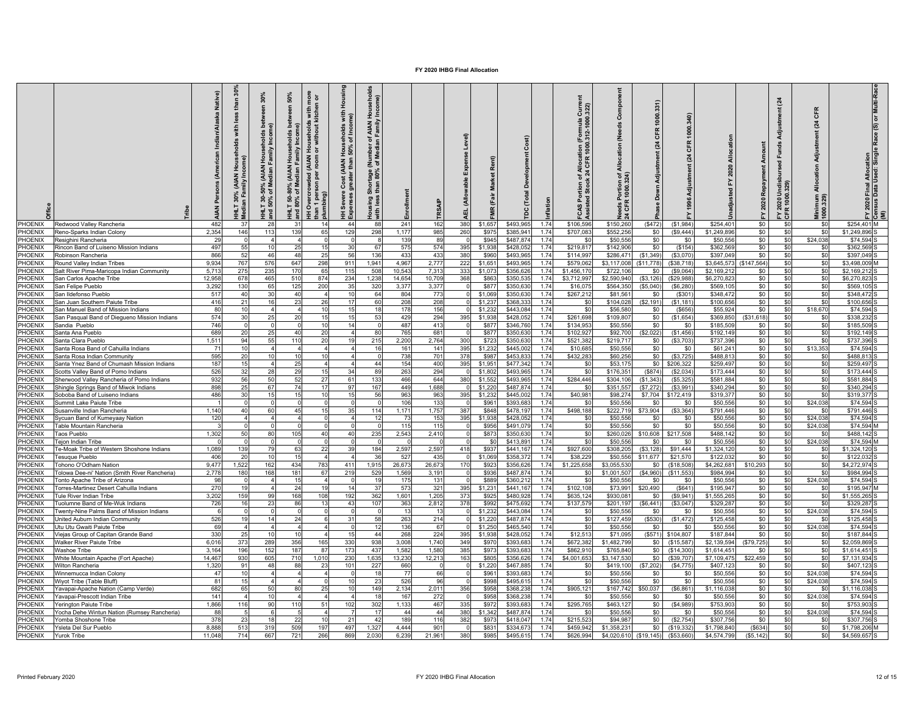|                                |                                                                                    | Native)<br>$\tilde{A}$ | £<br>重          | 30%<br>ະ ≥<br>$rac{5}{2}$<br>AMAN)<br>Redian<br>శ ≋<br>$-130$<br>50% | 50%<br>≧<br>ৢ<br>80% | more<br>1 or<br>with<br><b>puseholds</b><br>without kit<br>운 ㅎ<br><b>AIAN</b><br>ded<br>Overcrow<br>효율 | Hous<br>with<br>ne)<br>eholds<br>of Inco<br>Hous<br>50%<br>t (AIAN <del>I</del><br>ter than<br>Cost<br>Severe<br>perses | ၉<br>៓៑៑<br>횽<br>로ㅎ<br>than<br>᠊ᢛ<br>esel<br>Ies<br>vith | Enrollme   |                 | Expense Level)<br>(Allowable<br>핓 | နိ                |                        | ation        | Ğ<br>lloca<br>CFR<br>$rac{a}{24}$<br>နို့ ဗို<br>FCAS Por<br>Assisted: | ٽ<br>ğ<br>⋚<br>ঁ ই    | 1000<br>CFR<br>$\overline{a}$<br>Adjust<br>Down | CFR<br>$\tilde{z}$   |                        | Repayment<br>2020 | $\mathbf{z}$<br>] P 2<br>$r$ 2020 | CFR<br>$\mathbb{Z}$<br>Adjus<br>Minimum<br>1000.329) | or Multi-Ra<br>Race (S)<br>2020 Final Allocation<br>1sus Data Used: Singl<br>នី្ន |  |
|--------------------------------|------------------------------------------------------------------------------------|------------------------|-----------------|----------------------------------------------------------------------|----------------------|--------------------------------------------------------------------------------------------------------|-------------------------------------------------------------------------------------------------------------------------|----------------------------------------------------------|------------|-----------------|-----------------------------------|-------------------|------------------------|--------------|------------------------------------------------------------------------|-----------------------|-------------------------------------------------|----------------------|------------------------|-------------------|-----------------------------------|------------------------------------------------------|-----------------------------------------------------------------------------------|--|
| <b>PHOENIX</b>                 | Redwood Valley Rancheria                                                           | 482                    | 37              |                                                                      | 31                   | 14                                                                                                     | 44                                                                                                                      | 88                                                       | 241        | 162             | 380                               | \$1,657           | \$493,96               | 1.74         | \$106,596                                                              | \$150,260             | (\$472)                                         | (S1,984)             | \$254.401              | \$0               | \$0                               | \$0                                                  | \$254.401 M                                                                       |  |
| PHOENIX                        | Reno-Sparks Indian Colony                                                          | 2.354                  | 146             | 113                                                                  | 139                  | 65                                                                                                     | 129                                                                                                                     | 298                                                      | 1.177      | 985             | 260                               | \$975             | \$385.941              | 1.74<br>1.74 | \$707.08                                                               | \$552.256             | \$0                                             | (S9.444)             | \$1,249,896            | \$0               | \$0                               | SC.                                                  | \$1.249.896                                                                       |  |
| <b>PHOENIX</b><br>PHOENIX      | Resighini Rancheria<br>Rincon Band of Luiseno Mission Indians                      | 29<br>497              | 55              |                                                                      | 25                   | 15                                                                                                     | 30                                                                                                                      | 67                                                       | 139<br>575 | 89<br>574       | 395                               | \$945<br>\$1,938  | \$487.874<br>\$428,052 | 1.74         | -SC<br>\$219,81                                                        | \$50,556<br>\$142,906 | \$0<br>\$0                                      | \$0<br>(\$154)       | \$50.55<br>\$362,56    | \$0<br>\$0        | \$0<br>\$0                        | \$24,038<br>\$0                                      | \$74.594<br>\$362,569                                                             |  |
| <b>HOENIX</b>                  | Robinson Rancheria                                                                 | 866                    | 52              | 46                                                                   | 48                   | 25                                                                                                     | 56                                                                                                                      | 136                                                      | 433        | 433             | 380                               | \$960             | \$493,965              | 1.74         | \$114,99                                                               | \$286,471             | (\$1,349)                                       | (\$3,070             | \$397,04               | \$0               | \$0                               | \$0                                                  | \$397,049                                                                         |  |
| <b>HOENIX</b>                  | <b>Round Valley Indian Tribes</b>                                                  | 9.934                  | 767             | 576                                                                  | 647                  | 298                                                                                                    | 911                                                                                                                     | 1,941                                                    | 4.967      | 2.777           | 222                               | \$1.65            | \$493,965              | 1.74         | \$579.06                                                               | \$3.117.008           | (S11.778)                                       | ( \$38.718           | \$3,645,57             | (\$147.564)       | \$0                               | \$0                                                  | \$3.498.009                                                                       |  |
| PHOENIX                        | alt River Pima-Maricopa Indian Community                                           | 5,713                  | 275             | 23                                                                   | 170                  | 65                                                                                                     | 115                                                                                                                     | 508                                                      | 10,543     | 7,313           | 333                               | \$1,07            | \$356,626              | 1.74         | \$1,456,17                                                             | \$722,10              | \$0                                             | (\$9,064             | \$2,169,21             | \$0               | \$0                               | \$ſ                                                  | \$2,169,212                                                                       |  |
| <b>HOENIX</b>                  | San Carlos Apache Tribe                                                            | 12.958                 | 678             | 465                                                                  | 510                  | 874                                                                                                    | 234                                                                                                                     | 1,238                                                    | 14,654     | 10,709          | 368                               | \$86              | \$350,535              | 1.74         | \$3,712,997                                                            | \$2,590,940           | (\$3, 126                                       | (\$29.988            | \$6,270,82             | \$0               | \$0                               | \$0                                                  | \$6.270.823                                                                       |  |
| <b>HOENIX</b>                  | San Felipe Pueblo                                                                  | 3,292                  | 13 <sub>0</sub> | 6                                                                    | 125                  | 200                                                                                                    | 35                                                                                                                      | 320                                                      | 3,377      | 3,377           |                                   | \$87              | \$350,630              | 1.74         | \$16,07                                                                | \$564,350             | (\$5,040                                        | (\$6, 280            | \$569,10               | \$0               | \$0                               | \$0                                                  | \$569,105                                                                         |  |
| PHOENIX                        | San Ildefonso Pueblo                                                               | 517                    | 40              | 31                                                                   | 40                   | $\boldsymbol{\Lambda}$                                                                                 | 10                                                                                                                      | 64                                                       | 804        | 773             |                                   | \$1,069           | \$350,630              | 1.74         | \$267,212                                                              | \$81,56               | \$0                                             | (\$301               | \$348,47               | \$0               | \$0                               | \$0                                                  | \$348,472                                                                         |  |
| PHOENIX                        | San Juan Southern Paiute Tribe                                                     | 416                    | 21<br>10        |                                                                      | 23                   | 26<br>10                                                                                               | 17<br>15                                                                                                                | 60<br>18                                                 | 208<br>178 | 208             |                                   | \$1,23            | \$368,333              | 1.74<br>1.74 | S <sub>0</sub>                                                         | \$104,028<br>\$56.58  | (\$2,191)                                       | (S1, 181)            | \$100,65               | \$0<br>\$0        | \$0                               | \$C                                                  | \$100,656<br>\$74,594                                                             |  |
| PHOENIX<br><b>PHOENIX</b>      | San Manuel Band of Mission Indians<br>San Pasqual Band of Diegueno Mission Indians | 80<br>574              | 30              |                                                                      | 20                   | 15                                                                                                     | 15                                                                                                                      | 53                                                       | 429        | 156<br>294      | 395                               | \$1,23<br>\$1,938 | \$443,084<br>\$428.052 | 1 74         | \$0<br>\$261.698                                                       | \$109.80              | \$0<br>\$0                                      | (\$656<br>(S1.654)   | \$55,924<br>\$369,850  | (S31.618)         | \$0<br>\$0                        | \$18,670<br>\$ſ                                      | \$338.232                                                                         |  |
| PHOENIX                        | Sandia Pueblo                                                                      | 746                    |                 |                                                                      |                      | 10                                                                                                     | 14                                                                                                                      |                                                          | 487        | 413             |                                   | \$877             | \$346,76               | 1.74         | \$134,953                                                              | \$50,556              | \$0                                             | \$0                  | \$185,50               | \$0               | \$0                               | \$0                                                  | \$185,509                                                                         |  |
| PHOENIX                        | Santa Ana Pueblo                                                                   | 689                    | 20              | 2 <sup>5</sup>                                                       | 40                   | 20                                                                                                     |                                                                                                                         | 80                                                       | 765        | 681             | $\Omega$                          | \$877             | \$350,630              | 1.74         | \$102.927                                                              | \$92,700              | (\$2,022)                                       | (S1, 456)            | \$192,149              | \$0               | \$0                               | \$0                                                  | \$192.149                                                                         |  |
| <b>PHOENIX</b>                 | Santa Clara Pueblo                                                                 | 1,511                  | 94              | 55                                                                   | 110                  | 20                                                                                                     | 19                                                                                                                      | 215                                                      | 2,200      | 2,764           | 300                               | \$723             | \$350.63               | 1.74         | \$521,382                                                              | \$219,717             | \$0                                             | (\$3,703)            | \$737,396              | \$0               | \$0                               | -SC                                                  | \$737,396                                                                         |  |
| PHOENIX                        | Santa Rosa Band of Cahuilla Indians                                                | 71                     | 10              |                                                                      |                      | $\overline{a}$                                                                                         |                                                                                                                         | 16                                                       | 161        | 141             | 395                               | \$1,232           | \$445,002              | 1.74         | \$10,68                                                                | \$50,556              | \$0                                             | \$0                  | \$61,241               | \$0               | \$0                               | \$13,353                                             | \$74,594                                                                          |  |
| <b>HOENIX</b>                  | Santa Rosa Indian Community                                                        | 595                    | 20              | 10                                                                   | 10                   | 10                                                                                                     |                                                                                                                         |                                                          | 738        | 701             | 378                               | \$987             | \$453,833              | 1.74         | \$432,283                                                              | \$60,256              | \$0                                             | (S3, 725)            | \$488,81               | \$0               | \$0                               | \$0                                                  | \$488,813                                                                         |  |
| <b>HOENIX</b>                  | Santa Ynez Band of Chumash Mission Indians                                         | 187                    | 15              |                                                                      | 25<br>29             | $\mathbf{A}$<br>15                                                                                     | 34                                                                                                                      | 44<br>89                                                 | 154        | 400             | 395                               | \$1,95            | \$477,342              | 1.74         | \$C                                                                    | \$53,175              | \$0                                             | \$206.322            | \$259.49               | \$0               | \$0                               | - \$0<br>-SC                                         | \$259.497                                                                         |  |
| <b>HOENIX</b><br><b>HOENIX</b> | Scotts Valley Band of Pomo Indians<br>herwood Valley Rancheria of Pomo Indians     | 526<br>932             | 32<br>56        | 51                                                                   | 52                   | 27                                                                                                     | 61                                                                                                                      | 133                                                      | 263<br>466 | 294<br>644      | 380                               | \$1,802<br>\$1,55 | \$493,965<br>\$493,965 | 1.74<br>1.74 | \$0<br>\$284,446                                                       | \$176,35<br>\$304,106 | (\$874<br>(\$1,343)                             | (S2,034)<br>(\$5,325 | \$173,444<br>\$581,884 | \$0<br>\$0        | \$0<br>\$0                        | \$C                                                  | \$173,444<br>\$581,884                                                            |  |
| PHOENIX                        | Shingle Springs Band of Miwok Indians                                              | 898                    | 25              | 67                                                                   | 74                   | 17                                                                                                     | 97                                                                                                                      | 167                                                      | 449        | 1,688           |                                   | \$1,220           | \$487,874              | 1.74         | \$0                                                                    | \$351,55              | (\$7,272                                        | (\$3,991             | \$340,294              | \$0               | \$0                               | SC.                                                  | \$340.294                                                                         |  |
| PHOENIX                        | Soboba Band of Luiseno Indians                                                     | 486                    | 30              |                                                                      | 15                   | 10                                                                                                     | 15                                                                                                                      | 56                                                       | 963        | 963             | 395                               | \$1,232           | \$445,002              | 1.74         | \$40,981                                                               | \$98,27               | \$7,704                                         | \$172,419            | \$319,37               | \$0               | \$0                               | <b>SC</b>                                            | \$319,37                                                                          |  |
| PHOENIX                        | iummit Lake Paiute Tribe                                                           |                        |                 |                                                                      |                      |                                                                                                        |                                                                                                                         |                                                          | 106        | 133             |                                   | \$96              | \$393,68               | 1.74         | \$0                                                                    | \$50,55               | \$0                                             | \$0                  | \$50,55                | \$0               | \$0                               | \$24,038                                             | \$74,594                                                                          |  |
| PHOENIX                        | usanville Indian Rancheria                                                         | 1,140                  | 40              |                                                                      | 45                   | 15                                                                                                     |                                                                                                                         | 114                                                      | 1,171      | 1,757           | 387                               | \$848             | \$478,19               | 1.74         | \$498,188                                                              | \$222,719             | \$73,904                                        | (\$3,364)            | \$791,446              | \$0               | \$C                               |                                                      | \$791,446                                                                         |  |
| <b>PHOENIX</b>                 | vcuan Band of Kumevaav Nation                                                      | 120                    |                 |                                                                      |                      |                                                                                                        |                                                                                                                         | 12                                                       | 73         | 153             | 395                               | \$1,938           | \$428.052              | 1.74         | \$0                                                                    | \$50.55               | \$0                                             | \$0                  | \$50.55                | \$0               | \$0                               | \$24,038                                             | \$74,594                                                                          |  |
| PHOENIX                        | able Mountain Rancheria                                                            |                        |                 |                                                                      |                      |                                                                                                        |                                                                                                                         |                                                          | 115        | 115             |                                   | \$95              | \$491,079              | 1 74         | \$0                                                                    | \$50,55               | \$0                                             | \$0                  | \$50,55                | \$0               | \$0                               | \$24,03                                              | \$74,594                                                                          |  |
| PHOENIX<br><b>PHOENIX</b>      | aos Pueblo                                                                         | 1,302                  | 50              | 80                                                                   | 105                  | 40<br>$\Omega$                                                                                         | 40                                                                                                                      | 235                                                      | 2,543      | 2,410           |                                   | \$87<br>ടി        | \$350,630<br>\$413,891 | 1.74<br>1.74 | \$0<br>\$0                                                             | \$260.026<br>\$50,556 | \$10,608<br>\$0                                 | \$217,508<br>\$0     | \$488.142<br>\$50,556  | \$0<br>\$0        | \$0<br>\$0                        | -SC<br>\$24,038                                      | \$488.142<br>\$74.594                                                             |  |
| PHOENIX                        | 'eion Indian Tribe<br>Fe-Moak Tribe of Western Shoshone Indians                    | 1,089                  | 139             |                                                                      | 63                   | 22                                                                                                     | 39                                                                                                                      | 184                                                      | 2,597      | 2,597           | 418                               | \$937             | \$441,16               | 1.74         | \$927,600                                                              | \$308,205             | ( \$3, 128)                                     | \$91,444             | \$1,324,12             | \$0               | \$0                               | -SC                                                  | \$1,324,120                                                                       |  |
| <b>HOENIX</b>                  | esugue Pueblo                                                                      | 406                    | 20              |                                                                      | 15                   | $\overline{a}$                                                                                         |                                                                                                                         | 36                                                       | 527        | 435             |                                   | \$1,069           | \$358,372              | 1.74         | \$38,22                                                                | \$50,556              | \$11,677                                        | \$21,570             | \$122,03               | \$0               | \$0                               | \$0                                                  | \$122,032                                                                         |  |
| PHOENIX                        | ohono O'Odham Nation                                                               | 9.477                  | 1.522           | 162                                                                  | 434                  | 783                                                                                                    | 411                                                                                                                     | 1,915                                                    | 26,673     | 26,673          | 170                               | \$92              | \$356,626              | 1.74         | \$1,225,658                                                            | \$3.055.53            | \$0                                             | (\$18,508            | \$4,262,681            | \$10,293          | \$0                               | \$0                                                  | \$4,272.974                                                                       |  |
| <b>HOENIX</b>                  | olowa Dee-ni' Nation (Smith River Rancheria)                                       | 2.778                  | 180             | 168                                                                  | 181                  | 67                                                                                                     | 219                                                                                                                     | 529                                                      | 1.569      | 3.191           |                                   | \$93              | \$487,874              | 1.74         | \$0                                                                    | \$1,001.50            | (S4.960)                                        | (S11.553)            | \$984.99               | \$0               | \$0                               | \$ſ                                                  | \$984.994                                                                         |  |
| <b>HOENIX</b>                  | onto Apache Tribe of Arizona                                                       | 98                     |                 |                                                                      | 15                   |                                                                                                        |                                                                                                                         |                                                          | 175        | 131             |                                   | \$889             | \$360,21               | 1.74         | \$0                                                                    | \$50,55               | \$0                                             | \$0                  | \$50,55                | \$0               | \$0                               | \$24,038                                             | \$74,594                                                                          |  |
| PHOENIX                        | Forres-Martinez Desert Cahuilla Indians                                            | 270                    | 19              |                                                                      | 24                   | 19                                                                                                     | 14                                                                                                                      | 37                                                       | 573        | 321             | 395                               | \$1,23'           | \$441,167              | 1.74         | \$102,108                                                              | \$73,991              | \$20,490                                        | (\$641               | \$195,94               | \$0               | \$0                               | \$C                                                  | \$195,947                                                                         |  |
| PHOENIX                        | Fule River Indian Tribe                                                            | 3,202                  | 159<br>16       | 9                                                                    | 168                  | 108<br>13                                                                                              | 192                                                                                                                     | 362                                                      | 1,601      | 1,205           | 373                               | \$925             | \$480,928              | 1.74         | \$635,124                                                              | \$930,08              | \$0                                             | (S9, 941)            | \$1,555,26             | \$0               | \$0                               | \$0                                                  | \$1,555,265                                                                       |  |
| PHOENIX<br>PHOENIX             | uolumne Band of Me-Wuk Indians<br>Wenty-Nine Palms Band of Mission Indians         | 726                    |                 |                                                                      | 86                   |                                                                                                        | 43                                                                                                                      | 107                                                      | 363<br>13  | 2,812<br>13     | 378                               | \$99<br>\$1,23    | \$475,692<br>\$443,084 | 1.74<br>1.74 | \$137,579<br>\$0                                                       | \$201,197<br>\$50,55  | ( \$6,441)<br>\$0                               | (\$3,047<br>\$0      | \$329,28<br>\$50,55    | \$0<br>\$0        | \$0<br>\$0                        | \$C<br>\$24,038                                      | \$329,287<br>\$74,594                                                             |  |
| PHOENIX                        | Inited Auburn Indian Community                                                     | 526                    | 19              |                                                                      | 24                   |                                                                                                        | 31                                                                                                                      | 58                                                       | 263        | 214             |                                   | \$1,220           | \$487,874              | 1.74         | \$0                                                                    | \$127,45              | (\$530)                                         | (S1, 472)            | \$125,45               | \$0               | \$0                               |                                                      | \$125,458                                                                         |  |
| PHOENIX                        | Itu Utu Gwaiti Paiute Tribe                                                        | 69                     |                 |                                                                      |                      |                                                                                                        |                                                                                                                         | 12                                                       | 136        | 67              |                                   | \$1,250           | \$465,540              | 1 74         | \$0                                                                    | \$50,55               | \$0                                             | \$0                  | \$50,55                | \$0               | \$0                               | \$24,038                                             | \$74,594                                                                          |  |
| PHOENIX                        | lejas Group of Capitan Grande Band                                                 | 330                    | 25              |                                                                      | 10                   |                                                                                                        | 15                                                                                                                      | 44                                                       | 268        | 224             | 395                               | \$1,938           | \$428,052              | 1.74         | \$12,513                                                               | \$71.09               | (\$571)                                         | \$104,807            | \$187,844              | \$0               | \$0                               | -SC                                                  | \$187,844                                                                         |  |
| PHOENIX                        | Valker River Paiute Tribe                                                          | 6,016                  | 373             | 289                                                                  | 356                  | 165                                                                                                    | 330                                                                                                                     | 938                                                      | 3,008      | 1,740           | 349                               | \$970             | \$393,683              | 1.74         | \$672,382                                                              | \$1,482,799           | \$0                                             | (\$15,587            | \$2,139,594            | (\$79,725)        | \$0                               | \$0                                                  | \$2,059,869                                                                       |  |
| PHOENIX                        | Washoe Tribe                                                                       | 3,164                  | 196             | 152                                                                  | 187                  | 87                                                                                                     | 173                                                                                                                     | 437                                                      | 1.582      | 1,580           | 385                               | \$973             | \$393,683              | 1.74         | \$862,910                                                              | \$765,840             | \$0                                             | (\$14,300            | \$1,614,45             | \$0               | \$0                               | \$0                                                  | \$1,614,451                                                                       |  |
| <b>HOENIX</b>                  | White Mountain Apache (Fort Apache)                                                | 14,467                 | 930             | 605                                                                  | 710                  | 1,010                                                                                                  | 230                                                                                                                     | 1,635                                                    | 13,230     | 12,213          | 163                               | \$805             | \$356,626              | 1.74         | \$4,001,653                                                            | \$3,147,53            | \$0                                             | (\$39,707            | \$7,109,47             | \$22,459          | \$0                               | \$0                                                  | \$7,131,934                                                                       |  |
| PHOENIX                        | <b>Nilton Rancheria</b>                                                            | 1,320                  | 91<br>10        | 48                                                                   | 88                   | 23                                                                                                     | 101                                                                                                                     | 227                                                      | 660        |                 |                                   | \$1,220           | \$467,885              | 1.74         | \$0                                                                    | \$419,100             | (\$7,202)                                       | (S4, 775)            | \$407,12               | \$0               | \$0                               | SC.                                                  | \$407,123                                                                         |  |
| <b>HOENIX</b><br>PHOENIX       | Vinnemucca Indian Colony<br>Viyot Tribe (Table Bluff)                              | 47<br>81               | 15              |                                                                      |                      |                                                                                                        | 10                                                                                                                      | 23                                                       | 77<br>526  | 66<br>96        |                                   | \$96<br>\$998     | \$393.68<br>\$495,61   | 1.74<br>1.74 | \$0<br>\$0                                                             | \$50.55<br>\$50,556   | \$0<br>\$0                                      | \$0<br>\$0           | \$50.55<br>\$50,55     | \$0<br>\$0        | \$0<br>\$0                        | \$24,03<br>\$24,03                                   | \$74.594<br>\$74,594                                                              |  |
| PHOENIX                        | 'avapai-Apache Nation (Camp Verde)                                                 | 682                    | 65              |                                                                      | 80                   | 25                                                                                                     | 10                                                                                                                      | 149                                                      | 2,134      | 2,011           | 356                               | \$958             | \$368,238              | 1.74         | \$905,121                                                              | \$167,742             | \$50,037                                        | (\$6,861             | \$1,116,03             | \$0               | \$0                               |                                                      | \$1,116,038                                                                       |  |
| PHOENIX                        | Yavapai-Prescott Indian Tribe                                                      | 141                    |                 |                                                                      |                      |                                                                                                        |                                                                                                                         | 18                                                       | 167        | 272             |                                   | \$958             | \$368,238              | 1.74         | \$0                                                                    | \$50,55               | \$0                                             | \$0                  | \$50,55                | \$0               | \$0                               | \$24,03                                              | \$74,594                                                                          |  |
| PHOENIX                        | Yerington Paiute Tribe                                                             | 1,866                  | 116             |                                                                      | 110                  |                                                                                                        | 102                                                                                                                     | 302                                                      | 1,133      | 467             | 335                               | \$97              | \$393,68               | 1.74         | \$295,765                                                              | \$463,12              | \$0                                             | (\$4,989             | \$753,90               | \$0               | \$C                               |                                                      | \$753,903                                                                         |  |
| PHOENIX                        | Yocha Dehe Wintun Nation (Rumsey Rancheria)                                        | 88                     |                 |                                                                      |                      |                                                                                                        |                                                                                                                         | 17                                                       | 44         | 44              | 380                               | \$1,342           | \$487,874              | 1.74         | <b>SC</b>                                                              | \$50,55               | \$0                                             | \$0                  | \$50,55                | \$0               | \$0                               | \$24,038                                             | \$74,594                                                                          |  |
| PHOFNIX                        | 'omba Shoshone Tribe                                                               | 378                    | 23              |                                                                      | 22                   |                                                                                                        |                                                                                                                         | 42                                                       | 189        | 116             | 382                               | \$97              | \$418.04               | 1.74         | \$215.52                                                               | \$94.98               | \$0                                             | (S2, 754)            | \$307.75               | \$0               | \$C                               |                                                      | \$307.756                                                                         |  |
| <b>PHOENIX</b>                 | 'sleta Del Sur Pueblo                                                              | 8.888                  | 513             | 31                                                                   | 509                  | 197                                                                                                    | 497                                                                                                                     | 1.327                                                    | 4.444      | 90 <sup>1</sup> |                                   | \$83              | \$334.67               | 1.74         | \$459.942                                                              | \$1.358.23            | \$0                                             | (\$19,332            | \$1,798.84             | \$634             | \$0                               | \$0                                                  | \$1,798,206                                                                       |  |
| PHOENIX                        | Yurok Tribe                                                                        | 11.048                 | 714             | 667                                                                  | 721                  | 266                                                                                                    | 869                                                                                                                     | 2,030                                                    | 6,239      | 21,961          | 380                               | \$985             | \$495,61               | 1.74         | \$626,994                                                              | \$4,020,610           | (\$19, 145)                                     | (\$53,660            | \$4,574,799            | ( \$5, 142]       | \$0                               | \$0                                                  | \$4,569,657                                                                       |  |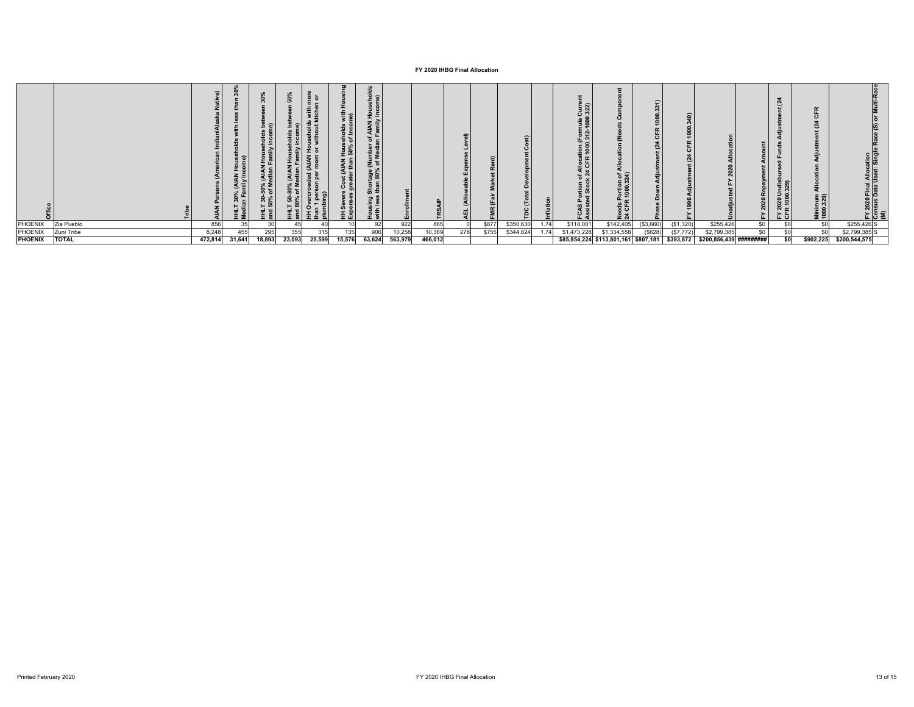|                |              |         |        |        |        |        | ‱<br>Fo‰<br>AIAN<br>arthan | 2a<br>AIAN Hous<br>Family Inco<br>$\overline{a}$<br>(Number)<br>of Media<br>kage<br>80%<br>유 원<br>with 16 |         |         | $\equiv$ |       |           |      | 트집<br>tion (For<br>1000.312<br>r Alloc<br>24 CFI<br>∘ ∡<br>S Portion<br>$\overline{a}$ | ট ব্লী<br>ortio<br>1000. |           | 0         |                                                                        |     | _ದ ಜ<br>⊃ ہ<br>ខ្លួ ខ្លួ<br>. ပ | $\alpha$<br>num<br>329)<br>Minir<br>1000 |               |
|----------------|--------------|---------|--------|--------|--------|--------|----------------------------|-----------------------------------------------------------------------------------------------------------|---------|---------|----------|-------|-----------|------|----------------------------------------------------------------------------------------|--------------------------|-----------|-----------|------------------------------------------------------------------------|-----|---------------------------------|------------------------------------------|---------------|
| PHOENIX        | Zia Pueblo   | 856     | 35     |        | 45     |        |                            | 92                                                                                                        | 922     | 865     |          | \$877 | \$350,630 | 1.74 | \$118,001                                                                              | \$142,405                | (\$3,660) | (S1, 320) | \$255,426                                                              | \$0 | \$0                             | \$0                                      | \$255,426 S   |
| PHOENIX        | Zuni Tribe   | 8,248   | 455    | 295    | 355    | 315    | 135                        | 906                                                                                                       | 10,258  | 10,369  | 278      | \$755 | \$344,824 | 1.74 | \$1,473,228                                                                            | \$1,334,558              | (\$628)   | (\$7,772) | \$2,799,385                                                            | \$0 | \$0                             | \$0                                      | \$2,799,385 S |
| <b>PHOENIX</b> | <b>TOTAL</b> | 472,814 | 31,641 | 18,893 | 23,093 | 25,599 | 15,576                     | 63,624                                                                                                    | 563,979 | 466,012 |          |       |           |      |                                                                                        |                          |           |           | \$85,854,224 \$113,801,161 \$807,181 \$393,872 \$200,856,439 ######### |     | \$O                             | \$902,225                                | \$200,544,575 |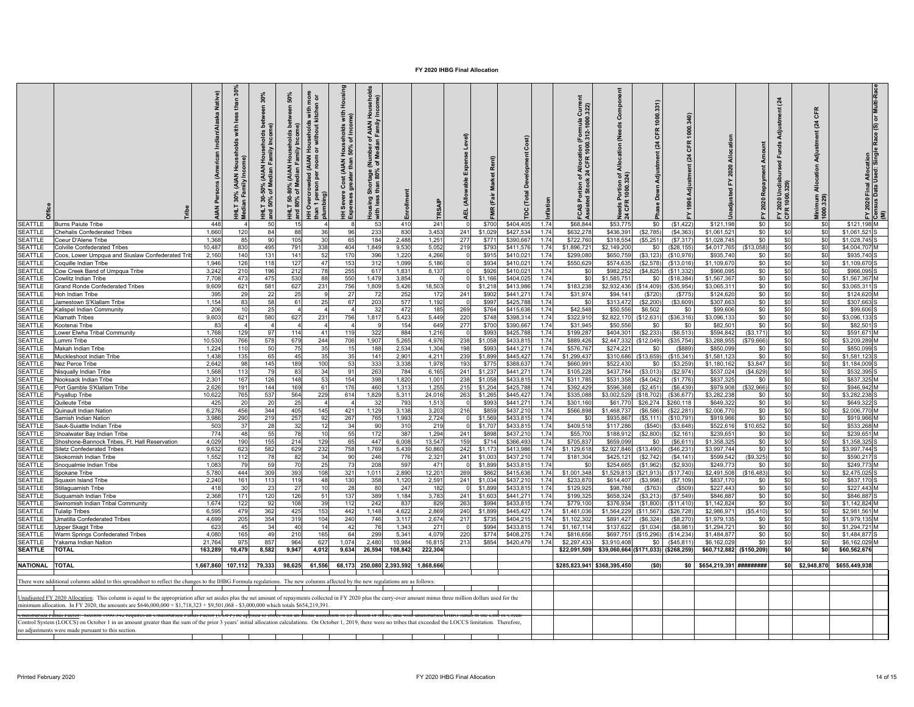|                                  |                                                                                                                                                                                                                                                                                                                                                            | Native)<br>å<br>ă | £          | 30%<br>_ដ ក្ខ<br>-50% (AIAN Househ<br>of Median Family I<br>IHLT 30-<br>nd 50% | 50%<br><b>Dec</b><br>Households<br>≧<br>(AIAN<br>edian F<br>≿ ౾<br>ಇ ಕ<br>HHLT 50-<br>and 80% | more<br>n or<br>with r<br>tchen<br><b>useholds</b><br>without ki<br>운 능<br>Overcrowded (AIAN<br>n 1 person per room<br>han 1 pers<br>Iumbing)<br>国 | g<br>Housi<br>with<br>ne)<br>seholds<br>of Incor<br>Cost (AIAN Hous<br>preater than 50%<br>ᇹ<br>HH Severe<br>Expenses g | ಕೆ<br>ehol<br>Family<br>Family<br>ਨ<br>ne⊌<br>T<br>론ㅎ<br>rtage<br>180%<br>than<br>ē<br>5<br>Housing | inrollm           |                         | (Allowable Expense Level)<br>긊 |                  |                       |              | $Curr$<br>$322$<br>of Allocat<br>: 24 CFR 1<br>৳<br>CAS | ت<br>š<br>cation<br>; ځ<br>ზ | ზ<br>$\mathbf{z}$<br>Down | $\mathbb{R}$           |                             | ment<br>Repay<br>2020<br>≻ | $\overline{a}$<br>-ಱ<br>훈<br>g<br>FY 2020 Ur<br>CFR 1000.3 | CFR<br>$\tilde{q}$<br>Adjus<br>$rac{8}{4}$<br>Minimum<br>1000.329) | 2020 Final Allocation<br>Isus Data Used: Singl | e Race (S) or Multi-Rac<br>កូ ≶ |
|----------------------------------|------------------------------------------------------------------------------------------------------------------------------------------------------------------------------------------------------------------------------------------------------------------------------------------------------------------------------------------------------------|-------------------|------------|--------------------------------------------------------------------------------|-----------------------------------------------------------------------------------------------|----------------------------------------------------------------------------------------------------------------------------------------------------|-------------------------------------------------------------------------------------------------------------------------|-----------------------------------------------------------------------------------------------------|-------------------|-------------------------|--------------------------------|------------------|-----------------------|--------------|---------------------------------------------------------|------------------------------|---------------------------|------------------------|-----------------------------|----------------------------|------------------------------------------------------------|--------------------------------------------------------------------|------------------------------------------------|---------------------------------|
| <b>SEATTLE</b>                   | <b>Burns Paiute Tribe</b>                                                                                                                                                                                                                                                                                                                                  | 448               |            | 50                                                                             | 15                                                                                            |                                                                                                                                                    |                                                                                                                         | 53                                                                                                  | 410               | 241                     |                                | \$700            | \$404,405             | 1.74         | \$68,844                                                | \$53,775                     | \$0                       | (S1, 422)              | \$121,198                   | \$0                        | \$0                                                        | \$0                                                                | \$121,198 M                                    |                                 |
| <b>SEATTLE</b><br><b>SEATTLE</b> | <b>Chehalis Confederated Tribes</b><br><b>Coeur D'Alene Tribe</b>                                                                                                                                                                                                                                                                                          | 1,660<br>1,368    | 120<br>-85 | 84<br>90                                                                       | 88<br>105                                                                                     | 36<br>30                                                                                                                                           | 96<br>65                                                                                                                | 233<br>184                                                                                          | 830<br>2,488      | 3,453<br>$1,25^{\circ}$ | 241<br>277                     | \$1,029<br>\$771 | \$427,534<br>\$390,66 | 1.74<br>1.74 | \$632,278<br>\$722,760                                  | \$436,391<br>\$318,554       | (\$2,785)<br>(\$5,251     | (S4, 363)<br>(S7, 317) | \$1,061,52<br>\$1,028,745   | \$0<br>\$0                 | \$0<br>\$0                                                 | \$0<br>\$0                                                         | \$1,061,521<br>\$1.028.745                     |                                 |
| <b>SEATTLE</b>                   | <b>Colville Confederated Tribes</b>                                                                                                                                                                                                                                                                                                                        | 10,487            | 830        | 495                                                                            | 791                                                                                           | 338                                                                                                                                                | 404                                                                                                                     | 1,849                                                                                               | 9,530             | 5,052                   | 219                            | \$793            | \$411,57              | 1.74         | \$1,896,72                                              | \$2,149,20                   | \$0                       | (\$28, 155             | \$4,017,765                 | (\$13,058)                 | \$0                                                        | \$0                                                                | \$4,004,707                                    |                                 |
| <b>SEATTLE</b>                   | coos, Lower Umpqua and Siuslaw Confederated Tri                                                                                                                                                                                                                                                                                                            | 2,160             | 140        | 13 <sup>°</sup>                                                                | 141                                                                                           | 52                                                                                                                                                 | 170                                                                                                                     | 396                                                                                                 | 1,220             | 4,266                   |                                | \$915            | \$410,02              | 1.74         | \$299,08                                                | \$650,759                    | (\$3, 123                 | (\$10,976              | \$935,74                    | \$0                        | \$0                                                        | \$0                                                                | \$935,740                                      |                                 |
| SEATTLE                          | coquille Indian Tribe                                                                                                                                                                                                                                                                                                                                      | 1,946             | 126        | 11                                                                             | 127                                                                                           | 47                                                                                                                                                 | 153                                                                                                                     | 312                                                                                                 | 1,099             | 5,186                   |                                | \$934            | \$410,02              | 1.74         | \$550,629                                               | \$574,635                    | (\$2,578)                 | (\$13,016              | \$1,109,67                  | \$0                        | \$0                                                        | \$0                                                                | \$1,109,670                                    |                                 |
| <b>SEATTLE</b>                   | Cow Creek Band of Umpqua Tribe                                                                                                                                                                                                                                                                                                                             | 3,242             | 210        | 19                                                                             | 212                                                                                           | 78                                                                                                                                                 | 255                                                                                                                     | 617                                                                                                 | 1,831             | 8,137                   |                                | \$926            | \$410,02              | 1.74         | \$0                                                     | \$982,252                    | (\$4,825                  | (\$11,332              | \$966,09                    | \$0                        | \$0                                                        | \$0                                                                | \$966,095                                      |                                 |
| <b>SEATTLE</b>                   | owlitz Indian Tribe                                                                                                                                                                                                                                                                                                                                        | 7,708             | 473        | 47                                                                             | 530                                                                                           | 88                                                                                                                                                 | 550                                                                                                                     | 1,479                                                                                               | 3,854             |                         |                                | \$1,166          | \$404,02              | 1.74         | \$0                                                     | \$1,585,75                   | - \$0                     | (\$18,384              | \$1,567,36                  | \$0                        | \$0                                                        | \$0                                                                | \$1,567,367                                    |                                 |
| SEATTLE                          | Grand Ronde Confederated Tribes                                                                                                                                                                                                                                                                                                                            | 9,609             | 621        | 58                                                                             | 627                                                                                           | 231                                                                                                                                                | 756                                                                                                                     | 1,809                                                                                               | 5,426             | 18,503                  |                                | \$1,218          | \$413,98              | 1.74         | \$183,238                                               | \$2,932,436                  | (\$14,409)                | (\$35,954)             | \$3,065,31                  | \$0                        | \$0                                                        | \$0                                                                | \$3,065,31                                     |                                 |
| <b>SEATTLE</b>                   | Ioh Indian Tribe                                                                                                                                                                                                                                                                                                                                           | 395               | 29         | 22                                                                             | 25                                                                                            |                                                                                                                                                    | 27                                                                                                                      | 72                                                                                                  | 252               | 172                     | 241                            | \$902            | \$441,27              | 1.74         | \$31,974                                                | \$94,141                     | (\$720                    | (S775)                 | \$124.62                    | \$0                        | \$0                                                        | \$0                                                                | \$124,620                                      |                                 |
| <b>SEATTLE</b>                   | lamestown S'Klallam Tribe                                                                                                                                                                                                                                                                                                                                  | 1,154             | 83         | 58                                                                             | 61                                                                                            | 25<br>$\boldsymbol{\Lambda}$                                                                                                                       | 67                                                                                                                      | 203                                                                                                 | 577               | 1,192                   |                                | \$997            | \$425,788             | 1.74         | -SO                                                     | \$313,472                    | (\$2,200                  | ( \$3,609]             | \$307,66                    | \$0                        | \$0                                                        | \$0                                                                | \$307.663                                      |                                 |
| SEATTLE<br>SEATTLE               | <b>Kalispel Indian Community</b><br><b>Klamath Tribes</b>                                                                                                                                                                                                                                                                                                  | 206<br>9,603      | 10<br>621  | 2 <sup>i</sup><br>580                                                          | $\overline{4}$<br>627                                                                         | 231                                                                                                                                                | 756                                                                                                                     | 32<br>1,817                                                                                         | 472<br>5,423      | 185<br>5,449            | 269<br>220                     | \$764<br>\$748   | \$415,63<br>\$398,31  | 1.74<br>1.74 | \$42,548                                                | \$50,556<br>\$2,822,170      | \$6,502<br>(S12, 631)     | \$0<br>( \$36, 316)    | \$99,606                    | \$0<br>\$0                 | \$0<br>\$0                                                 | \$0<br>\$0                                                         | \$99,606<br>\$3,096,133                        |                                 |
| <b>SEATTLE</b>                   | Kootenai Tribe                                                                                                                                                                                                                                                                                                                                             | 83                |            |                                                                                |                                                                                               | $\overline{4}$                                                                                                                                     |                                                                                                                         |                                                                                                     | 154               | 649                     | 277                            | \$700            | \$390,66              | 1.74         | \$322,910<br>\$31,945                                   | \$50,556                     | \$0                       | \$0                    | \$3,096,13<br>\$82,50       | \$0                        | \$0                                                        | \$0                                                                | \$82,501                                       |                                 |
| <b>SEATTLE</b>                   | ower Elwha Tribal Community                                                                                                                                                                                                                                                                                                                                | 1,768             | 129        | -91                                                                            | 114                                                                                           | 41                                                                                                                                                 | 119                                                                                                                     | 322                                                                                                 | 884               | 1,216                   |                                | \$993            | \$425,78              | 1.74         | \$199,287                                               | \$404,30                     | (\$2,233                  | (S6, 513)              | \$594,842                   | ( \$3, 171]                | \$0                                                        | \$0                                                                | \$591.671                                      |                                 |
| SEATTLE                          | ummi Tribe.                                                                                                                                                                                                                                                                                                                                                | 10,530            | 766        | 578                                                                            | 679                                                                                           | 244                                                                                                                                                | 706                                                                                                                     | 1,907                                                                                               | 5,265             | 4,976                   | 238                            | \$1,058          | \$433,81              | 1.74         | \$889,426                                               | \$2,447,33                   | (\$12,049                 | (\$35,754)             | \$3,288,95                  | (\$79,666)                 | \$0                                                        | \$0                                                                | \$3,209,289                                    |                                 |
| SEATTLE                          | Makah Indian Tribe                                                                                                                                                                                                                                                                                                                                         | 1,224             | 110        | 5(                                                                             | 75                                                                                            | 35                                                                                                                                                 | 15                                                                                                                      | 188                                                                                                 | 2,534             | 1,304                   | 198                            | \$993            | \$441,27              | 1.74         | \$576,767                                               | \$274,22                     |                           | (\$889                 | \$850,09                    | \$0                        | \$0                                                        | \$0                                                                | \$850,09                                       |                                 |
| <b>SEATTLE</b>                   | Muckleshoot Indian Tribe                                                                                                                                                                                                                                                                                                                                   | 1,438             | 135        | 6.                                                                             | 45                                                                                            | 35                                                                                                                                                 | 35                                                                                                                      | 141                                                                                                 | 2,901             | 4,21                    | 239                            | \$1,899          | \$445,427             | 1.74         | \$1,299,437                                             | \$310,686                    | (\$13,659)                | (\$15,341              | \$1,581,12                  | \$0                        | \$0                                                        | \$0                                                                | \$1,581,123                                    |                                 |
| <b>SEATTLE</b>                   | Nez Perce Tribe                                                                                                                                                                                                                                                                                                                                            | 2,642             | 98         | 14!                                                                            | 189                                                                                           | 100                                                                                                                                                | 53                                                                                                                      | 333                                                                                                 | 3,338             | 1,97                    | 193                            | \$775            | \$388,63              | 1.74         | \$660,991                                               | \$522,43                     | \$0                       | (S3, 259)              | \$1,180,16                  | \$3,847                    | \$0                                                        | \$0                                                                | \$1,184,009                                    |                                 |
| <b>SEATTLE</b>                   | Nisqually Indian Tribe                                                                                                                                                                                                                                                                                                                                     | 1,568             | 113        |                                                                                | 83                                                                                            | 34                                                                                                                                                 | 91                                                                                                                      | 263                                                                                                 | 784               | 6,16                    | 241                            | \$1,23           | \$441,27              | 1.74         | \$105,228                                               | \$437,784                    | (\$3,013                  | (\$2,974               | \$537,02                    | (\$4,629)                  | \$0                                                        | \$0                                                                | \$532,39                                       |                                 |
| <b>FATTLE</b>                    | looksack Indian Tribe                                                                                                                                                                                                                                                                                                                                      | 2,30              | 167        | 12(                                                                            | 148                                                                                           | 53                                                                                                                                                 | 154                                                                                                                     | 398                                                                                                 | 1,820             | 1,00                    | 238                            | \$1,058          | \$433,81              | 1.74         | \$311,785                                               | \$531,358                    | (\$4.042                  | (\$1,776               | \$837,32                    | \$0                        | \$0                                                        | \$0                                                                | \$837,32                                       |                                 |
| <b>SEATTLE</b><br><b>SEATTLE</b> | Port Gamble S'Klallam Tribe                                                                                                                                                                                                                                                                                                                                | 2,626             | 191        | 144                                                                            | 169                                                                                           | 61                                                                                                                                                 | 176                                                                                                                     | 460                                                                                                 | 1,313             | 1,255                   | 215                            | \$1,204          | \$425,78              | 1.74<br>1.74 | \$392.429                                               | \$596.36                     | (\$2,451                  | (S6.439)               | \$979.90                    | (\$32,966)                 | \$0                                                        | \$0                                                                | \$946.942                                      |                                 |
| SEATTLE                          | Puvallup Tribe<br>Quileute Tribe                                                                                                                                                                                                                                                                                                                           | 10,622<br>425     | 765<br>20  | 53<br>20                                                                       | 564<br>25                                                                                     | 229                                                                                                                                                | 614                                                                                                                     | 1,829<br>-32                                                                                        | 5,311<br>793      | 24,016<br>1,51          | 263                            | \$1,265<br>\$993 | \$445,42<br>\$441,27  | 1.74         | \$335,088<br>\$301,160                                  | \$3,002,529<br>\$61,770      | (\$18,702<br>\$26,274     | (\$36,677<br>\$260,118 | \$3,282,23<br>\$649,32      | \$0<br>\$0                 | \$0<br>\$0                                                 | \$0<br>\$0                                                         | \$3,282,238<br>\$649,322                       |                                 |
| SEATTLE                          | Quinault Indian Nation                                                                                                                                                                                                                                                                                                                                     | 6,276             | 456        | 344                                                                            | 405                                                                                           | 145                                                                                                                                                | 421                                                                                                                     | 1,129                                                                                               | 3,138             | 3,200                   | 216                            | \$859            | \$437,21              | 1.74         | \$566,898                                               | \$1,468,737                  | (\$6,586                  | (\$22, 281             | \$2,006,77                  | \$0                        | \$0                                                        | \$0                                                                | \$2,006,770                                    |                                 |
| <b>SEATTLE</b>                   | Samish Indian Nation                                                                                                                                                                                                                                                                                                                                       | 3,986             | 290        | 219                                                                            | 257                                                                                           | 92                                                                                                                                                 | 267                                                                                                                     | 765                                                                                                 | 1,993             | 2,724                   |                                | \$1,569          | \$433,81              | 1.74         | -SC                                                     | \$935,867                    | (\$5,111                  | (\$10,791              | \$919,966                   | \$0                        | \$0                                                        | \$0                                                                | \$919,966                                      |                                 |
| <b>SEATTLE</b>                   | Sauk-Suiattle Indian Tribe                                                                                                                                                                                                                                                                                                                                 | 503               | 37         | 28                                                                             | 32                                                                                            | 12                                                                                                                                                 | 34                                                                                                                      | 90                                                                                                  | 310               | 219                     |                                | \$1,707          | \$433,81              | 1.74         | \$409,518                                               | \$117,286                    | (\$540                    | (S3, 648)              | \$522,616                   | \$10,652                   | \$0                                                        | \$0                                                                | \$533.268                                      |                                 |
| <b>SEATTLE</b>                   | Shoalwater Bav Indian Tribe                                                                                                                                                                                                                                                                                                                                | 774               | 48         |                                                                                | 78                                                                                            | 10                                                                                                                                                 | 55                                                                                                                      | 172                                                                                                 | 387               | 1,294                   | 241                            | \$898            | \$437,21              | 1.74         | \$55,70                                                 | \$188,912                    | \$2,800                   | (\$2, 161              | \$239,65                    | \$0                        | \$0                                                        | \$0                                                                | \$239,65                                       |                                 |
| SEATTLE                          | hoshone-Bannock Tribes, Ft. Hall Reservation                                                                                                                                                                                                                                                                                                               | 4,029             | 190        | 155                                                                            | 214                                                                                           | 129                                                                                                                                                | 65                                                                                                                      | 447                                                                                                 | 6,008             | 13,547                  | 159                            | \$714            | \$366,49              | 1.74         | \$705,83                                                | \$659,099                    | \$0                       | (\$6, 611              | \$1,358,32                  | \$0                        | \$0                                                        | \$0                                                                | \$1,358,32                                     |                                 |
| SEATTLE                          | iletz Confederated Tribes                                                                                                                                                                                                                                                                                                                                  | 9,632             | 623        | 58                                                                             | 629                                                                                           | 232                                                                                                                                                | 758                                                                                                                     | 1,769                                                                                               | 5,439             | 50,860                  | 242                            | \$1,173          | \$413,986             | 1.74         | \$1,129,618                                             | \$2,927,846                  | (\$13,490                 | (\$46,231              | \$3,997,74                  | \$0                        | \$0                                                        | \$0                                                                | \$3,997,744                                    |                                 |
| SEATTLE                          | Skokomish Indian Tribe                                                                                                                                                                                                                                                                                                                                     | 1,552             | 112        | $\overline{7}$                                                                 | 82                                                                                            | 34                                                                                                                                                 | 90                                                                                                                      | 246                                                                                                 | 776               | 2,32                    | 241                            | \$1,003          | \$437,21              | 1.74         | \$181,304                                               | \$425,121                    | (\$2,742                  | (S4, 141)              | \$599,54                    | (\$9,325)                  | \$0                                                        | \$0                                                                | \$590,21                                       |                                 |
| <b>SEATTLE</b><br><b>SFATTLE</b> | Snoqualmie Indian Tribe<br>Spokane Tribe                                                                                                                                                                                                                                                                                                                   | 1,083<br>5,780    | 79<br>444  | 5<br>30                                                                        | 70<br>393                                                                                     | 25<br>108                                                                                                                                          | 73<br>321                                                                                                               | 208<br>1,011                                                                                        | 597<br>2,890      | 471<br>12,201           | 269                            | \$1,89<br>\$862  | \$433,81<br>\$415,63  | 1.74<br>1.74 | \$0<br>\$1,001,348                                      | \$254,665<br>\$1,529,81      | (\$1,962<br>(\$21,913     | (\$2,930<br>(\$17,740  | \$249,77<br>\$2,491,508     | \$0<br>(S16, 483)          | \$0<br>\$0                                                 | \$0<br>\$0                                                         | \$249,773<br>\$2,475,02                        |                                 |
| <b>SEATTLE</b>                   | Squaxin Island Tribe                                                                                                                                                                                                                                                                                                                                       | 2,240             | 161        | 11:                                                                            | 119                                                                                           | 48                                                                                                                                                 | 130                                                                                                                     | 358                                                                                                 | 1,120             | 2,591                   | 241                            | \$1,034          | \$437,21              | 1.74         | \$233,870                                               | \$614,407                    | (\$3,998                  | (S7, 109)              | \$837.17                    | \$0                        | \$0                                                        | \$0                                                                | \$837.170                                      |                                 |
| <b>SEATTLE</b>                   | Stillaguamish Tribe                                                                                                                                                                                                                                                                                                                                        | 418               | 30         | $\overline{2}$                                                                 | 27                                                                                            | 10                                                                                                                                                 | 28                                                                                                                      | 80                                                                                                  | 247               | 182                     | $\Omega$                       | \$1,899          | \$433,81              | 1 74         | \$129,925                                               | \$98,788                     | (\$763                    | (\$509]                | \$227,443                   | \$0                        | \$0                                                        | \$0                                                                | \$227,443 M                                    |                                 |
| SEATTLE                          | Suquamish Indian Tribe                                                                                                                                                                                                                                                                                                                                     | 2,368             | 171        | 120                                                                            | 126                                                                                           | 51                                                                                                                                                 | 137                                                                                                                     | 389                                                                                                 | 1,184             | 3,783                   | 241                            | \$1,603          | \$441,27              | 1.74         | \$199,325                                               | \$658,324                    | (\$3,213                  | (S7, 549)              | \$846,88                    | \$0                        | \$0                                                        | \$0                                                                | \$846,887                                      |                                 |
| <b>SEATTLE</b>                   | Swinomish Indian Tribal Community                                                                                                                                                                                                                                                                                                                          | 1,674             | 122        | -92                                                                            | 108                                                                                           | 39                                                                                                                                                 | 112                                                                                                                     | 242                                                                                                 | 837               | 829                     | 263                            | \$994            | \$433,81              | 1.74         | \$779,100                                               | \$376,934                    | (\$1,800                  | (\$11,410              | \$1,142,82                  | \$0                        | \$0                                                        | \$0                                                                | \$1,142,824                                    |                                 |
| SEATTLE                          | <b>Tulalip Tribes</b>                                                                                                                                                                                                                                                                                                                                      | 6,595             | 479        | 362                                                                            | 425                                                                                           | 153                                                                                                                                                | 442                                                                                                                     | 1,148                                                                                               | 4,622             | 2,86                    | 240                            | \$1,899          | \$445,42              | 1.74         | \$1,461,03                                              | \$1,564,22                   | (\$11,567                 | (\$26,728              | \$2,986,97                  | (S5.410)                   | \$0                                                        | \$0                                                                | \$2.981.561                                    |                                 |
| <b>SEATTLE</b>                   | Jmatilla Confederated Tribes                                                                                                                                                                                                                                                                                                                               | 4,699             | 205        | 354                                                                            | 319                                                                                           | 104                                                                                                                                                | 240                                                                                                                     | 746                                                                                                 | 3.117             | 2,674                   | 217                            | \$735            | \$404,21              | 1.74         | \$1,102,30                                              | \$891,42                     | (\$6,324                  | (S8, 270)              | \$1,979,13                  | \$0                        | \$0                                                        | \$0                                                                | \$1.979.13                                     |                                 |
| SEATTLE                          | Ipper Skagit Tribe                                                                                                                                                                                                                                                                                                                                         | 623               | 45         | 3                                                                              | 40                                                                                            | 14                                                                                                                                                 | 42                                                                                                                      | 76                                                                                                  | 1,343             | 27 <sup>′</sup>         |                                | \$994            | \$433,81              | 1.74         | \$1,167,114                                             | \$137,62                     | (\$1,034                  | (S8, 981)              | \$1,294,72                  | \$0                        | \$0                                                        | \$0                                                                | \$1,294,72                                     |                                 |
| <b>SEATTLE</b><br>SEATTLE        | Varm Springs Confederated Tribes<br>'akama Indian Nation                                                                                                                                                                                                                                                                                                   | 4,080<br>21.764   | 165<br>975 | $\overline{4}$<br>85                                                           | 210<br>964                                                                                    | 165<br>627                                                                                                                                         | 64<br>1,074                                                                                                             | 299<br>2,480                                                                                        | 5,341<br>10,984   | 4,07<br>16,81           | 220<br>213                     | \$774<br>\$854   | \$408,27<br>\$420,47  | 1.74<br>1.74 | \$816,656<br>\$2,297,433                                | \$697,75<br>\$3,910,40       | \$15,296<br>\$0           | (\$14,234<br>(\$45,811 | \$1,484,87<br>\$6,162,02    | \$0<br>\$0                 | \$0<br>\$0                                                 | \$0<br>\$0                                                         | \$1,484,87<br>\$6,162,029                      |                                 |
| <b>SEATTLE</b>                   | <b>TOTAL</b>                                                                                                                                                                                                                                                                                                                                               | 163,289           | 10,479     | 8,582                                                                          | 9,947                                                                                         | 4,012                                                                                                                                              | 9,634                                                                                                                   | 26,594                                                                                              | 108,842           | 222,304                 |                                |                  |                       |              | \$22,091,509                                            | \$39,060,664 (\$171,033)     |                           | (\$268, 259)           | \$60,712,882 (\$150,209)    |                            | \$0                                                        | \$0                                                                | \$60,562,676                                   |                                 |
|                                  |                                                                                                                                                                                                                                                                                                                                                            |                   |            |                                                                                |                                                                                               |                                                                                                                                                    |                                                                                                                         |                                                                                                     |                   |                         |                                |                  |                       |              |                                                         |                              |                           |                        |                             |                            |                                                            |                                                                    |                                                |                                 |
| <b>NATIONAL</b>                  | <b>TOTAL</b>                                                                                                                                                                                                                                                                                                                                               | 1,667,860         | 107,112    | 79,333                                                                         | 98,625                                                                                        | 61,556                                                                                                                                             | 68,173                                                                                                                  |                                                                                                     | 250,080 2,393,592 | 1,868,666               |                                |                  |                       |              |                                                         | \$285,823,941 \$368,395,450  | (50)                      |                        | \$0 \$654,219,391 ######### |                            | \$0                                                        | \$2,948,870                                                        | \$655,449,938                                  |                                 |
|                                  |                                                                                                                                                                                                                                                                                                                                                            |                   |            |                                                                                |                                                                                               |                                                                                                                                                    |                                                                                                                         |                                                                                                     |                   |                         |                                |                  |                       |              |                                                         |                              |                           |                        |                             |                            |                                                            |                                                                    |                                                |                                 |
|                                  | There were additional columns added to this spreadsheet to reflect the changes to the IHBG Formula regulations. The new columns affected by the new regulations are as follows:                                                                                                                                                                            |                   |            |                                                                                |                                                                                               |                                                                                                                                                    |                                                                                                                         |                                                                                                     |                   |                         |                                |                  |                       |              |                                                         |                              |                           |                        |                             |                            |                                                            |                                                                    |                                                |                                 |
|                                  | Unadjusted FY 2020 Allocation: This column is equal to the appropriation after set asides plus the net amount of repayments collected in FY 2020 plus the carry-over amount minus three million dollars used for the<br>minimum allocation. In FY 2020, the amounts are \$646,000,000 + \$1,718,323 + \$9,501,068 - \$3,000,000 which totals \$654,219,391 |                   |            |                                                                                |                                                                                               |                                                                                                                                                    |                                                                                                                         |                                                                                                     |                   |                         |                                |                  |                       |              |                                                         |                              |                           |                        |                             |                            |                                                            |                                                                    |                                                |                                 |
|                                  | <u>enaisoursea ranas racio,</u> secuon 1000.542 requires an enaisoursea ranas racio (e)Drr) oc appiea to undes with an hinaranoclam or symmon or more, and with unaisoursed rriber unds in the time or crear                                                                                                                                               |                   |            |                                                                                |                                                                                               |                                                                                                                                                    |                                                                                                                         |                                                                                                     |                   |                         |                                |                  |                       |              |                                                         |                              |                           |                        |                             |                            |                                                            |                                                                    |                                                |                                 |
|                                  | Control System (LOCCS) on October 1 in an amount greater than the sum of the prior 3 years' initial allocation calculations. On October 1, 2019, there were no tribes that exceeded the LOCCS limitation. Therefore,                                                                                                                                       |                   |            |                                                                                |                                                                                               |                                                                                                                                                    |                                                                                                                         |                                                                                                     |                   |                         |                                |                  |                       |              |                                                         |                              |                           |                        |                             |                            |                                                            |                                                                    |                                                |                                 |
|                                  | no adjustments were made pursuant to this section.                                                                                                                                                                                                                                                                                                         |                   |            |                                                                                |                                                                                               |                                                                                                                                                    |                                                                                                                         |                                                                                                     |                   |                         |                                |                  |                       |              |                                                         |                              |                           |                        |                             |                            |                                                            |                                                                    |                                                |                                 |
|                                  |                                                                                                                                                                                                                                                                                                                                                            |                   |            |                                                                                |                                                                                               |                                                                                                                                                    |                                                                                                                         |                                                                                                     |                   |                         |                                |                  |                       |              |                                                         |                              |                           |                        |                             |                            |                                                            |                                                                    |                                                |                                 |